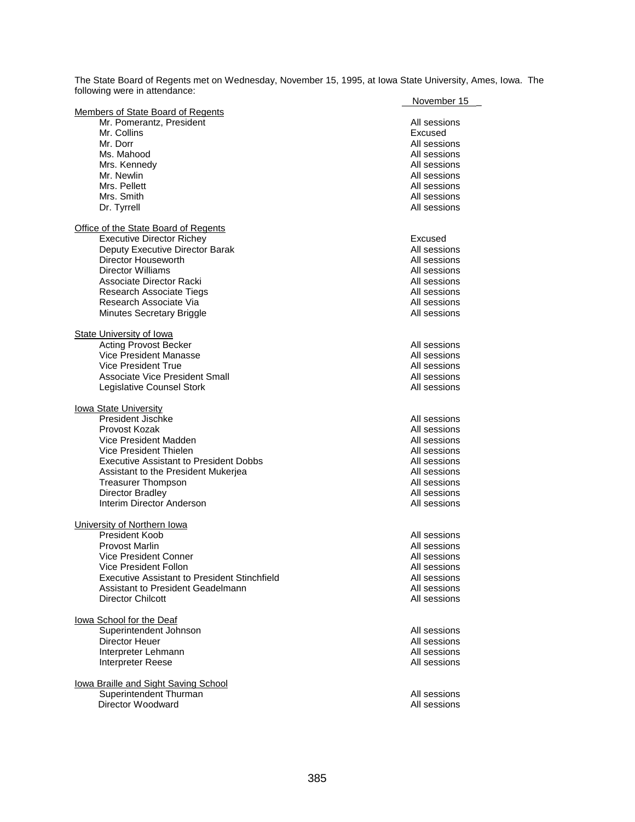The State Board of Regents met on Wednesday, November 15, 1995, at Iowa State University, Ames, Iowa. The following were in attendance: Novemb<u>er 15</u>

|                                                     | November 15  |
|-----------------------------------------------------|--------------|
| <b>Members of State Board of Regents</b>            |              |
| Mr. Pomerantz, President                            | All sessions |
| Mr. Collins                                         | Excused      |
| Mr. Dorr                                            | All sessions |
| Ms. Mahood                                          | All sessions |
| Mrs. Kennedy                                        | All sessions |
| Mr. Newlin                                          | All sessions |
| Mrs. Pellett                                        | All sessions |
| Mrs. Smith                                          | All sessions |
| Dr. Tyrrell                                         | All sessions |
|                                                     |              |
|                                                     |              |
| <b>Office of the State Board of Regents</b>         |              |
| <b>Executive Director Richey</b>                    | Excused      |
| Deputy Executive Director Barak                     | All sessions |
| Director Houseworth                                 | All sessions |
| Director Williams                                   | All sessions |
| Associate Director Racki                            | All sessions |
| Research Associate Tiegs                            | All sessions |
| Research Associate Via                              | All sessions |
| Minutes Secretary Briggle                           | All sessions |
|                                                     |              |
| <b>State University of Iowa</b>                     |              |
| <b>Acting Provost Becker</b>                        | All sessions |
| Vice President Manasse                              | All sessions |
| Vice President True                                 | All sessions |
|                                                     |              |
| Associate Vice President Small                      | All sessions |
| Legislative Counsel Stork                           | All sessions |
|                                                     |              |
| <b>lowa State University</b>                        |              |
| President Jischke                                   | All sessions |
| Provost Kozak                                       | All sessions |
| Vice President Madden                               | All sessions |
| Vice President Thielen                              | All sessions |
| <b>Executive Assistant to President Dobbs</b>       | All sessions |
| Assistant to the President Mukerjea                 | All sessions |
| <b>Treasurer Thompson</b>                           | All sessions |
| <b>Director Bradley</b>                             | All sessions |
| Interim Director Anderson                           | All sessions |
|                                                     |              |
| University of Northern Iowa                         |              |
| President Koob                                      | All sessions |
|                                                     |              |
| <b>Provost Marlin</b>                               | All sessions |
| Vice President Conner                               | All sessions |
| Vice President Follon                               | All sessions |
| <b>Executive Assistant to President Stinchfield</b> | All sessions |
| Assistant to President Geadelmann                   | All sessions |
| <b>Director Chilcott</b>                            | All sessions |
|                                                     |              |
| lowa School for the Deaf                            |              |
| Superintendent Johnson                              | All sessions |
| Director Heuer                                      | All sessions |
| Interpreter Lehmann                                 | All sessions |
| Interpreter Reese                                   | All sessions |
|                                                     |              |
| lowa Braille and Sight Saving School                |              |
| Superintendent Thurman                              |              |
|                                                     | All sessions |
| Director Woodward                                   | All sessions |
|                                                     |              |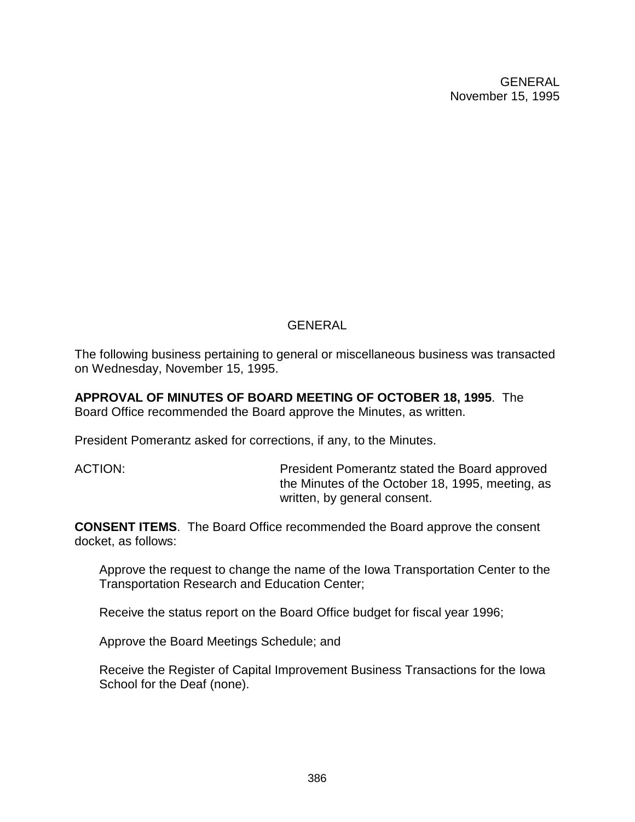# GENERAL

The following business pertaining to general or miscellaneous business was transacted on Wednesday, November 15, 1995.

**APPROVAL OF MINUTES OF BOARD MEETING OF OCTOBER 18, 1995**. The Board Office recommended the Board approve the Minutes, as written.

President Pomerantz asked for corrections, if any, to the Minutes.

ACTION: President Pomerantz stated the Board approved the Minutes of the October 18, 1995, meeting, as written, by general consent.

**CONSENT ITEMS**. The Board Office recommended the Board approve the consent docket, as follows:

Approve the request to change the name of the Iowa Transportation Center to the Transportation Research and Education Center;

Receive the status report on the Board Office budget for fiscal year 1996;

Approve the Board Meetings Schedule; and

Receive the Register of Capital Improvement Business Transactions for the Iowa School for the Deaf (none).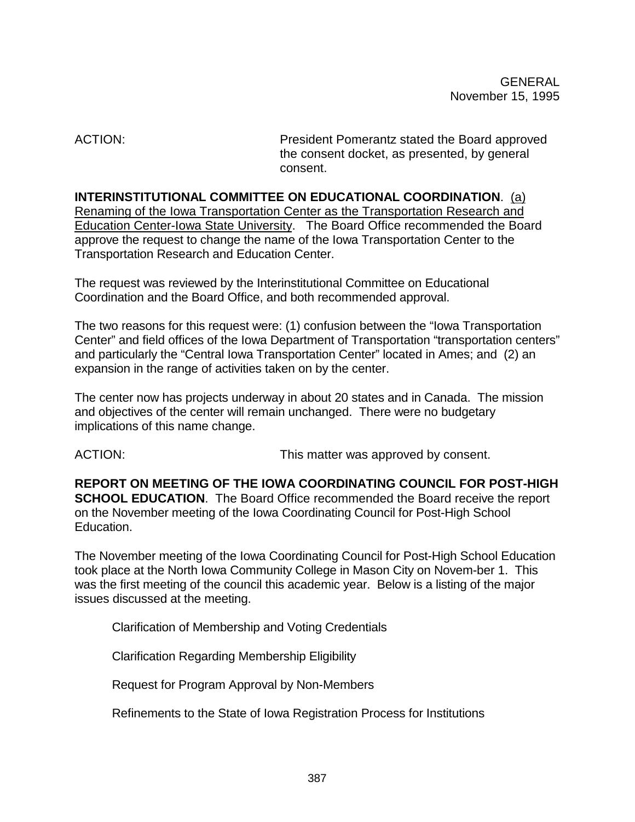ACTION: President Pomerantz stated the Board approved the consent docket, as presented, by general consent.

**INTERINSTITUTIONAL COMMITTEE ON EDUCATIONAL COORDINATION**. (a) Renaming of the Iowa Transportation Center as the Transportation Research and Education Center-Iowa State University. The Board Office recommended the Board approve the request to change the name of the Iowa Transportation Center to the Transportation Research and Education Center.

The request was reviewed by the Interinstitutional Committee on Educational Coordination and the Board Office, and both recommended approval.

The two reasons for this request were: (1) confusion between the "Iowa Transportation Center" and field offices of the Iowa Department of Transportation "transportation centers" and particularly the "Central Iowa Transportation Center" located in Ames; and (2) an expansion in the range of activities taken on by the center.

The center now has projects underway in about 20 states and in Canada. The mission and objectives of the center will remain unchanged. There were no budgetary implications of this name change.

ACTION: **This matter was approved by consent.** 

**REPORT ON MEETING OF THE IOWA COORDINATING COUNCIL FOR POST-HIGH SCHOOL EDUCATION**. The Board Office recommended the Board receive the report on the November meeting of the Iowa Coordinating Council for Post-High School Education.

The November meeting of the Iowa Coordinating Council for Post-High School Education took place at the North Iowa Community College in Mason City on Novem-ber 1. This was the first meeting of the council this academic year. Below is a listing of the major issues discussed at the meeting.

Clarification of Membership and Voting Credentials

Clarification Regarding Membership Eligibility

Request for Program Approval by Non-Members

Refinements to the State of Iowa Registration Process for Institutions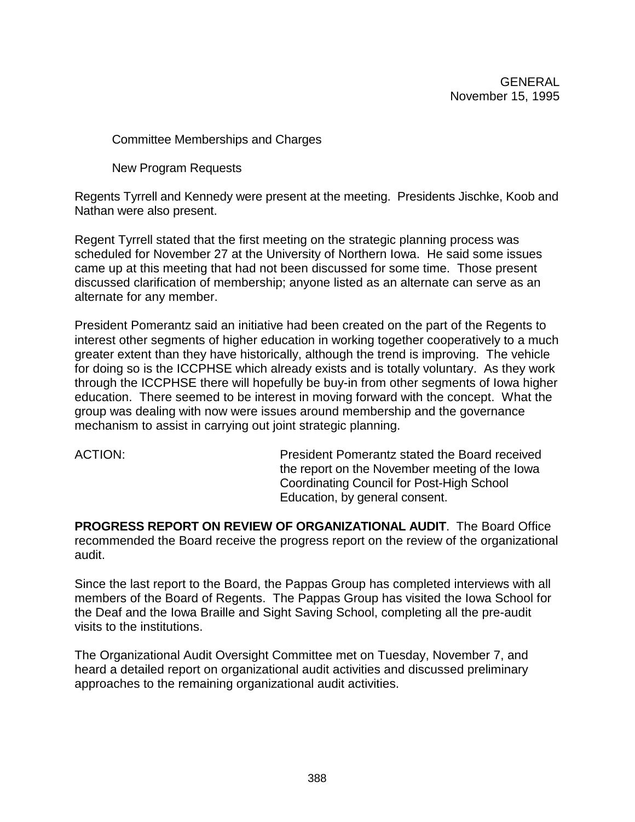Committee Memberships and Charges

New Program Requests

Regents Tyrrell and Kennedy were present at the meeting. Presidents Jischke, Koob and Nathan were also present.

Regent Tyrrell stated that the first meeting on the strategic planning process was scheduled for November 27 at the University of Northern Iowa. He said some issues came up at this meeting that had not been discussed for some time. Those present discussed clarification of membership; anyone listed as an alternate can serve as an alternate for any member.

President Pomerantz said an initiative had been created on the part of the Regents to interest other segments of higher education in working together cooperatively to a much greater extent than they have historically, although the trend is improving. The vehicle for doing so is the ICCPHSE which already exists and is totally voluntary. As they work through the ICCPHSE there will hopefully be buy-in from other segments of Iowa higher education. There seemed to be interest in moving forward with the concept. What the group was dealing with now were issues around membership and the governance mechanism to assist in carrying out joint strategic planning.

ACTION: President Pomerantz stated the Board received the report on the November meeting of the Iowa Coordinating Council for Post-High School Education, by general consent.

**PROGRESS REPORT ON REVIEW OF ORGANIZATIONAL AUDIT**. The Board Office recommended the Board receive the progress report on the review of the organizational audit.

Since the last report to the Board, the Pappas Group has completed interviews with all members of the Board of Regents. The Pappas Group has visited the Iowa School for the Deaf and the Iowa Braille and Sight Saving School, completing all the pre-audit visits to the institutions.

The Organizational Audit Oversight Committee met on Tuesday, November 7, and heard a detailed report on organizational audit activities and discussed preliminary approaches to the remaining organizational audit activities.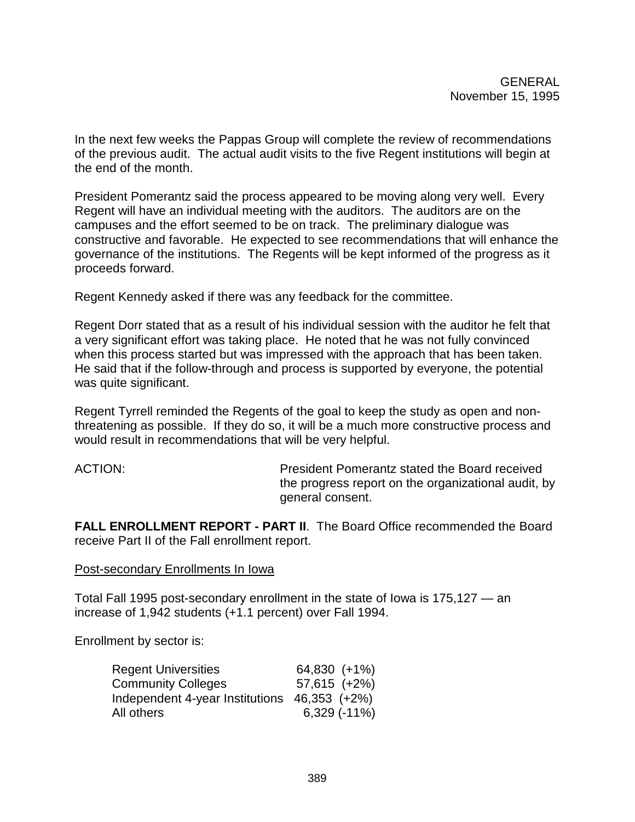In the next few weeks the Pappas Group will complete the review of recommendations of the previous audit. The actual audit visits to the five Regent institutions will begin at the end of the month.

President Pomerantz said the process appeared to be moving along very well. Every Regent will have an individual meeting with the auditors. The auditors are on the campuses and the effort seemed to be on track. The preliminary dialogue was constructive and favorable. He expected to see recommendations that will enhance the governance of the institutions. The Regents will be kept informed of the progress as it proceeds forward.

Regent Kennedy asked if there was any feedback for the committee.

Regent Dorr stated that as a result of his individual session with the auditor he felt that a very significant effort was taking place. He noted that he was not fully convinced when this process started but was impressed with the approach that has been taken. He said that if the follow-through and process is supported by everyone, the potential was quite significant.

Regent Tyrrell reminded the Regents of the goal to keep the study as open and nonthreatening as possible. If they do so, it will be a much more constructive process and would result in recommendations that will be very helpful.

ACTION: President Pomerantz stated the Board received the progress report on the organizational audit, by general consent.

**FALL ENROLLMENT REPORT - PART II**. The Board Office recommended the Board receive Part II of the Fall enrollment report.

### Post-secondary Enrollments In Iowa

Total Fall 1995 post-secondary enrollment in the state of Iowa is 175,127 — an increase of 1,942 students (+1.1 percent) over Fall 1994.

Enrollment by sector is:

| <b>Regent Universities</b>                   | 64,830 (+1%)        |
|----------------------------------------------|---------------------|
| <b>Community Colleges</b>                    | 57,615 (+2%)        |
| Independent 4-year Institutions 46,353 (+2%) |                     |
| All others                                   | $6,329$ ( $-11\%$ ) |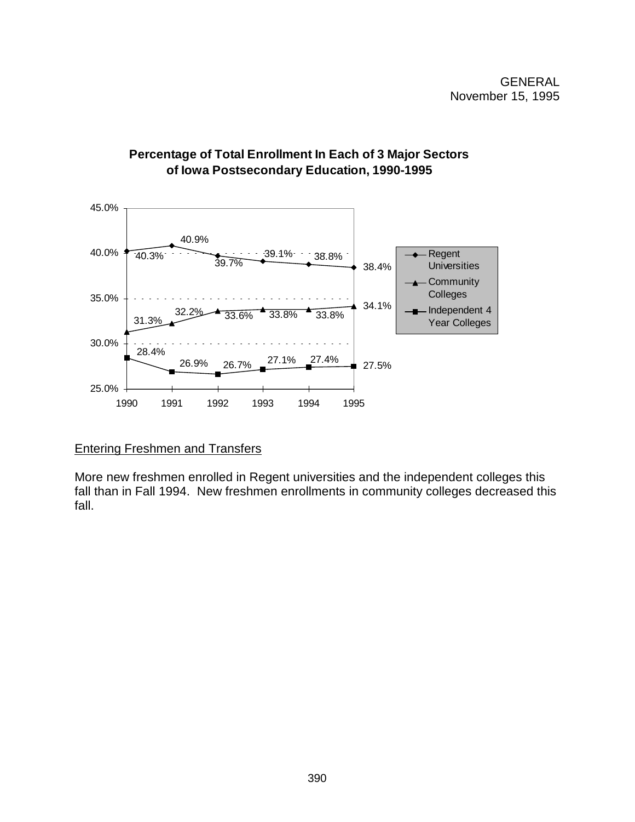

# **Percentage of Total Enrollment In Each of 3 Major Sectors of Iowa Postsecondary Education, 1990-1995**

# Entering Freshmen and Transfers

More new freshmen enrolled in Regent universities and the independent colleges this fall than in Fall 1994. New freshmen enrollments in community colleges decreased this fall.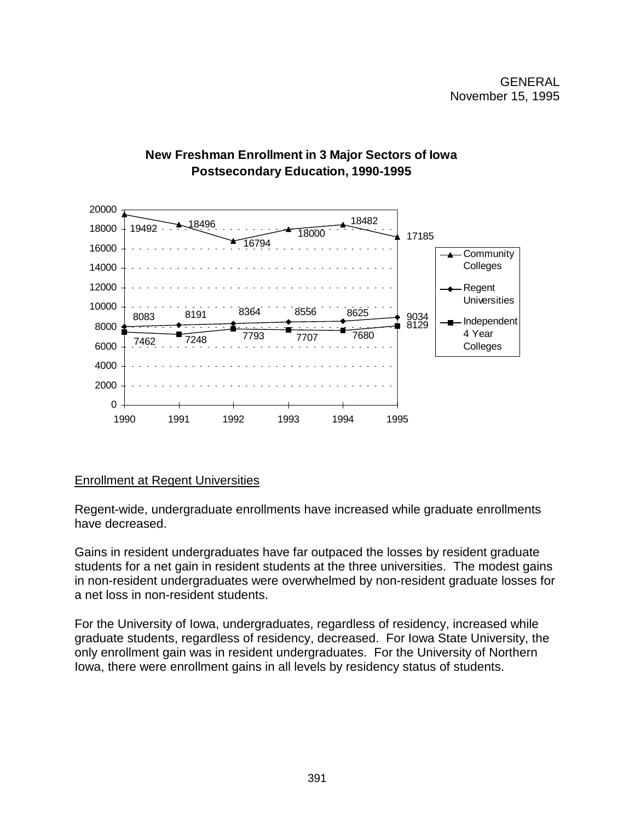

# **New Freshman Enrollment in 3 Major Sectors of Iowa Postsecondary Education, 1990-1995**

# Enrollment at Regent Universities

Regent-wide, undergraduate enrollments have increased while graduate enrollments have decreased.

Gains in resident undergraduates have far outpaced the losses by resident graduate students for a net gain in resident students at the three universities. The modest gains in non-resident undergraduates were overwhelmed by non-resident graduate losses for a net loss in non-resident students.

For the University of Iowa, undergraduates, regardless of residency, increased while graduate students, regardless of residency, decreased. For Iowa State University, the only enrollment gain was in resident undergraduates. For the University of Northern Iowa, there were enrollment gains in all levels by residency status of students.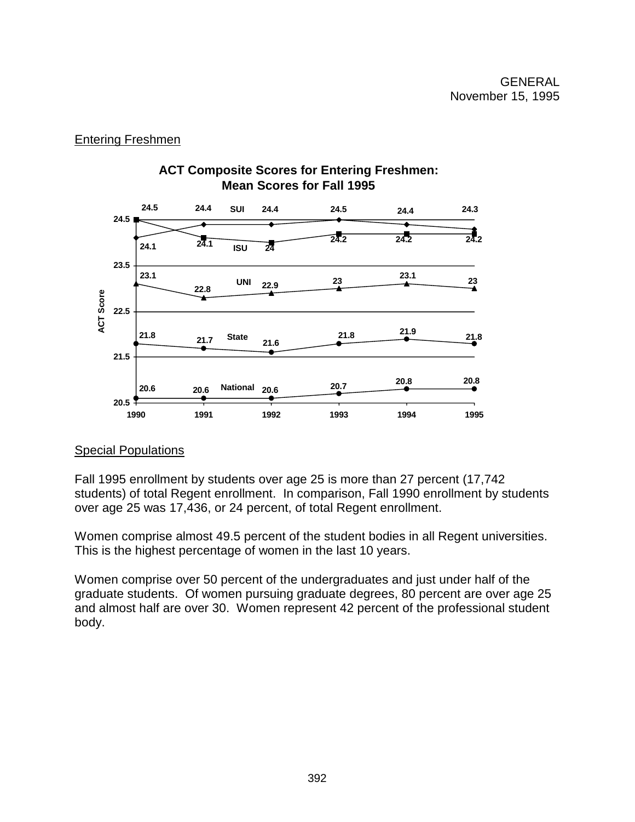# Entering Freshmen



# Special Populations

Fall 1995 enrollment by students over age 25 is more than 27 percent (17,742 students) of total Regent enrollment. In comparison, Fall 1990 enrollment by students over age 25 was 17,436, or 24 percent, of total Regent enrollment.

Women comprise almost 49.5 percent of the student bodies in all Regent universities. This is the highest percentage of women in the last 10 years.

Women comprise over 50 percent of the undergraduates and just under half of the graduate students. Of women pursuing graduate degrees, 80 percent are over age 25 and almost half are over 30. Women represent 42 percent of the professional student body.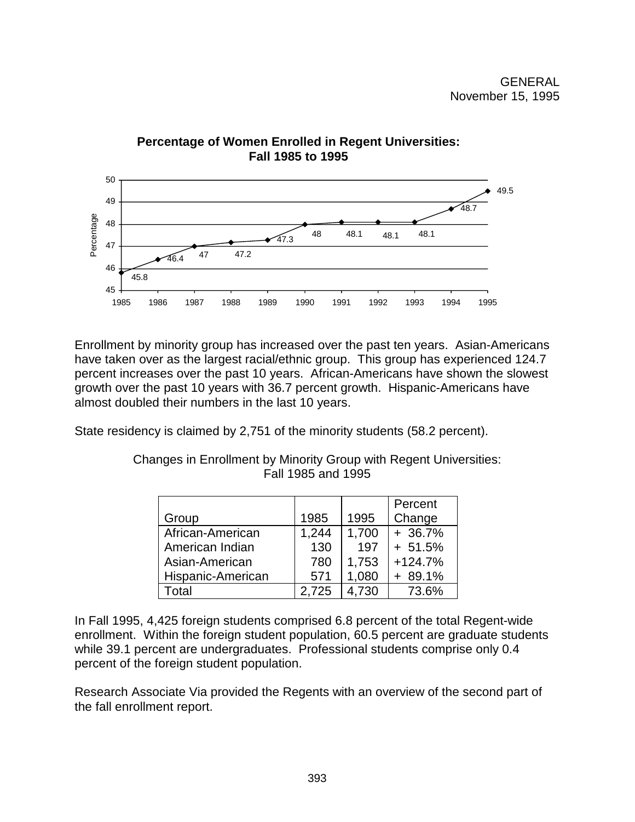

Enrollment by minority group has increased over the past ten years. Asian-Americans have taken over as the largest racial/ethnic group. This group has experienced 124.7 percent increases over the past 10 years. African-Americans have shown the slowest growth over the past 10 years with 36.7 percent growth. Hispanic-Americans have almost doubled their numbers in the last 10 years.

State residency is claimed by 2,751 of the minority students (58.2 percent).

|                   |       |       | Percent   |
|-------------------|-------|-------|-----------|
| Group             | 1985  | 1995  | Change    |
| African-American  | 1,244 | 1,700 | $+36.7%$  |
| American Indian   | 130   | 197   | $+ 51.5%$ |
| Asian-American    | 780   | 1,753 | $+124.7%$ |
| Hispanic-American | 571   | 1,080 | $+89.1%$  |
| Total             | 2,725 | 4,730 | 73.6%     |

Changes in Enrollment by Minority Group with Regent Universities: Fall 1985 and 1995

In Fall 1995, 4,425 foreign students comprised 6.8 percent of the total Regent-wide enrollment. Within the foreign student population, 60.5 percent are graduate students while 39.1 percent are undergraduates. Professional students comprise only 0.4 percent of the foreign student population.

Research Associate Via provided the Regents with an overview of the second part of the fall enrollment report.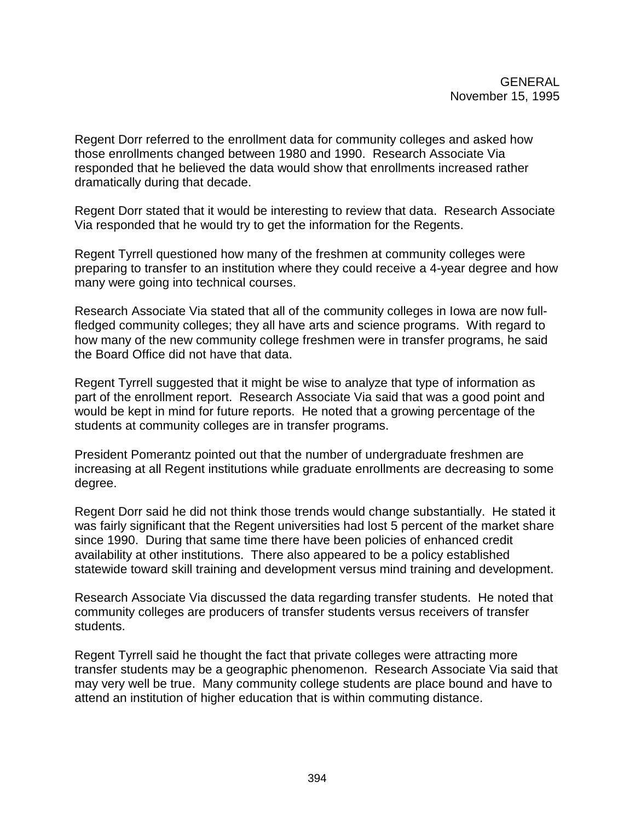Regent Dorr referred to the enrollment data for community colleges and asked how those enrollments changed between 1980 and 1990. Research Associate Via responded that he believed the data would show that enrollments increased rather dramatically during that decade.

Regent Dorr stated that it would be interesting to review that data. Research Associate Via responded that he would try to get the information for the Regents.

Regent Tyrrell questioned how many of the freshmen at community colleges were preparing to transfer to an institution where they could receive a 4-year degree and how many were going into technical courses.

Research Associate Via stated that all of the community colleges in Iowa are now fullfledged community colleges; they all have arts and science programs. With regard to how many of the new community college freshmen were in transfer programs, he said the Board Office did not have that data.

Regent Tyrrell suggested that it might be wise to analyze that type of information as part of the enrollment report. Research Associate Via said that was a good point and would be kept in mind for future reports. He noted that a growing percentage of the students at community colleges are in transfer programs.

President Pomerantz pointed out that the number of undergraduate freshmen are increasing at all Regent institutions while graduate enrollments are decreasing to some degree.

Regent Dorr said he did not think those trends would change substantially. He stated it was fairly significant that the Regent universities had lost 5 percent of the market share since 1990. During that same time there have been policies of enhanced credit availability at other institutions. There also appeared to be a policy established statewide toward skill training and development versus mind training and development.

Research Associate Via discussed the data regarding transfer students. He noted that community colleges are producers of transfer students versus receivers of transfer students.

Regent Tyrrell said he thought the fact that private colleges were attracting more transfer students may be a geographic phenomenon. Research Associate Via said that may very well be true. Many community college students are place bound and have to attend an institution of higher education that is within commuting distance.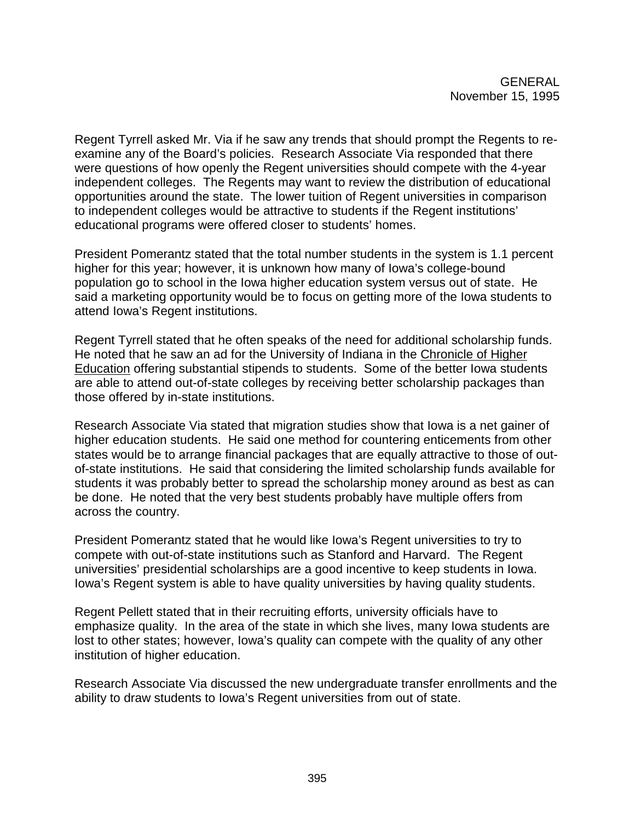Regent Tyrrell asked Mr. Via if he saw any trends that should prompt the Regents to reexamine any of the Board's policies. Research Associate Via responded that there were questions of how openly the Regent universities should compete with the 4-year independent colleges. The Regents may want to review the distribution of educational opportunities around the state. The lower tuition of Regent universities in comparison to independent colleges would be attractive to students if the Regent institutions' educational programs were offered closer to students' homes.

President Pomerantz stated that the total number students in the system is 1.1 percent higher for this year; however, it is unknown how many of Iowa's college-bound population go to school in the Iowa higher education system versus out of state. He said a marketing opportunity would be to focus on getting more of the Iowa students to attend Iowa's Regent institutions.

Regent Tyrrell stated that he often speaks of the need for additional scholarship funds. He noted that he saw an ad for the University of Indiana in the Chronicle of Higher Education offering substantial stipends to students. Some of the better Iowa students are able to attend out-of-state colleges by receiving better scholarship packages than those offered by in-state institutions.

Research Associate Via stated that migration studies show that Iowa is a net gainer of higher education students. He said one method for countering enticements from other states would be to arrange financial packages that are equally attractive to those of outof-state institutions. He said that considering the limited scholarship funds available for students it was probably better to spread the scholarship money around as best as can be done. He noted that the very best students probably have multiple offers from across the country.

President Pomerantz stated that he would like Iowa's Regent universities to try to compete with out-of-state institutions such as Stanford and Harvard. The Regent universities' presidential scholarships are a good incentive to keep students in Iowa. Iowa's Regent system is able to have quality universities by having quality students.

Regent Pellett stated that in their recruiting efforts, university officials have to emphasize quality. In the area of the state in which she lives, many Iowa students are lost to other states; however, Iowa's quality can compete with the quality of any other institution of higher education.

Research Associate Via discussed the new undergraduate transfer enrollments and the ability to draw students to Iowa's Regent universities from out of state.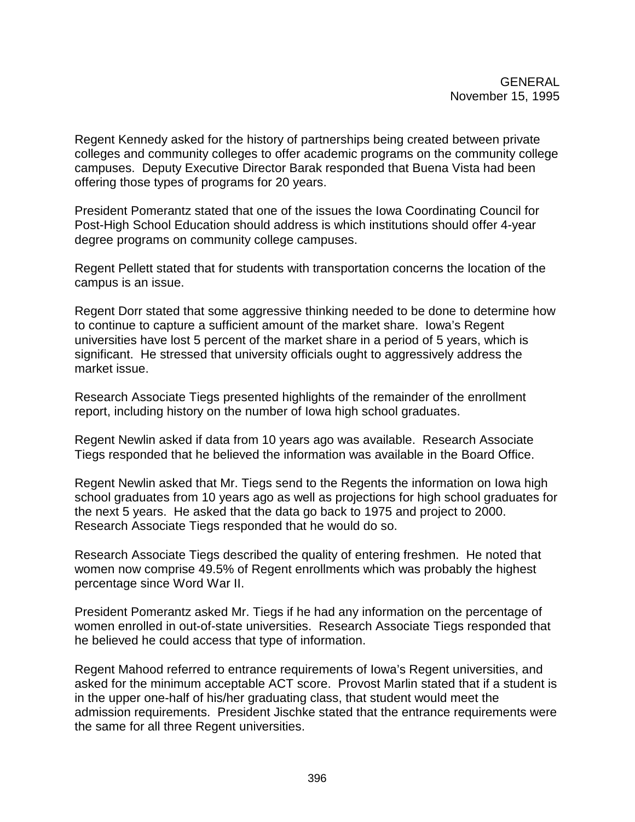Regent Kennedy asked for the history of partnerships being created between private colleges and community colleges to offer academic programs on the community college campuses. Deputy Executive Director Barak responded that Buena Vista had been offering those types of programs for 20 years.

President Pomerantz stated that one of the issues the Iowa Coordinating Council for Post-High School Education should address is which institutions should offer 4-year degree programs on community college campuses.

Regent Pellett stated that for students with transportation concerns the location of the campus is an issue.

Regent Dorr stated that some aggressive thinking needed to be done to determine how to continue to capture a sufficient amount of the market share. Iowa's Regent universities have lost 5 percent of the market share in a period of 5 years, which is significant. He stressed that university officials ought to aggressively address the market issue.

Research Associate Tiegs presented highlights of the remainder of the enrollment report, including history on the number of Iowa high school graduates.

Regent Newlin asked if data from 10 years ago was available. Research Associate Tiegs responded that he believed the information was available in the Board Office.

Regent Newlin asked that Mr. Tiegs send to the Regents the information on Iowa high school graduates from 10 years ago as well as projections for high school graduates for the next 5 years. He asked that the data go back to 1975 and project to 2000. Research Associate Tiegs responded that he would do so.

Research Associate Tiegs described the quality of entering freshmen. He noted that women now comprise 49.5% of Regent enrollments which was probably the highest percentage since Word War II.

President Pomerantz asked Mr. Tiegs if he had any information on the percentage of women enrolled in out-of-state universities. Research Associate Tiegs responded that he believed he could access that type of information.

Regent Mahood referred to entrance requirements of Iowa's Regent universities, and asked for the minimum acceptable ACT score. Provost Marlin stated that if a student is in the upper one-half of his/her graduating class, that student would meet the admission requirements. President Jischke stated that the entrance requirements were the same for all three Regent universities.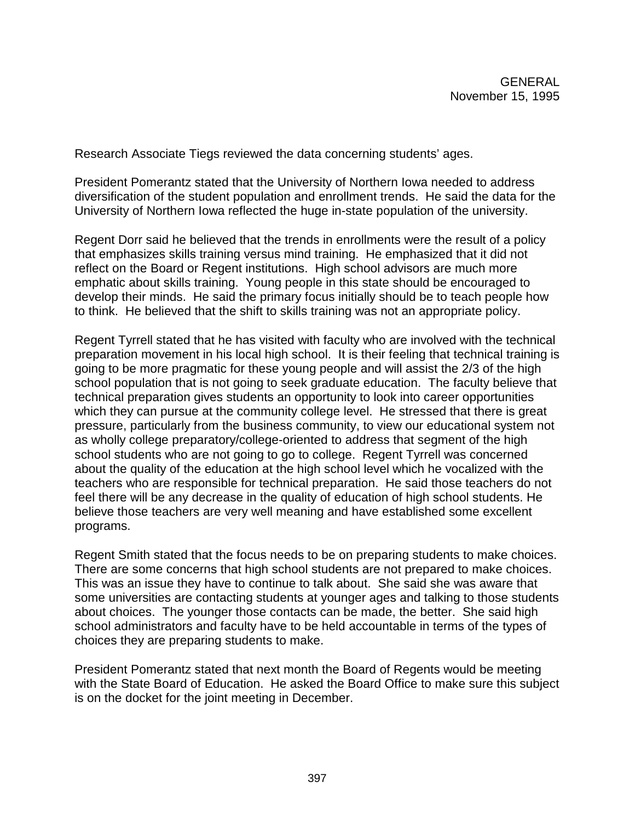Research Associate Tiegs reviewed the data concerning students' ages.

President Pomerantz stated that the University of Northern Iowa needed to address diversification of the student population and enrollment trends. He said the data for the University of Northern Iowa reflected the huge in-state population of the university.

Regent Dorr said he believed that the trends in enrollments were the result of a policy that emphasizes skills training versus mind training. He emphasized that it did not reflect on the Board or Regent institutions. High school advisors are much more emphatic about skills training. Young people in this state should be encouraged to develop their minds. He said the primary focus initially should be to teach people how to think. He believed that the shift to skills training was not an appropriate policy.

Regent Tyrrell stated that he has visited with faculty who are involved with the technical preparation movement in his local high school. It is their feeling that technical training is going to be more pragmatic for these young people and will assist the 2/3 of the high school population that is not going to seek graduate education. The faculty believe that technical preparation gives students an opportunity to look into career opportunities which they can pursue at the community college level. He stressed that there is great pressure, particularly from the business community, to view our educational system not as wholly college preparatory/college-oriented to address that segment of the high school students who are not going to go to college. Regent Tyrrell was concerned about the quality of the education at the high school level which he vocalized with the teachers who are responsible for technical preparation. He said those teachers do not feel there will be any decrease in the quality of education of high school students. He believe those teachers are very well meaning and have established some excellent programs.

Regent Smith stated that the focus needs to be on preparing students to make choices. There are some concerns that high school students are not prepared to make choices. This was an issue they have to continue to talk about. She said she was aware that some universities are contacting students at younger ages and talking to those students about choices. The younger those contacts can be made, the better. She said high school administrators and faculty have to be held accountable in terms of the types of choices they are preparing students to make.

President Pomerantz stated that next month the Board of Regents would be meeting with the State Board of Education. He asked the Board Office to make sure this subject is on the docket for the joint meeting in December.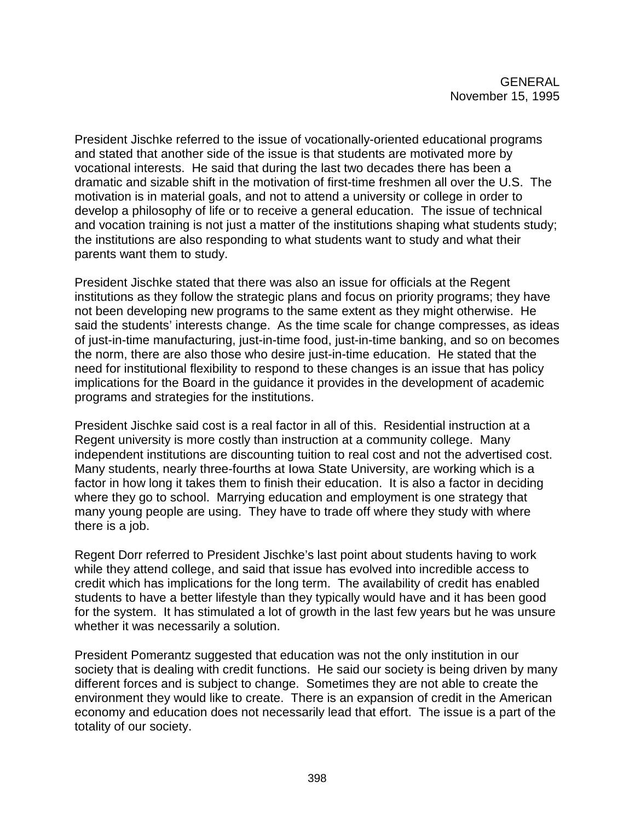President Jischke referred to the issue of vocationally-oriented educational programs and stated that another side of the issue is that students are motivated more by vocational interests. He said that during the last two decades there has been a dramatic and sizable shift in the motivation of first-time freshmen all over the U.S. The motivation is in material goals, and not to attend a university or college in order to develop a philosophy of life or to receive a general education. The issue of technical and vocation training is not just a matter of the institutions shaping what students study; the institutions are also responding to what students want to study and what their parents want them to study.

President Jischke stated that there was also an issue for officials at the Regent institutions as they follow the strategic plans and focus on priority programs; they have not been developing new programs to the same extent as they might otherwise. He said the students' interests change. As the time scale for change compresses, as ideas of just-in-time manufacturing, just-in-time food, just-in-time banking, and so on becomes the norm, there are also those who desire just-in-time education. He stated that the need for institutional flexibility to respond to these changes is an issue that has policy implications for the Board in the guidance it provides in the development of academic programs and strategies for the institutions.

President Jischke said cost is a real factor in all of this. Residential instruction at a Regent university is more costly than instruction at a community college. Many independent institutions are discounting tuition to real cost and not the advertised cost. Many students, nearly three-fourths at Iowa State University, are working which is a factor in how long it takes them to finish their education. It is also a factor in deciding where they go to school. Marrying education and employment is one strategy that many young people are using. They have to trade off where they study with where there is a job.

Regent Dorr referred to President Jischke's last point about students having to work while they attend college, and said that issue has evolved into incredible access to credit which has implications for the long term. The availability of credit has enabled students to have a better lifestyle than they typically would have and it has been good for the system. It has stimulated a lot of growth in the last few years but he was unsure whether it was necessarily a solution.

President Pomerantz suggested that education was not the only institution in our society that is dealing with credit functions. He said our society is being driven by many different forces and is subject to change. Sometimes they are not able to create the environment they would like to create. There is an expansion of credit in the American economy and education does not necessarily lead that effort. The issue is a part of the totality of our society.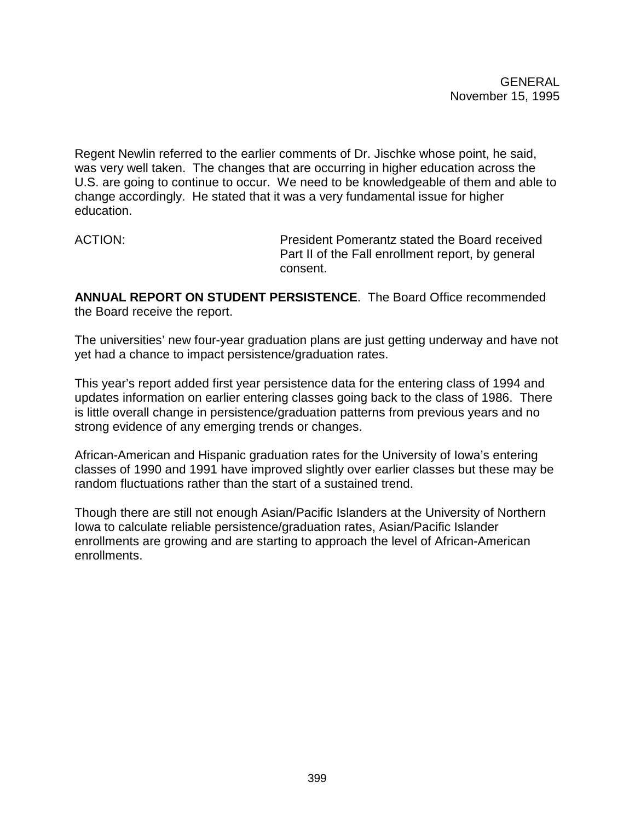Regent Newlin referred to the earlier comments of Dr. Jischke whose point, he said, was very well taken. The changes that are occurring in higher education across the U.S. are going to continue to occur. We need to be knowledgeable of them and able to change accordingly. He stated that it was a very fundamental issue for higher education.

ACTION: President Pomerantz stated the Board received Part II of the Fall enrollment report, by general consent.

**ANNUAL REPORT ON STUDENT PERSISTENCE**. The Board Office recommended the Board receive the report.

The universities' new four-year graduation plans are just getting underway and have not yet had a chance to impact persistence/graduation rates.

This year's report added first year persistence data for the entering class of 1994 and updates information on earlier entering classes going back to the class of 1986. There is little overall change in persistence/graduation patterns from previous years and no strong evidence of any emerging trends or changes.

African-American and Hispanic graduation rates for the University of Iowa's entering classes of 1990 and 1991 have improved slightly over earlier classes but these may be random fluctuations rather than the start of a sustained trend.

Though there are still not enough Asian/Pacific Islanders at the University of Northern Iowa to calculate reliable persistence/graduation rates, Asian/Pacific Islander enrollments are growing and are starting to approach the level of African-American enrollments.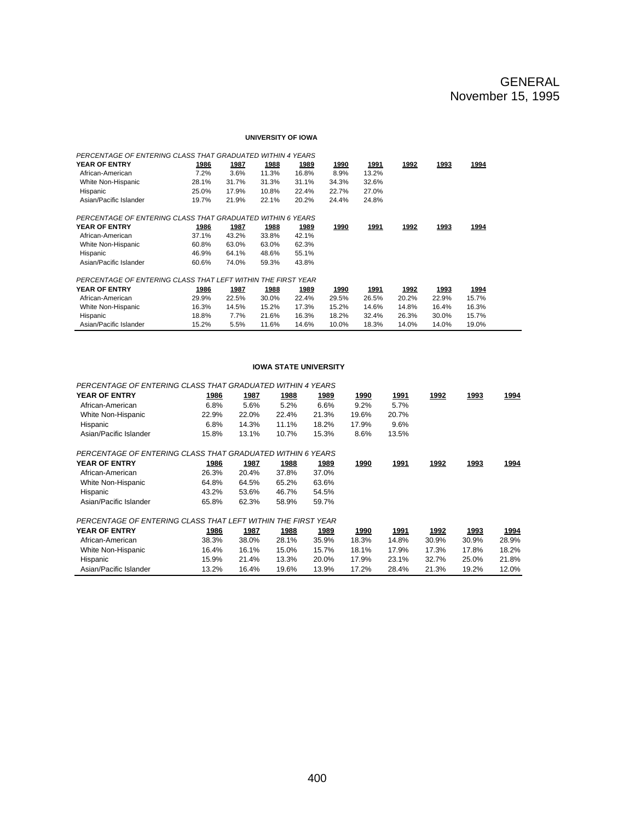#### **UNIVERSITY OF IOWA**

| PERCENTAGE OF ENTERING CLASS THAT GRADUATED WITHIN 4 YEARS   |              |              |       |              |              |              |              |       |       |  |
|--------------------------------------------------------------|--------------|--------------|-------|--------------|--------------|--------------|--------------|-------|-------|--|
| YEAR OF ENTRY                                                | 1986         | 1987         | 1988  | 1989         | <u> 1990</u> | 1991         | 1992         | 1993  | 1994  |  |
| African-American                                             | 7.2%         | 3.6%         | 11.3% | 16.8%        | 8.9%         | 13.2%        |              |       |       |  |
| White Non-Hispanic                                           | 28.1%        | 31.7%        | 31.3% | 31.1%        | 34.3%        | 32.6%        |              |       |       |  |
| Hispanic                                                     | 25.0%        | 17.9%        | 10.8% | 22.4%        | 22.7%        | 27.0%        |              |       |       |  |
| Asian/Pacific Islander                                       | 19.7%        | 21.9%        | 22.1% | 20.2%        | 24.4%        | 24.8%        |              |       |       |  |
| PERCENTAGE OF ENTERING CLASS THAT GRADUATED WITHIN 6 YEARS   |              |              |       |              |              |              |              |       |       |  |
| YEAR OF ENTRY                                                | <u> 1986</u> | <u> 1987</u> | 1988  | <u> 1989</u> | <u> 1990</u> | <u> 1991</u> | <u> 1992</u> | 1993  | 1994  |  |
| African-American                                             | 37.1%        | 43.2%        | 33.8% | 42.1%        |              |              |              |       |       |  |
| White Non-Hispanic                                           | 60.8%        | 63.0%        | 63.0% | 62.3%        |              |              |              |       |       |  |
| Hispanic                                                     | 46.9%        | 64.1%        | 48.6% | 55.1%        |              |              |              |       |       |  |
| Asian/Pacific Islander                                       | 60.6%        | 74.0%        | 59.3% | 43.8%        |              |              |              |       |       |  |
| PERCENTAGE OF ENTERING CLASS THAT LEFT WITHIN THE FIRST YEAR |              |              |       |              |              |              |              |       |       |  |
| YEAR OF ENTRY                                                | 1986         | 1987         | 1988  | 1989         | 1990         | 1991         | 1992         | 1993  | 1994  |  |
| African-American                                             | 29.9%        | 22.5%        | 30.0% | 22.4%        | 29.5%        | 26.5%        | 20.2%        | 22.9% | 15.7% |  |
| White Non-Hispanic                                           | 16.3%        | 14.5%        | 15.2% | 17.3%        | 15.2%        | 14.6%        | 14.8%        | 16.4% | 16.3% |  |
| Hispanic                                                     | 18.8%        | 7.7%         | 21.6% | 16.3%        | 18.2%        | 32.4%        | 26.3%        | 30.0% | 15.7% |  |
| Asian/Pacific Islander                                       | 15.2%        | 5.5%         | 11.6% | 14.6%        | 10.0%        | 18.3%        | 14.0%        | 14.0% | 19.0% |  |

#### **IOWA STATE UNIVERSITY**

| PERCENTAGE OF ENTERING CLASS THAT GRADUATED WITHIN 4 YEARS   |       |       |       |       |       |             |       |       |              |
|--------------------------------------------------------------|-------|-------|-------|-------|-------|-------------|-------|-------|--------------|
| <b>YEAR OF ENTRY</b>                                         | 1986  | 1987  | 1988  | 1989  | 1990  | <u>1991</u> | 1992  | 1993  | <u> 1994</u> |
| African-American                                             | 6.8%  | 5.6%  | 5.2%  | 6.6%  | 9.2%  | 5.7%        |       |       |              |
| White Non-Hispanic                                           | 22.9% | 22.0% | 22.4% | 21.3% | 19.6% | 20.7%       |       |       |              |
| Hispanic                                                     | 6.8%  | 14.3% | 11.1% | 18.2% | 17.9% | 9.6%        |       |       |              |
| Asian/Pacific Islander                                       | 15.8% | 13.1% | 10.7% | 15.3% | 8.6%  | 13.5%       |       |       |              |
| PERCENTAGE OF ENTERING CLASS THAT GRADUATED WITHIN 6 YEARS   |       |       |       |       |       |             |       |       |              |
| YEAR OF ENTRY                                                | 1986  | 1987  | 1988  | 1989  | 1990  | 1991        | 1992  | 1993  | 1994         |
| African-American                                             | 26.3% | 20.4% | 37.8% | 37.0% |       |             |       |       |              |
| White Non-Hispanic                                           | 64.8% | 64.5% | 65.2% | 63.6% |       |             |       |       |              |
| Hispanic                                                     | 43.2% | 53.6% | 46.7% | 54.5% |       |             |       |       |              |
| Asian/Pacific Islander                                       | 65.8% | 62.3% | 58.9% | 59.7% |       |             |       |       |              |
| PERCENTAGE OF ENTERING CLASS THAT LEFT WITHIN THE FIRST YEAR |       |       |       |       |       |             |       |       |              |
| <b>YEAR OF ENTRY</b>                                         | 1986  | 1987  | 1988  | 1989  | 1990  | 1991        | 1992  | 1993  | 1994         |
| African-American                                             | 38.3% | 38.0% | 28.1% | 35.9% | 18.3% | 14.8%       | 30.9% | 30.9% | 28.9%        |
| White Non-Hispanic                                           | 16.4% | 16.1% | 15.0% | 15.7% | 18.1% | 17.9%       | 17.3% | 17.8% | 18.2%        |
| Hispanic                                                     | 15.9% | 21.4% | 13.3% | 20.0% | 17.9% | 23.1%       | 32.7% | 25.0% | 21.8%        |
| Asian/Pacific Islander                                       | 13.2% | 16.4% | 19.6% | 13.9% | 17.2% | 28.4%       | 21.3% | 19.2% | 12.0%        |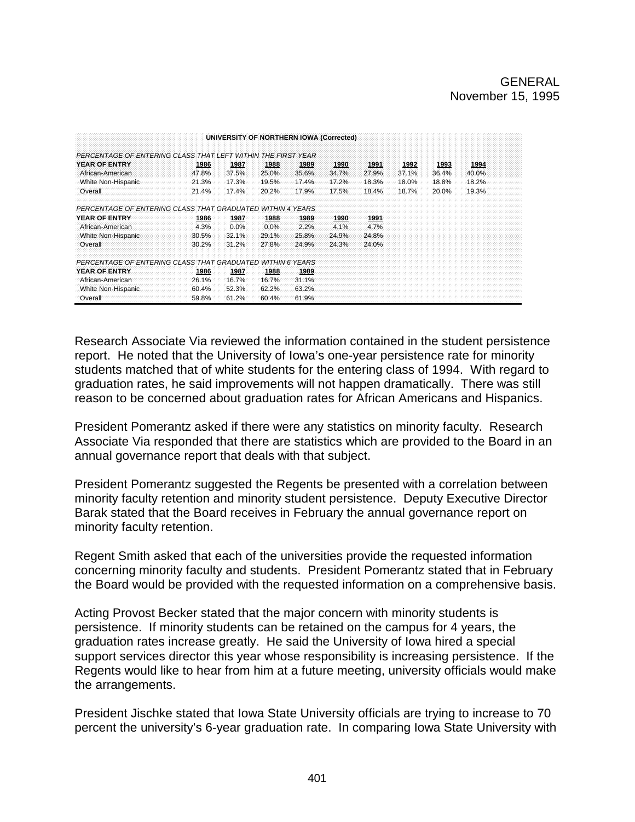|                                                              |       |       |       | UNIVERSITY OF NORTHERN IOWA (Corrected) |       |       |       |       |       |  |
|--------------------------------------------------------------|-------|-------|-------|-----------------------------------------|-------|-------|-------|-------|-------|--|
| PERCENTAGE OF ENTERING CLASS THAT LEFT WITHIN THE FIRST YEAR |       |       |       |                                         |       |       |       |       |       |  |
| YEAR OF ENTRY                                                | 1986  | 1987  | 1988  | 1989                                    | 1990  | 1991  | 1992  | 1993  | 1994  |  |
| African-American                                             | 47.8% | 37.5% | 25.0% | 35.6%                                   | 34.7% | 27.9% | 37.1% | 36.4% | 40.0% |  |
| White Non-Hispanic                                           | 21.3% | 17.3% | 19.5% | 17.4%                                   | 17.2% | 18.3% | 18.0% | 18.8% | 18.2% |  |
| Overall                                                      | 21.4% | 17.4% | 20.2% | 17.9%                                   | 17.5% | 18.4% | 18.7% | 20.0% | 19.3% |  |
| PERCENTAGE OF ENTERING CLASS THAT GRADUATED WITHIN 4 YEARS   |       |       |       |                                         |       |       |       |       |       |  |
| YEAR OF ENTRY                                                | 1986  | 1987  | 1988  | 1989                                    | 1990  | 1991  |       |       |       |  |
| African-American                                             | 4.3%  | 0.0%  | 0.0%  | 2.2%                                    | 4.1%  | 4.7%  |       |       |       |  |
| White Non-Hispanic                                           | 30.5% | 32.1% | 29.1% | 25.8%                                   | 24.9% | 24.8% |       |       |       |  |
| Overall                                                      | 30.2% | 31.2% | 27.8% | 24.9%                                   | 24.3% | 24.0% |       |       |       |  |
| PERCENTAGE OF ENTERING CLASS THAT GRADUATED WITHIN 6 YEARS   |       |       |       |                                         |       |       |       |       |       |  |
| YEAR OF ENTRY                                                | 1986  | 1987  | 1988  | 1989                                    |       |       |       |       |       |  |
| African-American                                             | 26.1% | 16.7% | 16.7% | 31.1%                                   |       |       |       |       |       |  |
| White Non-Hispanic                                           | 60.4% | 52.3% | 62.2% | 63.2%                                   |       |       |       |       |       |  |
| Overall                                                      | 59.8% | 61.2% | 60.4% | 61.9%                                   |       |       |       |       |       |  |

Research Associate Via reviewed the information contained in the student persistence report. He noted that the University of Iowa's one-year persistence rate for minority students matched that of white students for the entering class of 1994. With regard to graduation rates, he said improvements will not happen dramatically. There was still reason to be concerned about graduation rates for African Americans and Hispanics.

President Pomerantz asked if there were any statistics on minority faculty. Research Associate Via responded that there are statistics which are provided to the Board in an annual governance report that deals with that subject.

President Pomerantz suggested the Regents be presented with a correlation between minority faculty retention and minority student persistence. Deputy Executive Director Barak stated that the Board receives in February the annual governance report on minority faculty retention.

Regent Smith asked that each of the universities provide the requested information concerning minority faculty and students. President Pomerantz stated that in February the Board would be provided with the requested information on a comprehensive basis.

Acting Provost Becker stated that the major concern with minority students is persistence. If minority students can be retained on the campus for 4 years, the graduation rates increase greatly. He said the University of Iowa hired a special support services director this year whose responsibility is increasing persistence. If the Regents would like to hear from him at a future meeting, university officials would make the arrangements.

President Jischke stated that Iowa State University officials are trying to increase to 70 percent the university's 6-year graduation rate. In comparing Iowa State University with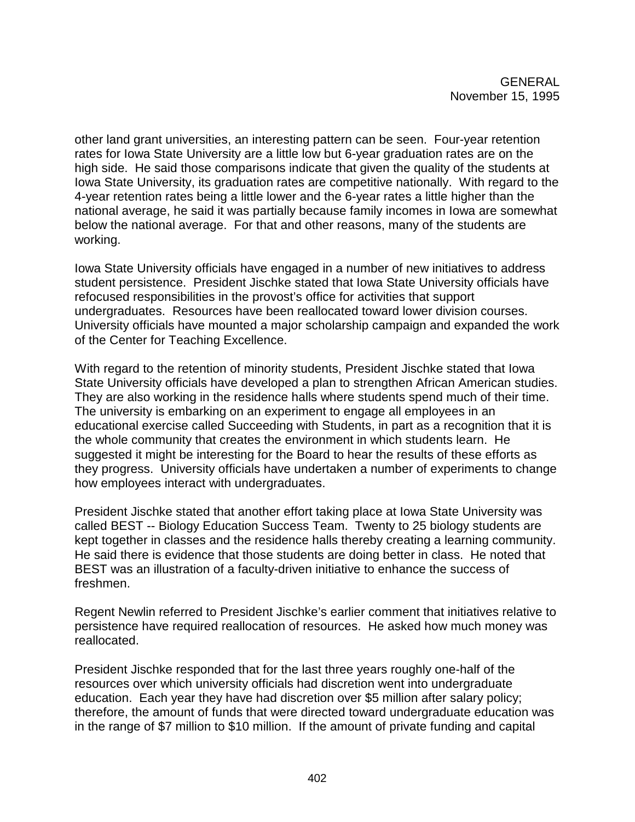other land grant universities, an interesting pattern can be seen. Four-year retention rates for Iowa State University are a little low but 6-year graduation rates are on the high side. He said those comparisons indicate that given the quality of the students at Iowa State University, its graduation rates are competitive nationally. With regard to the 4-year retention rates being a little lower and the 6-year rates a little higher than the national average, he said it was partially because family incomes in Iowa are somewhat below the national average. For that and other reasons, many of the students are working.

Iowa State University officials have engaged in a number of new initiatives to address student persistence. President Jischke stated that Iowa State University officials have refocused responsibilities in the provost's office for activities that support undergraduates. Resources have been reallocated toward lower division courses. University officials have mounted a major scholarship campaign and expanded the work of the Center for Teaching Excellence.

With regard to the retention of minority students, President Jischke stated that Iowa State University officials have developed a plan to strengthen African American studies. They are also working in the residence halls where students spend much of their time. The university is embarking on an experiment to engage all employees in an educational exercise called Succeeding with Students, in part as a recognition that it is the whole community that creates the environment in which students learn. He suggested it might be interesting for the Board to hear the results of these efforts as they progress. University officials have undertaken a number of experiments to change how employees interact with undergraduates.

President Jischke stated that another effort taking place at Iowa State University was called BEST -- Biology Education Success Team. Twenty to 25 biology students are kept together in classes and the residence halls thereby creating a learning community. He said there is evidence that those students are doing better in class. He noted that BEST was an illustration of a faculty-driven initiative to enhance the success of freshmen.

Regent Newlin referred to President Jischke's earlier comment that initiatives relative to persistence have required reallocation of resources. He asked how much money was reallocated.

President Jischke responded that for the last three years roughly one-half of the resources over which university officials had discretion went into undergraduate education. Each year they have had discretion over \$5 million after salary policy; therefore, the amount of funds that were directed toward undergraduate education was in the range of \$7 million to \$10 million. If the amount of private funding and capital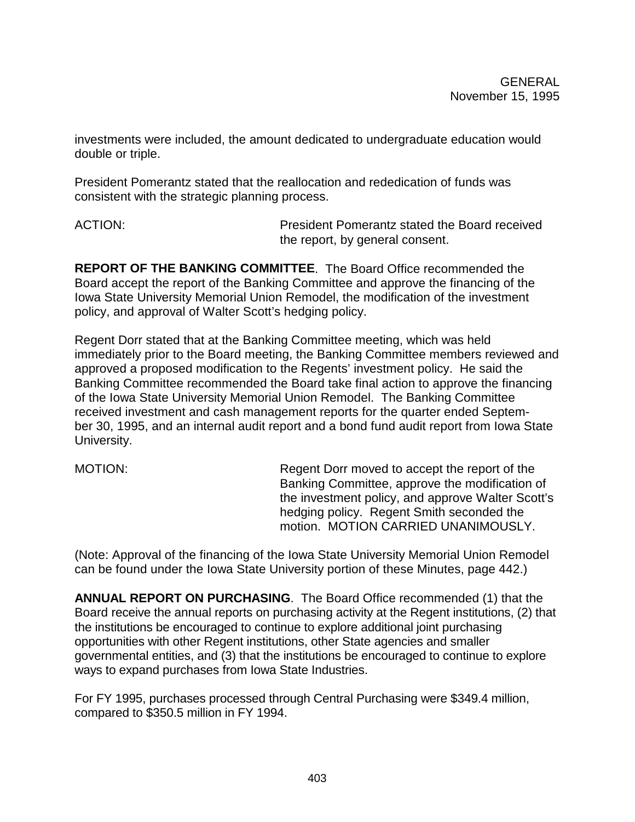investments were included, the amount dedicated to undergraduate education would double or triple.

President Pomerantz stated that the reallocation and rededication of funds was consistent with the strategic planning process.

ACTION: President Pomerantz stated the Board received the report, by general consent.

**REPORT OF THE BANKING COMMITTEE**. The Board Office recommended the Board accept the report of the Banking Committee and approve the financing of the Iowa State University Memorial Union Remodel, the modification of the investment policy, and approval of Walter Scott's hedging policy.

Regent Dorr stated that at the Banking Committee meeting, which was held immediately prior to the Board meeting, the Banking Committee members reviewed and approved a proposed modification to the Regents' investment policy. He said the Banking Committee recommended the Board take final action to approve the financing of the Iowa State University Memorial Union Remodel. The Banking Committee received investment and cash management reports for the quarter ended September 30, 1995, and an internal audit report and a bond fund audit report from Iowa State University.

MOTION: Regent Dorr moved to accept the report of the Banking Committee, approve the modification of the investment policy, and approve Walter Scott's hedging policy. Regent Smith seconded the motion. MOTION CARRIED UNANIMOUSLY.

(Note: Approval of the financing of the Iowa State University Memorial Union Remodel can be found under the Iowa State University portion of these Minutes, page 442.)

**ANNUAL REPORT ON PURCHASING**. The Board Office recommended (1) that the Board receive the annual reports on purchasing activity at the Regent institutions, (2) that the institutions be encouraged to continue to explore additional joint purchasing opportunities with other Regent institutions, other State agencies and smaller governmental entities, and (3) that the institutions be encouraged to continue to explore ways to expand purchases from Iowa State Industries.

For FY 1995, purchases processed through Central Purchasing were \$349.4 million, compared to \$350.5 million in FY 1994.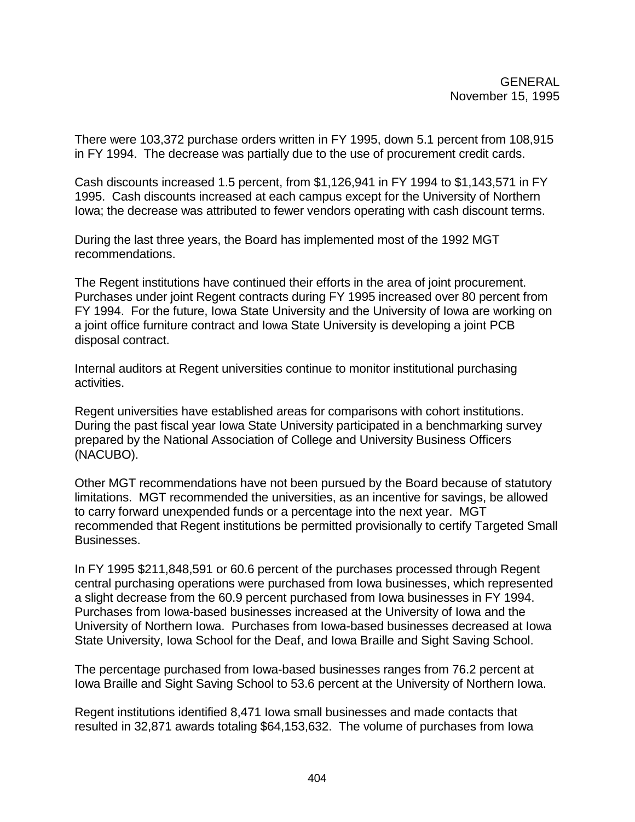There were 103,372 purchase orders written in FY 1995, down 5.1 percent from 108,915 in FY 1994. The decrease was partially due to the use of procurement credit cards.

Cash discounts increased 1.5 percent, from \$1,126,941 in FY 1994 to \$1,143,571 in FY 1995. Cash discounts increased at each campus except for the University of Northern Iowa; the decrease was attributed to fewer vendors operating with cash discount terms.

During the last three years, the Board has implemented most of the 1992 MGT recommendations.

The Regent institutions have continued their efforts in the area of joint procurement. Purchases under joint Regent contracts during FY 1995 increased over 80 percent from FY 1994. For the future, Iowa State University and the University of Iowa are working on a joint office furniture contract and Iowa State University is developing a joint PCB disposal contract.

Internal auditors at Regent universities continue to monitor institutional purchasing activities.

Regent universities have established areas for comparisons with cohort institutions. During the past fiscal year Iowa State University participated in a benchmarking survey prepared by the National Association of College and University Business Officers (NACUBO).

Other MGT recommendations have not been pursued by the Board because of statutory limitations. MGT recommended the universities, as an incentive for savings, be allowed to carry forward unexpended funds or a percentage into the next year. MGT recommended that Regent institutions be permitted provisionally to certify Targeted Small Businesses.

In FY 1995 \$211,848,591 or 60.6 percent of the purchases processed through Regent central purchasing operations were purchased from Iowa businesses, which represented a slight decrease from the 60.9 percent purchased from Iowa businesses in FY 1994. Purchases from Iowa-based businesses increased at the University of Iowa and the University of Northern Iowa. Purchases from Iowa-based businesses decreased at Iowa State University, Iowa School for the Deaf, and Iowa Braille and Sight Saving School.

The percentage purchased from Iowa-based businesses ranges from 76.2 percent at Iowa Braille and Sight Saving School to 53.6 percent at the University of Northern Iowa.

Regent institutions identified 8,471 Iowa small businesses and made contacts that resulted in 32,871 awards totaling \$64,153,632. The volume of purchases from Iowa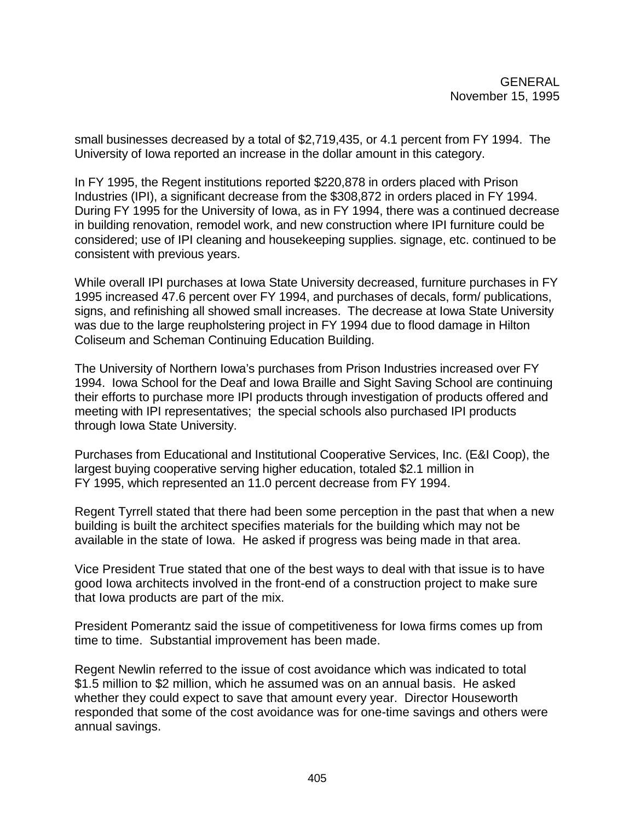small businesses decreased by a total of \$2,719,435, or 4.1 percent from FY 1994. The University of Iowa reported an increase in the dollar amount in this category.

In FY 1995, the Regent institutions reported \$220,878 in orders placed with Prison Industries (IPI), a significant decrease from the \$308,872 in orders placed in FY 1994. During FY 1995 for the University of Iowa, as in FY 1994, there was a continued decrease in building renovation, remodel work, and new construction where IPI furniture could be considered; use of IPI cleaning and housekeeping supplies. signage, etc. continued to be consistent with previous years.

While overall IPI purchases at Iowa State University decreased, furniture purchases in FY 1995 increased 47.6 percent over FY 1994, and purchases of decals, form/ publications, signs, and refinishing all showed small increases. The decrease at Iowa State University was due to the large reupholstering project in FY 1994 due to flood damage in Hilton Coliseum and Scheman Continuing Education Building.

The University of Northern Iowa's purchases from Prison Industries increased over FY 1994. Iowa School for the Deaf and Iowa Braille and Sight Saving School are continuing their efforts to purchase more IPI products through investigation of products offered and meeting with IPI representatives; the special schools also purchased IPI products through Iowa State University.

Purchases from Educational and Institutional Cooperative Services, Inc. (E&I Coop), the largest buying cooperative serving higher education, totaled \$2.1 million in FY 1995, which represented an 11.0 percent decrease from FY 1994.

Regent Tyrrell stated that there had been some perception in the past that when a new building is built the architect specifies materials for the building which may not be available in the state of Iowa. He asked if progress was being made in that area.

Vice President True stated that one of the best ways to deal with that issue is to have good Iowa architects involved in the front-end of a construction project to make sure that Iowa products are part of the mix.

President Pomerantz said the issue of competitiveness for Iowa firms comes up from time to time. Substantial improvement has been made.

Regent Newlin referred to the issue of cost avoidance which was indicated to total \$1.5 million to \$2 million, which he assumed was on an annual basis. He asked whether they could expect to save that amount every year. Director Houseworth responded that some of the cost avoidance was for one-time savings and others were annual savings.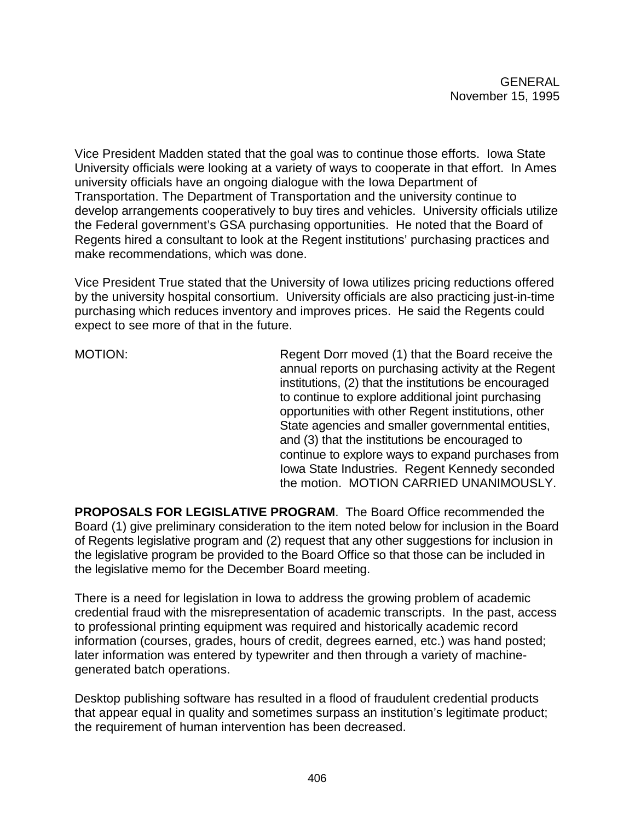Vice President Madden stated that the goal was to continue those efforts. Iowa State University officials were looking at a variety of ways to cooperate in that effort. In Ames university officials have an ongoing dialogue with the Iowa Department of Transportation. The Department of Transportation and the university continue to develop arrangements cooperatively to buy tires and vehicles. University officials utilize the Federal government's GSA purchasing opportunities. He noted that the Board of Regents hired a consultant to look at the Regent institutions' purchasing practices and make recommendations, which was done.

Vice President True stated that the University of Iowa utilizes pricing reductions offered by the university hospital consortium. University officials are also practicing just-in-time purchasing which reduces inventory and improves prices. He said the Regents could expect to see more of that in the future.

MOTION: Regent Dorr moved (1) that the Board receive the annual reports on purchasing activity at the Regent institutions, (2) that the institutions be encouraged to continue to explore additional joint purchasing opportunities with other Regent institutions, other State agencies and smaller governmental entities, and (3) that the institutions be encouraged to continue to explore ways to expand purchases from Iowa State Industries. Regent Kennedy seconded the motion. MOTION CARRIED UNANIMOUSLY.

**PROPOSALS FOR LEGISLATIVE PROGRAM**. The Board Office recommended the Board (1) give preliminary consideration to the item noted below for inclusion in the Board of Regents legislative program and (2) request that any other suggestions for inclusion in the legislative program be provided to the Board Office so that those can be included in the legislative memo for the December Board meeting.

There is a need for legislation in Iowa to address the growing problem of academic credential fraud with the misrepresentation of academic transcripts. In the past, access to professional printing equipment was required and historically academic record information (courses, grades, hours of credit, degrees earned, etc.) was hand posted; later information was entered by typewriter and then through a variety of machinegenerated batch operations.

Desktop publishing software has resulted in a flood of fraudulent credential products that appear equal in quality and sometimes surpass an institution's legitimate product; the requirement of human intervention has been decreased.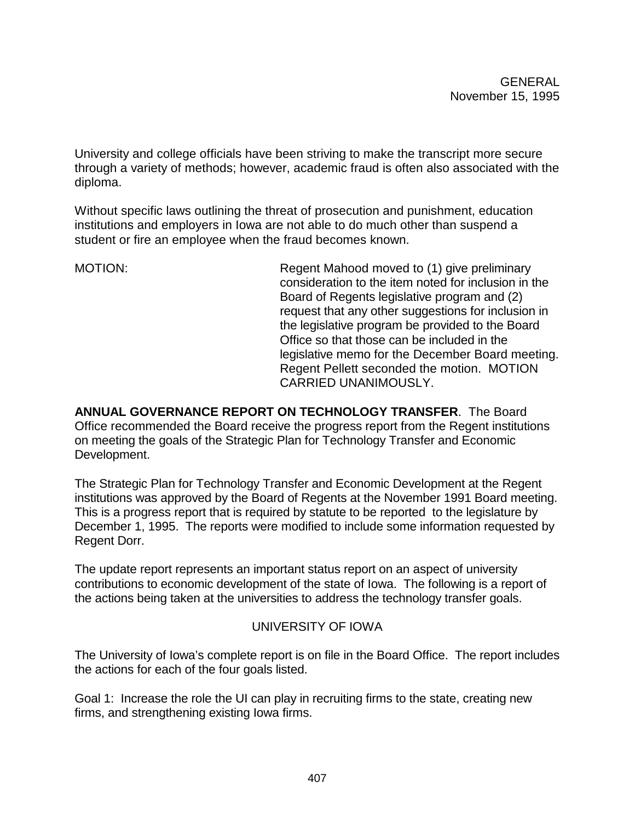University and college officials have been striving to make the transcript more secure through a variety of methods; however, academic fraud is often also associated with the diploma.

Without specific laws outlining the threat of prosecution and punishment, education institutions and employers in Iowa are not able to do much other than suspend a student or fire an employee when the fraud becomes known.

MOTION: Regent Mahood moved to (1) give preliminary consideration to the item noted for inclusion in the Board of Regents legislative program and (2) request that any other suggestions for inclusion in the legislative program be provided to the Board Office so that those can be included in the legislative memo for the December Board meeting. Regent Pellett seconded the motion. MOTION CARRIED UNANIMOUSLY.

**ANNUAL GOVERNANCE REPORT ON TECHNOLOGY TRANSFER**. The Board Office recommended the Board receive the progress report from the Regent institutions on meeting the goals of the Strategic Plan for Technology Transfer and Economic Development.

The Strategic Plan for Technology Transfer and Economic Development at the Regent institutions was approved by the Board of Regents at the November 1991 Board meeting. This is a progress report that is required by statute to be reported to the legislature by December 1, 1995. The reports were modified to include some information requested by Regent Dorr.

The update report represents an important status report on an aspect of university contributions to economic development of the state of Iowa. The following is a report of the actions being taken at the universities to address the technology transfer goals.

# UNIVERSITY OF IOWA

The University of Iowa's complete report is on file in the Board Office. The report includes the actions for each of the four goals listed.

Goal 1: Increase the role the UI can play in recruiting firms to the state, creating new firms, and strengthening existing Iowa firms.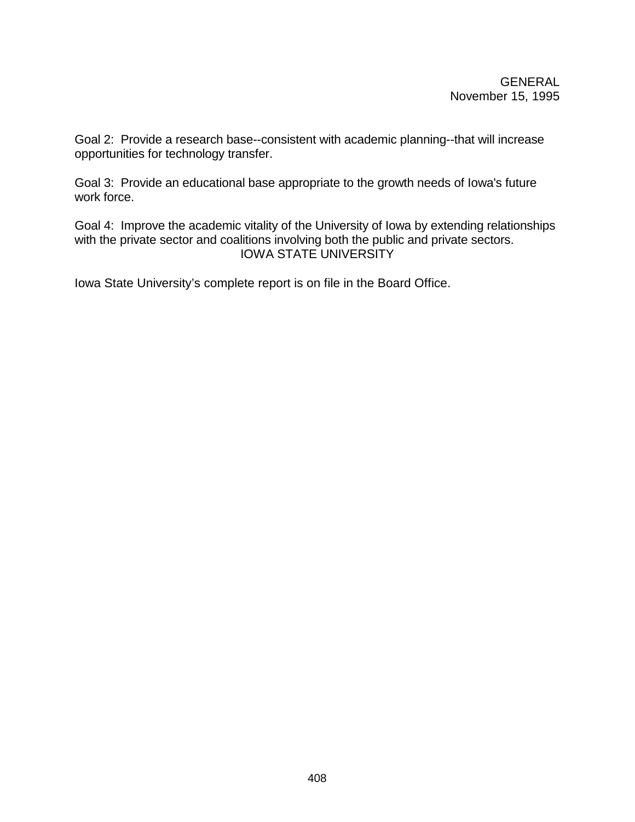Goal 2: Provide a research base--consistent with academic planning--that will increase opportunities for technology transfer.

Goal 3: Provide an educational base appropriate to the growth needs of Iowa's future work force.

Goal 4: Improve the academic vitality of the University of Iowa by extending relationships with the private sector and coalitions involving both the public and private sectors. IOWA STATE UNIVERSITY

Iowa State University's complete report is on file in the Board Office.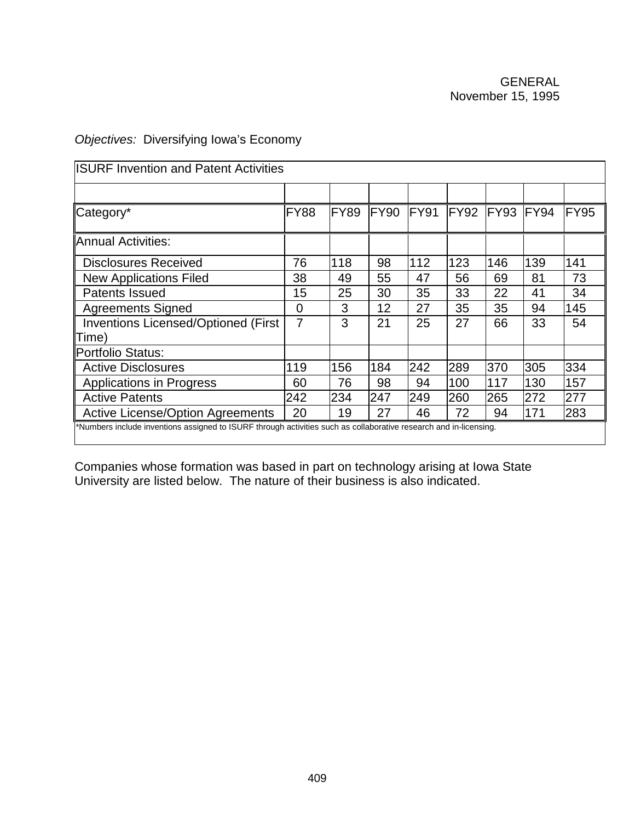# *Objectives:* Diversifying Iowa's Economy

| <b>ISURF Invention and Patent Activities</b>                                                                      |                |             |                  |      |      |      |      |      |
|-------------------------------------------------------------------------------------------------------------------|----------------|-------------|------------------|------|------|------|------|------|
|                                                                                                                   |                |             |                  |      |      |      |      |      |
| Category*                                                                                                         | <b>FY88</b>    | <b>FY89</b> | FY <sub>90</sub> | FY91 | FY92 | FY93 | FY94 | FY95 |
| Annual Activities:                                                                                                |                |             |                  |      |      |      |      |      |
| <b>Disclosures Received</b>                                                                                       | 76             | 118         | 98               | 112  | 123  | 146  | 139  | 141  |
| <b>New Applications Filed</b>                                                                                     | 38             | 49          | 55               | 47   | 56   | 69   | 81   | 73   |
| <b>Patents Issued</b>                                                                                             | 15             | 25          | 30               | 35   | 33   | 22   | 41   | 34   |
| <b>Agreements Signed</b>                                                                                          | $\overline{0}$ | 3           | 12               | 27   | 35   | 35   | 94   | 145  |
| <b>Inventions Licensed/Optioned (First</b><br>Time)                                                               | 7              | 3           | 21               | 25   | 27   | 66   | 33   | 54   |
| <b>Portfolio Status:</b>                                                                                          |                |             |                  |      |      |      |      |      |
| <b>Active Disclosures</b>                                                                                         | 119            | 156         | 184              | 242  | 289  | 370  | 305  | 334  |
| <b>Applications in Progress</b>                                                                                   | 60             | 76          | 98               | 94   | 100  | 117  | 130  | 157  |
| <b>Active Patents</b>                                                                                             | 242            | 234         | 247              | 249  | 260  | 265  | 272  | 277  |
| <b>Active License/Option Agreements</b>                                                                           | 20             | 19          | 27               | 46   | 72   | 94   | 171  | 283  |
| *Numbers include inventions assigned to ISURF through activities such as collaborative research and in-licensing. |                |             |                  |      |      |      |      |      |

Companies whose formation was based in part on technology arising at Iowa State University are listed below.The nature of their business is also indicated.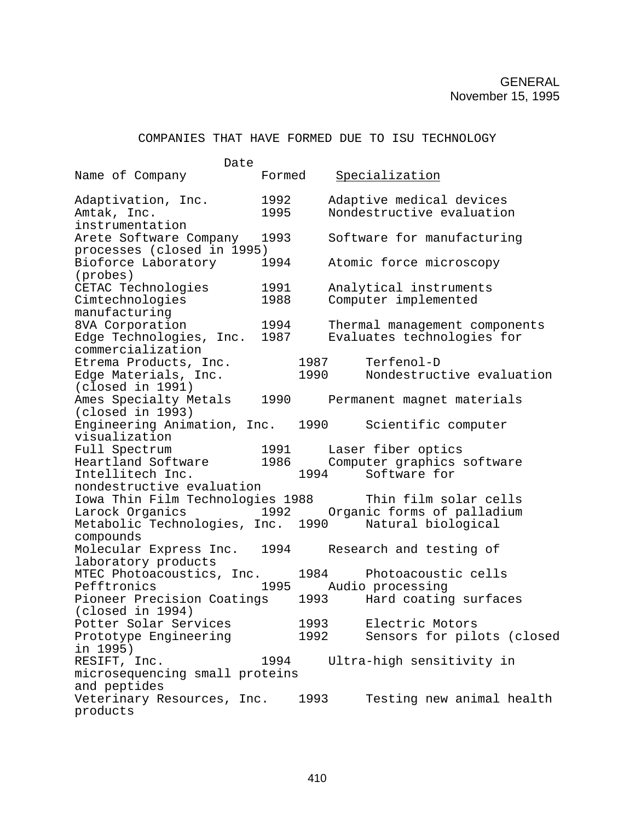#### COMPANIES THAT HAVE FORMED DUE TO ISU TECHNOLOGY

| Date                                                                             |              |              |                                                                                                                                                                                                                                                        |
|----------------------------------------------------------------------------------|--------------|--------------|--------------------------------------------------------------------------------------------------------------------------------------------------------------------------------------------------------------------------------------------------------|
| Name of Company                                                                  | Formed       |              | Specialization                                                                                                                                                                                                                                         |
| Adaptivation, Inc.<br>Amtak, Inc.<br>instrumentation                             | 1992<br>1995 |              | Adaptive medical devices<br>Nondestructive evaluation                                                                                                                                                                                                  |
| Arete Software Company<br>processes (closed in 1995)                             | 1993         |              | Software for manufacturing                                                                                                                                                                                                                             |
| Bioforce Laboratory<br>(probes)                                                  | 1994         |              | Atomic force microscopy                                                                                                                                                                                                                                |
| CETAC Technologies<br>Cimtechnologies                                            | 1991<br>1988 |              | Analytical instruments<br>Computer implemented                                                                                                                                                                                                         |
| manufacturing<br>8VA Corporation                                                 | 1994         |              | Thermal management components                                                                                                                                                                                                                          |
| Edge Technologies, Inc.<br>commercialization                                     | 1987         |              | Evaluates technologies for                                                                                                                                                                                                                             |
| Etrema Products, Inc.<br>Edge Materials, Inc.<br>(closed in 1991)                |              | 1987<br>1990 | Terfenol-D<br>Nondestructive evaluation                                                                                                                                                                                                                |
| Ames Specialty Metals<br>(closed in 1993)                                        |              |              | 1990 Permanent magnet materials                                                                                                                                                                                                                        |
| Engineering Animation, Inc.<br>visualization                                     |              |              | 1990 - 1990 - 1990 - 1990 - 1990 - 1990 - 1990 - 1990 - 1990 - 1990 - 1990 - 1990 - 1990 - 1990 - 1990 - 1990 - 1990 - 1990 - 1990 - 1990 - 1990 - 1990 - 1990 - 1990 - 1990 - 1990 - 1990 - 1990 - 1990 - 1990 - 1990 - 1990 -<br>Scientific computer |
| Full Spectrum<br>Intellitech Inc.                                                |              |              | 1991 Laser fiber optics<br>Heartland Software 1986 Computer graphics software<br>1994 Software for                                                                                                                                                     |
| nondestructive evaluation<br>Iowa Thin Film Technologies 1988<br>Larock Organics |              |              | Thin film solar cells<br>1992 Organic forms of palladium                                                                                                                                                                                               |
| Metabolic Technologies, Inc. 1990 Natural biological<br>compounds                |              |              |                                                                                                                                                                                                                                                        |
| Molecular Express Inc.<br>laboratory products                                    | 1994         |              | Research and testing of                                                                                                                                                                                                                                |
| MTEC Photoacoustics, Inc.<br>Pefftronics                                         | 1995         | 1984         | Photoacoustic cells<br>Audio processing                                                                                                                                                                                                                |
| Pioneer Precision Coatings<br>(closed in 1994)                                   |              |              | 1993 Hard coating surfaces                                                                                                                                                                                                                             |
| Potter Solar Services<br>Prototype Engineering<br>in 1995)                       |              | 1992         | 1993 Electric Motors<br>Sensors for pilots (closed                                                                                                                                                                                                     |
| RESIFT, Inc.<br>microsequencing small proteins                                   | 1994         |              | Ultra-high sensitivity in                                                                                                                                                                                                                              |
| and peptides<br>Veterinary Resources, Inc.<br>products                           |              | 1993         | Testing new animal health                                                                                                                                                                                                                              |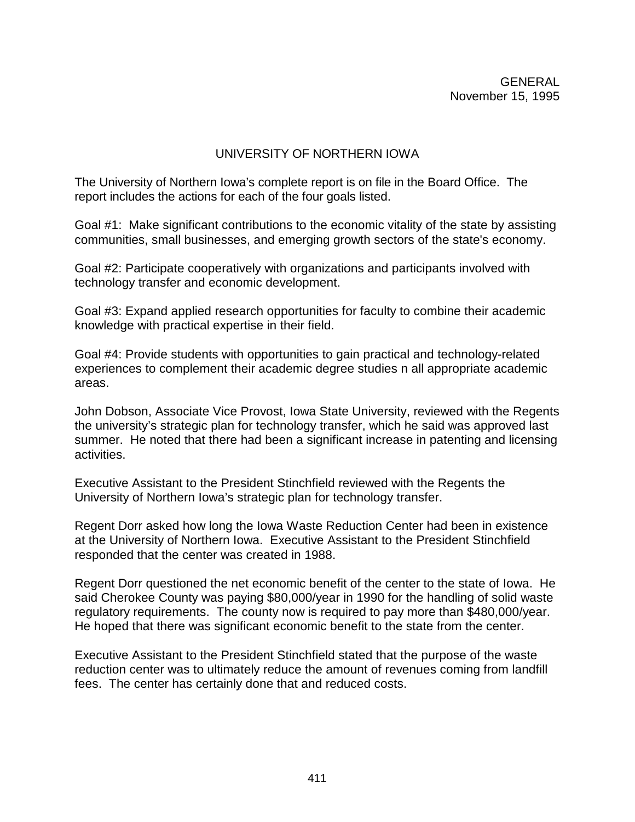# UNIVERSITY OF NORTHERN IOWA

The University of Northern Iowa's complete report is on file in the Board Office. The report includes the actions for each of the four goals listed.

Goal #1: Make significant contributions to the economic vitality of the state by assisting communities, small businesses, and emerging growth sectors of the state's economy.

Goal #2: Participate cooperatively with organizations and participants involved with technology transfer and economic development.

Goal #3: Expand applied research opportunities for faculty to combine their academic knowledge with practical expertise in their field.

Goal #4: Provide students with opportunities to gain practical and technology-related experiences to complement their academic degree studies n all appropriate academic areas.

John Dobson, Associate Vice Provost, Iowa State University, reviewed with the Regents the university's strategic plan for technology transfer, which he said was approved last summer. He noted that there had been a significant increase in patenting and licensing activities.

Executive Assistant to the President Stinchfield reviewed with the Regents the University of Northern Iowa's strategic plan for technology transfer.

Regent Dorr asked how long the Iowa Waste Reduction Center had been in existence at the University of Northern Iowa. Executive Assistant to the President Stinchfield responded that the center was created in 1988.

Regent Dorr questioned the net economic benefit of the center to the state of Iowa. He said Cherokee County was paying \$80,000/year in 1990 for the handling of solid waste regulatory requirements. The county now is required to pay more than \$480,000/year. He hoped that there was significant economic benefit to the state from the center.

Executive Assistant to the President Stinchfield stated that the purpose of the waste reduction center was to ultimately reduce the amount of revenues coming from landfill fees. The center has certainly done that and reduced costs.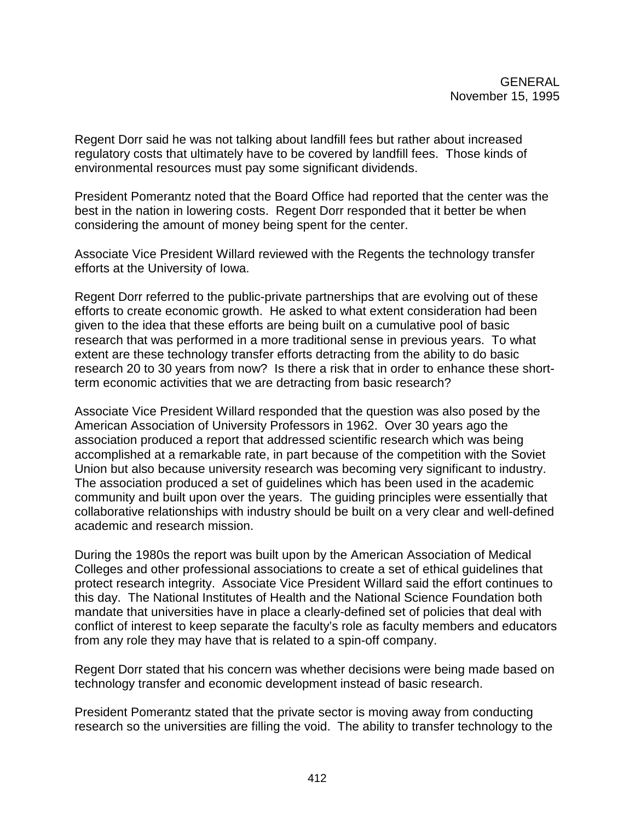Regent Dorr said he was not talking about landfill fees but rather about increased regulatory costs that ultimately have to be covered by landfill fees. Those kinds of environmental resources must pay some significant dividends.

President Pomerantz noted that the Board Office had reported that the center was the best in the nation in lowering costs. Regent Dorr responded that it better be when considering the amount of money being spent for the center.

Associate Vice President Willard reviewed with the Regents the technology transfer efforts at the University of Iowa.

Regent Dorr referred to the public-private partnerships that are evolving out of these efforts to create economic growth. He asked to what extent consideration had been given to the idea that these efforts are being built on a cumulative pool of basic research that was performed in a more traditional sense in previous years. To what extent are these technology transfer efforts detracting from the ability to do basic research 20 to 30 years from now? Is there a risk that in order to enhance these shortterm economic activities that we are detracting from basic research?

Associate Vice President Willard responded that the question was also posed by the American Association of University Professors in 1962. Over 30 years ago the association produced a report that addressed scientific research which was being accomplished at a remarkable rate, in part because of the competition with the Soviet Union but also because university research was becoming very significant to industry. The association produced a set of guidelines which has been used in the academic community and built upon over the years. The guiding principles were essentially that collaborative relationships with industry should be built on a very clear and well-defined academic and research mission.

During the 1980s the report was built upon by the American Association of Medical Colleges and other professional associations to create a set of ethical guidelines that protect research integrity. Associate Vice President Willard said the effort continues to this day. The National Institutes of Health and the National Science Foundation both mandate that universities have in place a clearly-defined set of policies that deal with conflict of interest to keep separate the faculty's role as faculty members and educators from any role they may have that is related to a spin-off company.

Regent Dorr stated that his concern was whether decisions were being made based on technology transfer and economic development instead of basic research.

President Pomerantz stated that the private sector is moving away from conducting research so the universities are filling the void. The ability to transfer technology to the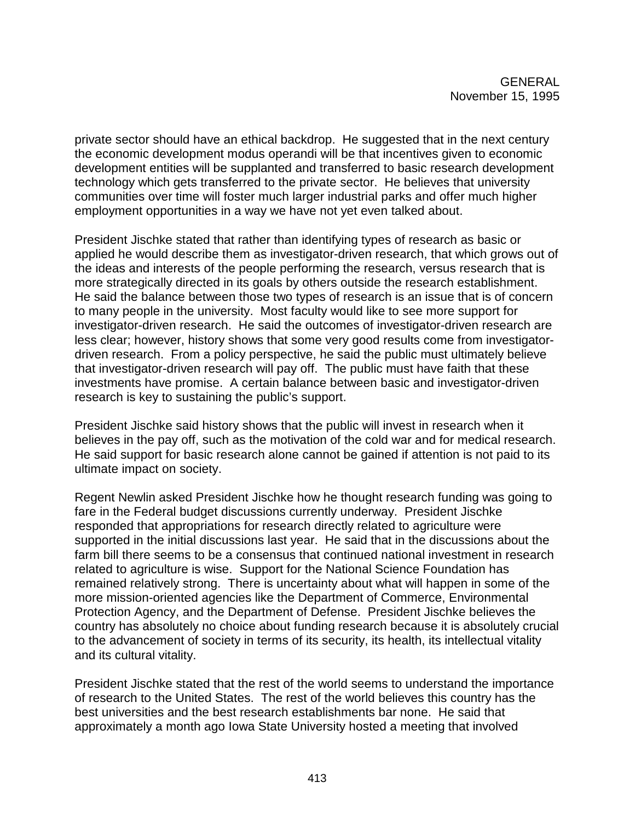private sector should have an ethical backdrop. He suggested that in the next century the economic development modus operandi will be that incentives given to economic development entities will be supplanted and transferred to basic research development technology which gets transferred to the private sector. He believes that university communities over time will foster much larger industrial parks and offer much higher employment opportunities in a way we have not yet even talked about.

President Jischke stated that rather than identifying types of research as basic or applied he would describe them as investigator-driven research, that which grows out of the ideas and interests of the people performing the research, versus research that is more strategically directed in its goals by others outside the research establishment. He said the balance between those two types of research is an issue that is of concern to many people in the university. Most faculty would like to see more support for investigator-driven research. He said the outcomes of investigator-driven research are less clear; however, history shows that some very good results come from investigatordriven research. From a policy perspective, he said the public must ultimately believe that investigator-driven research will pay off. The public must have faith that these investments have promise. A certain balance between basic and investigator-driven research is key to sustaining the public's support.

President Jischke said history shows that the public will invest in research when it believes in the pay off, such as the motivation of the cold war and for medical research. He said support for basic research alone cannot be gained if attention is not paid to its ultimate impact on society.

Regent Newlin asked President Jischke how he thought research funding was going to fare in the Federal budget discussions currently underway. President Jischke responded that appropriations for research directly related to agriculture were supported in the initial discussions last year. He said that in the discussions about the farm bill there seems to be a consensus that continued national investment in research related to agriculture is wise. Support for the National Science Foundation has remained relatively strong. There is uncertainty about what will happen in some of the more mission-oriented agencies like the Department of Commerce, Environmental Protection Agency, and the Department of Defense. President Jischke believes the country has absolutely no choice about funding research because it is absolutely crucial to the advancement of society in terms of its security, its health, its intellectual vitality and its cultural vitality.

President Jischke stated that the rest of the world seems to understand the importance of research to the United States. The rest of the world believes this country has the best universities and the best research establishments bar none. He said that approximately a month ago Iowa State University hosted a meeting that involved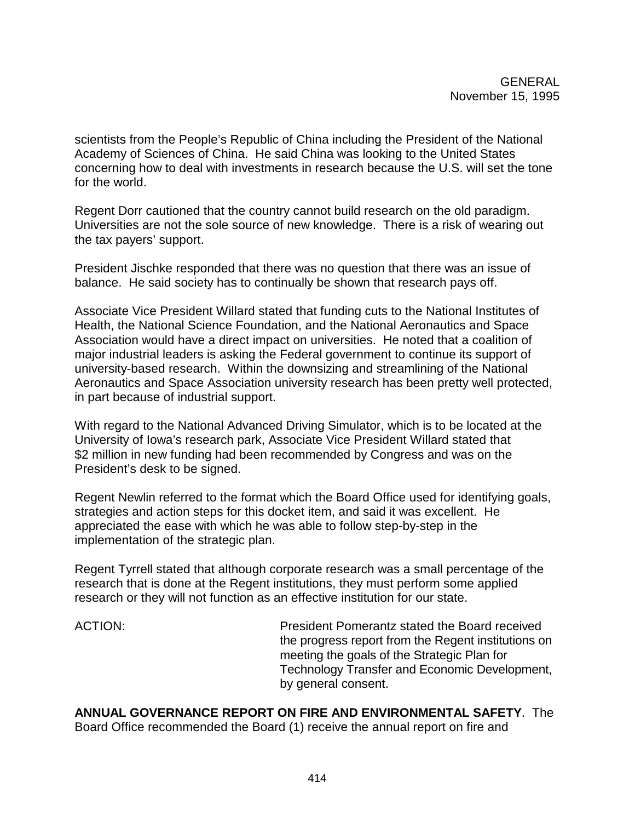scientists from the People's Republic of China including the President of the National Academy of Sciences of China. He said China was looking to the United States concerning how to deal with investments in research because the U.S. will set the tone for the world.

Regent Dorr cautioned that the country cannot build research on the old paradigm. Universities are not the sole source of new knowledge. There is a risk of wearing out the tax payers' support.

President Jischke responded that there was no question that there was an issue of balance. He said society has to continually be shown that research pays off.

Associate Vice President Willard stated that funding cuts to the National Institutes of Health, the National Science Foundation, and the National Aeronautics and Space Association would have a direct impact on universities. He noted that a coalition of major industrial leaders is asking the Federal government to continue its support of university-based research. Within the downsizing and streamlining of the National Aeronautics and Space Association university research has been pretty well protected, in part because of industrial support.

With regard to the National Advanced Driving Simulator, which is to be located at the University of Iowa's research park, Associate Vice President Willard stated that \$2 million in new funding had been recommended by Congress and was on the President's desk to be signed.

Regent Newlin referred to the format which the Board Office used for identifying goals, strategies and action steps for this docket item, and said it was excellent. He appreciated the ease with which he was able to follow step-by-step in the implementation of the strategic plan.

Regent Tyrrell stated that although corporate research was a small percentage of the research that is done at the Regent institutions, they must perform some applied research or they will not function as an effective institution for our state.

ACTION: President Pomerantz stated the Board received the progress report from the Regent institutions on meeting the goals of the Strategic Plan for Technology Transfer and Economic Development, by general consent.

**ANNUAL GOVERNANCE REPORT ON FIRE AND ENVIRONMENTAL SAFETY**. The Board Office recommended the Board (1) receive the annual report on fire and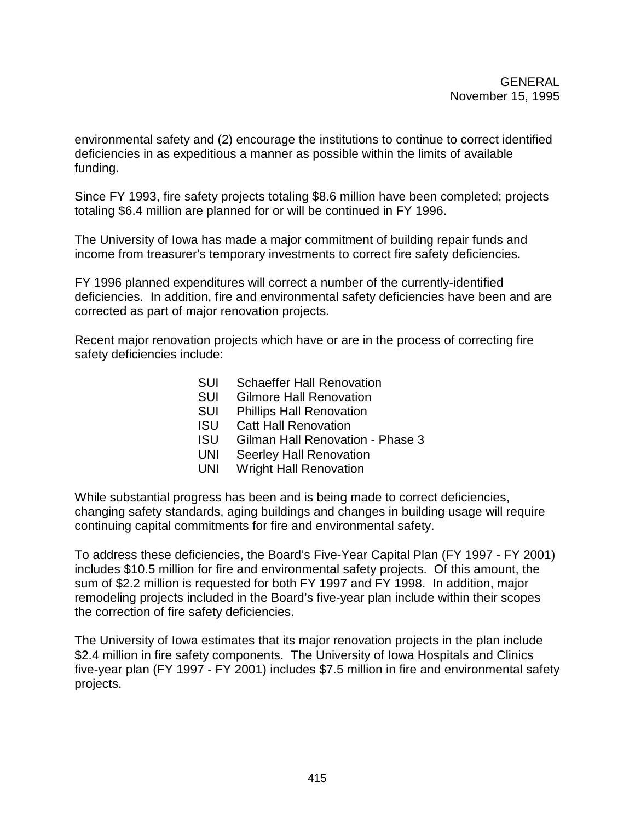environmental safety and (2) encourage the institutions to continue to correct identified deficiencies in as expeditious a manner as possible within the limits of available funding.

Since FY 1993, fire safety projects totaling \$8.6 million have been completed; projects totaling \$6.4 million are planned for or will be continued in FY 1996.

The University of Iowa has made a major commitment of building repair funds and income from treasurer's temporary investments to correct fire safety deficiencies.

FY 1996 planned expenditures will correct a number of the currently-identified deficiencies. In addition, fire and environmental safety deficiencies have been and are corrected as part of major renovation projects.

Recent major renovation projects which have or are in the process of correcting fire safety deficiencies include:

- SUI Schaeffer Hall Renovation
- SUI Gilmore Hall Renovation
- SUI Phillips Hall Renovation
- ISU Catt Hall Renovation
- ISU Gilman Hall Renovation Phase 3
- UNI Seerley Hall Renovation
- UNI Wright Hall Renovation

While substantial progress has been and is being made to correct deficiencies, changing safety standards, aging buildings and changes in building usage will require continuing capital commitments for fire and environmental safety.

To address these deficiencies, the Board's Five-Year Capital Plan (FY 1997 - FY 2001) includes \$10.5 million for fire and environmental safety projects. Of this amount, the sum of \$2.2 million is requested for both FY 1997 and FY 1998. In addition, major remodeling projects included in the Board's five-year plan include within their scopes the correction of fire safety deficiencies.

The University of Iowa estimates that its major renovation projects in the plan include \$2.4 million in fire safety components. The University of Iowa Hospitals and Clinics five-year plan (FY 1997 - FY 2001) includes \$7.5 million in fire and environmental safety projects.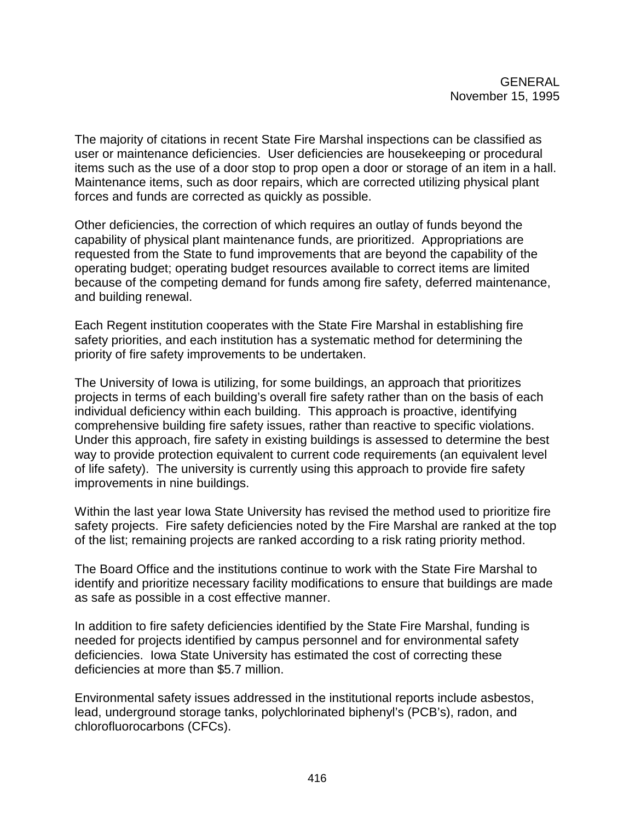The majority of citations in recent State Fire Marshal inspections can be classified as user or maintenance deficiencies. User deficiencies are housekeeping or procedural items such as the use of a door stop to prop open a door or storage of an item in a hall. Maintenance items, such as door repairs, which are corrected utilizing physical plant forces and funds are corrected as quickly as possible.

Other deficiencies, the correction of which requires an outlay of funds beyond the capability of physical plant maintenance funds, are prioritized. Appropriations are requested from the State to fund improvements that are beyond the capability of the operating budget; operating budget resources available to correct items are limited because of the competing demand for funds among fire safety, deferred maintenance, and building renewal.

Each Regent institution cooperates with the State Fire Marshal in establishing fire safety priorities, and each institution has a systematic method for determining the priority of fire safety improvements to be undertaken.

The University of Iowa is utilizing, for some buildings, an approach that prioritizes projects in terms of each building's overall fire safety rather than on the basis of each individual deficiency within each building. This approach is proactive, identifying comprehensive building fire safety issues, rather than reactive to specific violations. Under this approach, fire safety in existing buildings is assessed to determine the best way to provide protection equivalent to current code requirements (an equivalent level of life safety). The university is currently using this approach to provide fire safety improvements in nine buildings.

Within the last year Iowa State University has revised the method used to prioritize fire safety projects. Fire safety deficiencies noted by the Fire Marshal are ranked at the top of the list; remaining projects are ranked according to a risk rating priority method.

The Board Office and the institutions continue to work with the State Fire Marshal to identify and prioritize necessary facility modifications to ensure that buildings are made as safe as possible in a cost effective manner.

In addition to fire safety deficiencies identified by the State Fire Marshal, funding is needed for projects identified by campus personnel and for environmental safety deficiencies. Iowa State University has estimated the cost of correcting these deficiencies at more than \$5.7 million.

Environmental safety issues addressed in the institutional reports include asbestos, lead, underground storage tanks, polychlorinated biphenyl's (PCB's), radon, and chlorofluorocarbons (CFCs).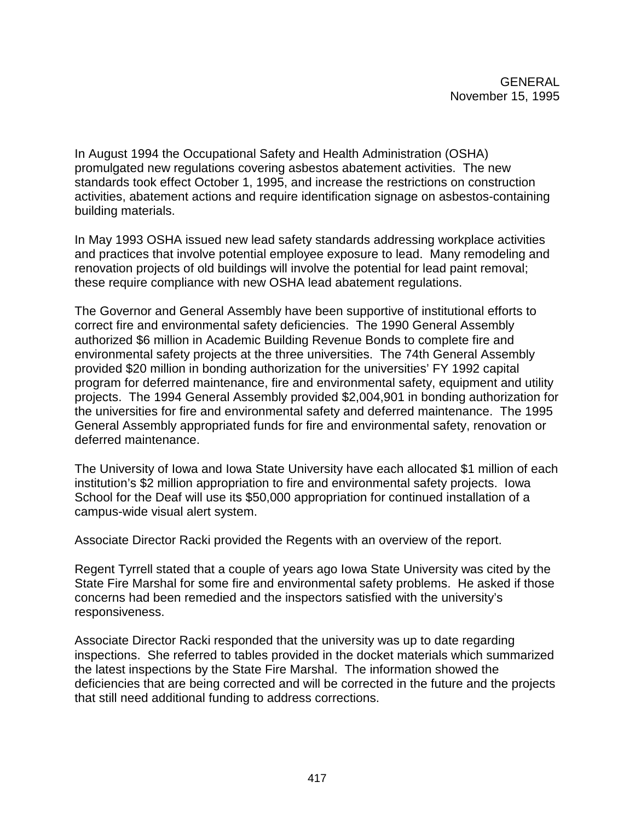In August 1994 the Occupational Safety and Health Administration (OSHA) promulgated new regulations covering asbestos abatement activities. The new standards took effect October 1, 1995, and increase the restrictions on construction activities, abatement actions and require identification signage on asbestos-containing building materials.

In May 1993 OSHA issued new lead safety standards addressing workplace activities and practices that involve potential employee exposure to lead. Many remodeling and renovation projects of old buildings will involve the potential for lead paint removal; these require compliance with new OSHA lead abatement regulations.

The Governor and General Assembly have been supportive of institutional efforts to correct fire and environmental safety deficiencies. The 1990 General Assembly authorized \$6 million in Academic Building Revenue Bonds to complete fire and environmental safety projects at the three universities. The 74th General Assembly provided \$20 million in bonding authorization for the universities' FY 1992 capital program for deferred maintenance, fire and environmental safety, equipment and utility projects. The 1994 General Assembly provided \$2,004,901 in bonding authorization for the universities for fire and environmental safety and deferred maintenance. The 1995 General Assembly appropriated funds for fire and environmental safety, renovation or deferred maintenance.

The University of Iowa and Iowa State University have each allocated \$1 million of each institution's \$2 million appropriation to fire and environmental safety projects. Iowa School for the Deaf will use its \$50,000 appropriation for continued installation of a campus-wide visual alert system.

Associate Director Racki provided the Regents with an overview of the report.

Regent Tyrrell stated that a couple of years ago Iowa State University was cited by the State Fire Marshal for some fire and environmental safety problems. He asked if those concerns had been remedied and the inspectors satisfied with the university's responsiveness.

Associate Director Racki responded that the university was up to date regarding inspections. She referred to tables provided in the docket materials which summarized the latest inspections by the State Fire Marshal. The information showed the deficiencies that are being corrected and will be corrected in the future and the projects that still need additional funding to address corrections.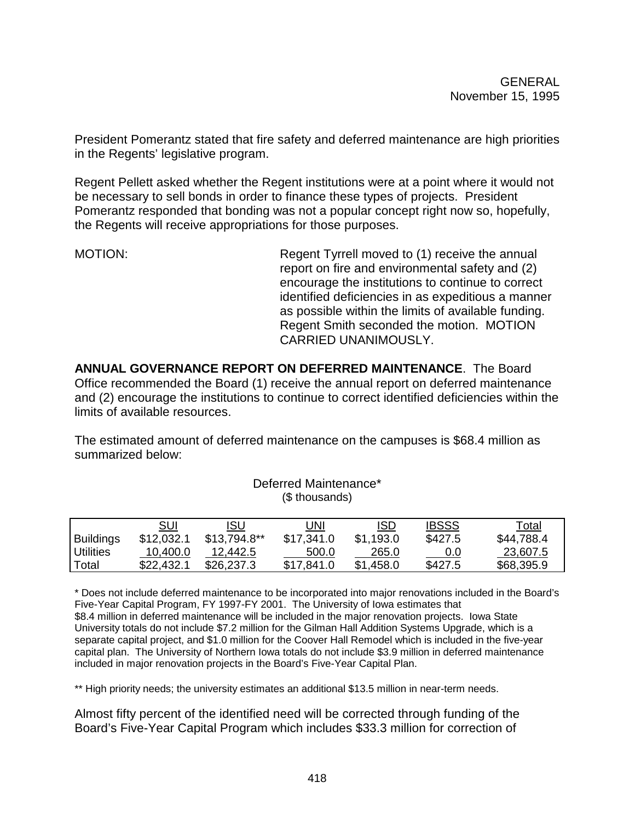President Pomerantz stated that fire safety and deferred maintenance are high priorities in the Regents' legislative program.

Regent Pellett asked whether the Regent institutions were at a point where it would not be necessary to sell bonds in order to finance these types of projects. President Pomerantz responded that bonding was not a popular concept right now so, hopefully, the Regents will receive appropriations for those purposes.

MOTION: Regent Tyrrell moved to (1) receive the annual report on fire and environmental safety and (2) encourage the institutions to continue to correct identified deficiencies in as expeditious a manner as possible within the limits of available funding. Regent Smith seconded the motion. MOTION CARRIED UNANIMOUSLY.

**ANNUAL GOVERNANCE REPORT ON DEFERRED MAINTENANCE**. The Board Office recommended the Board (1) receive the annual report on deferred maintenance and (2) encourage the institutions to continue to correct identified deficiencies within the limits of available resources.

The estimated amount of deferred maintenance on the campuses is \$68.4 million as summarized below:

| (\$ thousands)   |            |               |            |            |              |            |  |  |  |
|------------------|------------|---------------|------------|------------|--------------|------------|--|--|--|
|                  | <u>SUI</u> | <b>ISU</b>    | UNI        | <u>ISD</u> | <b>IBSSS</b> | Total      |  |  |  |
| <b>Buildings</b> | \$12,032.1 | $$13,794.8**$ | \$17,341.0 | \$1,193.0  | \$427.5      | \$44,788.4 |  |  |  |
| <b>Utilities</b> | 10,400.0   | 12,442.5      | 500.0      | 265.0      | 0.0          | 23,607.5   |  |  |  |
| Total            | \$22,432.1 | \$26,237.3    | \$17,841.0 | \$1,458.0  | \$427.5      | \$68,395.9 |  |  |  |

Deferred Maintenance\*

\* Does not include deferred maintenance to be incorporated into major renovations included in the Board's Five-Year Capital Program, FY 1997-FY 2001. The University of Iowa estimates that \$8.4 million in deferred maintenance will be included in the major renovation projects. Iowa State University totals do not include \$7.2 million for the Gilman Hall Addition Systems Upgrade, which is a separate capital project, and \$1.0 million for the Coover Hall Remodel which is included in the five-year capital plan. The University of Northern Iowa totals do not include \$3.9 million in deferred maintenance included in major renovation projects in the Board's Five-Year Capital Plan.

\*\* High priority needs; the university estimates an additional \$13.5 million in near-term needs.

Almost fifty percent of the identified need will be corrected through funding of the Board's Five-Year Capital Program which includes \$33.3 million for correction of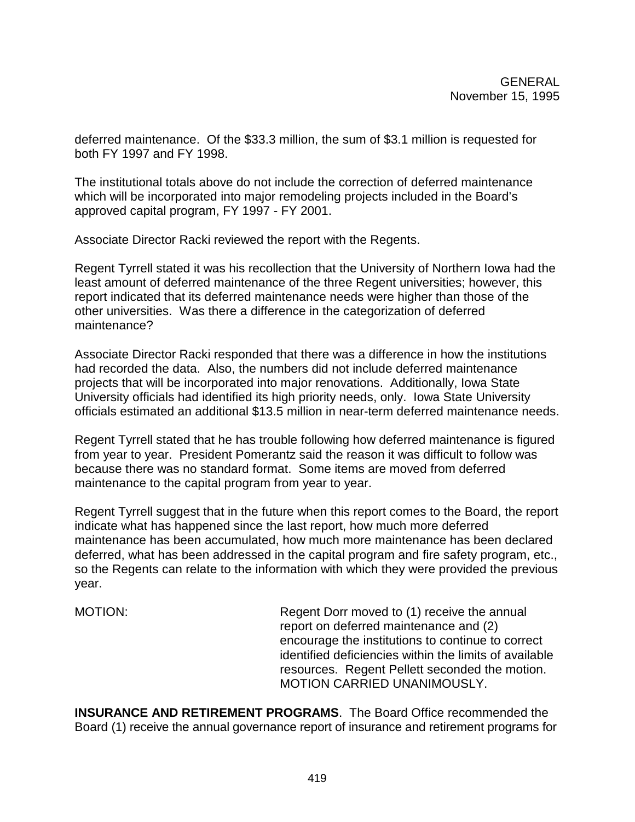deferred maintenance. Of the \$33.3 million, the sum of \$3.1 million is requested for both FY 1997 and FY 1998.

The institutional totals above do not include the correction of deferred maintenance which will be incorporated into major remodeling projects included in the Board's approved capital program, FY 1997 - FY 2001.

Associate Director Racki reviewed the report with the Regents.

Regent Tyrrell stated it was his recollection that the University of Northern Iowa had the least amount of deferred maintenance of the three Regent universities; however, this report indicated that its deferred maintenance needs were higher than those of the other universities. Was there a difference in the categorization of deferred maintenance?

Associate Director Racki responded that there was a difference in how the institutions had recorded the data. Also, the numbers did not include deferred maintenance projects that will be incorporated into major renovations. Additionally, Iowa State University officials had identified its high priority needs, only. Iowa State University officials estimated an additional \$13.5 million in near-term deferred maintenance needs.

Regent Tyrrell stated that he has trouble following how deferred maintenance is figured from year to year. President Pomerantz said the reason it was difficult to follow was because there was no standard format. Some items are moved from deferred maintenance to the capital program from year to year.

Regent Tyrrell suggest that in the future when this report comes to the Board, the report indicate what has happened since the last report, how much more deferred maintenance has been accumulated, how much more maintenance has been declared deferred, what has been addressed in the capital program and fire safety program, etc., so the Regents can relate to the information with which they were provided the previous year.

MOTION: Regent Dorr moved to (1) receive the annual report on deferred maintenance and (2) encourage the institutions to continue to correct identified deficiencies within the limits of available resources. Regent Pellett seconded the motion. MOTION CARRIED UNANIMOUSLY.

**INSURANCE AND RETIREMENT PROGRAMS**. The Board Office recommended the Board (1) receive the annual governance report of insurance and retirement programs for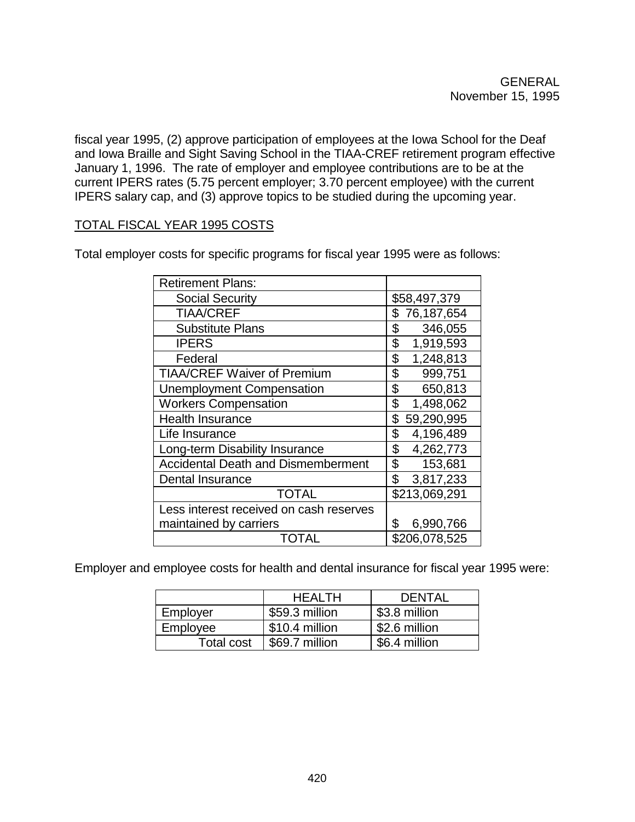fiscal year 1995, (2) approve participation of employees at the Iowa School for the Deaf and Iowa Braille and Sight Saving School in the TIAA-CREF retirement program effective January 1, 1996. The rate of employer and employee contributions are to be at the current IPERS rates (5.75 percent employer; 3.70 percent employee) with the current IPERS salary cap, and (3) approve topics to be studied during the upcoming year.

# TOTAL FISCAL YEAR 1995 COSTS

| <b>Retirement Plans:</b>                       |                  |
|------------------------------------------------|------------------|
| <b>Social Security</b>                         | \$58,497,379     |
| <b>TIAA/CREF</b>                               | 76,187,654<br>\$ |
| <b>Substitute Plans</b>                        | \$<br>346,055    |
| <b>IPERS</b>                                   | \$<br>1,919,593  |
| Federal                                        | \$<br>1,248,813  |
| <b>TIAA/CREF Waiver of Premium</b>             | \$<br>999,751    |
| <b>Unemployment Compensation</b>               | \$<br>650,813    |
| <b>Workers Compensation</b>                    | \$<br>1,498,062  |
| <b>Health Insurance</b>                        | \$<br>59,290,995 |
| Life Insurance                                 | \$<br>4,196,489  |
| Long-term Disability Insurance                 | \$<br>4,262,773  |
| <b>Accidental Death and Dismemberment</b>      | \$<br>153,681    |
| Dental Insurance                               | \$<br>3,817,233  |
| TOTAL                                          | \$213,069,291    |
| Less interest received on cash reserves        |                  |
| maintained by carriers                         | \$<br>6,990,766  |
| $\mathsf{I}(\mathsf{I})\mathsf{I}(\mathsf{A})$ | \$206,078,525    |

Total employer costs for specific programs for fiscal year 1995 were as follows:

Employer and employee costs for health and dental insurance for fiscal year 1995 were:

|            | <b>HEALTH</b>  | <b>DENTAL</b> |
|------------|----------------|---------------|
| Employer   | \$59.3 million | \$3.8 million |
| Employee   | \$10.4 million | \$2.6 million |
| Total cost | \$69.7 million | \$6.4 million |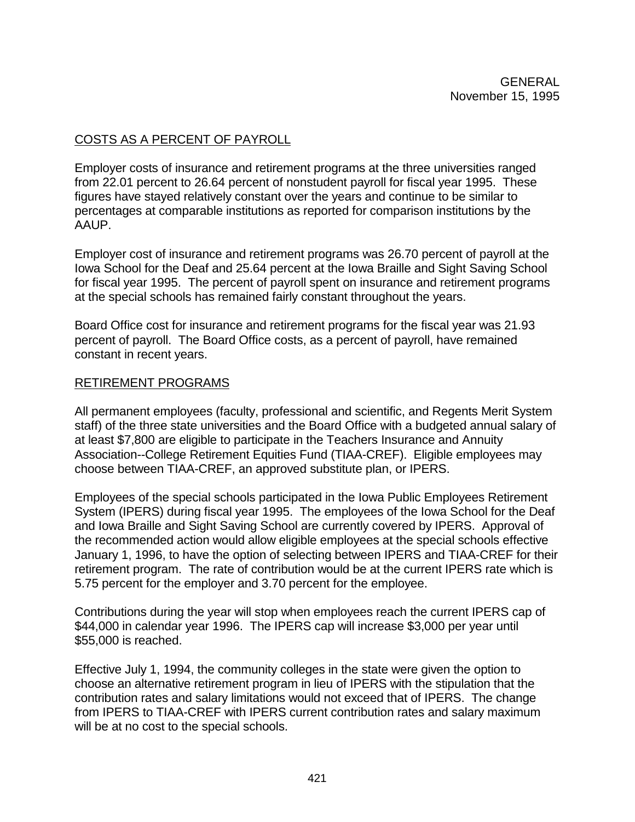# COSTS AS A PERCENT OF PAYROLL

Employer costs of insurance and retirement programs at the three universities ranged from 22.01 percent to 26.64 percent of nonstudent payroll for fiscal year 1995. These figures have stayed relatively constant over the years and continue to be similar to percentages at comparable institutions as reported for comparison institutions by the AAUP.

Employer cost of insurance and retirement programs was 26.70 percent of payroll at the Iowa School for the Deaf and 25.64 percent at the Iowa Braille and Sight Saving School for fiscal year 1995. The percent of payroll spent on insurance and retirement programs at the special schools has remained fairly constant throughout the years.

Board Office cost for insurance and retirement programs for the fiscal year was 21.93 percent of payroll. The Board Office costs, as a percent of payroll, have remained constant in recent years.

# RETIREMENT PROGRAMS

All permanent employees (faculty, professional and scientific, and Regents Merit System staff) of the three state universities and the Board Office with a budgeted annual salary of at least \$7,800 are eligible to participate in the Teachers Insurance and Annuity Association--College Retirement Equities Fund (TIAA-CREF). Eligible employees may choose between TIAA-CREF, an approved substitute plan, or IPERS.

Employees of the special schools participated in the Iowa Public Employees Retirement System (IPERS) during fiscal year 1995. The employees of the Iowa School for the Deaf and Iowa Braille and Sight Saving School are currently covered by IPERS. Approval of the recommended action would allow eligible employees at the special schools effective January 1, 1996, to have the option of selecting between IPERS and TIAA-CREF for their retirement program. The rate of contribution would be at the current IPERS rate which is 5.75 percent for the employer and 3.70 percent for the employee.

Contributions during the year will stop when employees reach the current IPERS cap of \$44,000 in calendar year 1996. The IPERS cap will increase \$3,000 per year until \$55,000 is reached.

Effective July 1, 1994, the community colleges in the state were given the option to choose an alternative retirement program in lieu of IPERS with the stipulation that the contribution rates and salary limitations would not exceed that of IPERS. The change from IPERS to TIAA-CREF with IPERS current contribution rates and salary maximum will be at no cost to the special schools.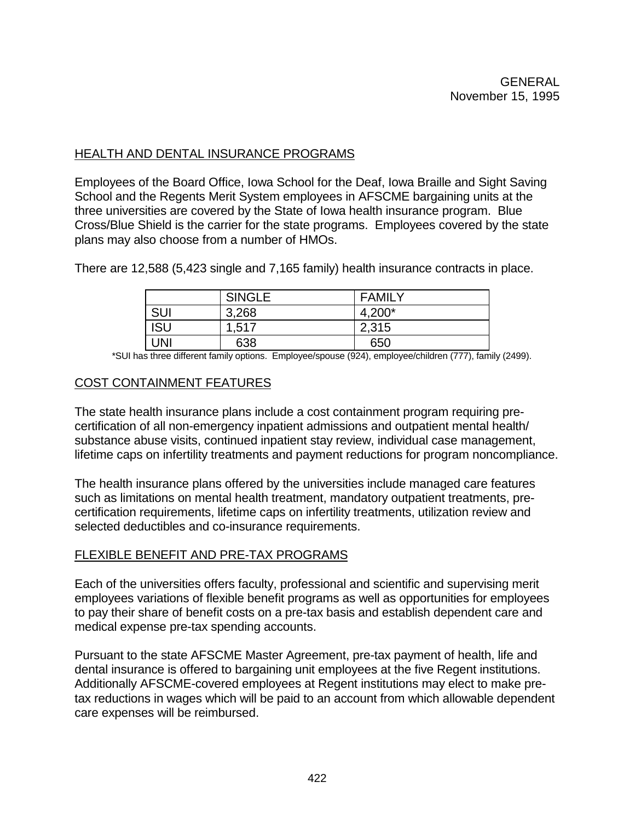# HEALTH AND DENTAL INSURANCE PROGRAMS

Employees of the Board Office, Iowa School for the Deaf, Iowa Braille and Sight Saving School and the Regents Merit System employees in AFSCME bargaining units at the three universities are covered by the State of Iowa health insurance program. Blue Cross/Blue Shield is the carrier for the state programs. Employees covered by the state plans may also choose from a number of HMOs.

There are 12,588 (5,423 single and 7,165 family) health insurance contracts in place.

|            | <b>SINGLE</b> | <b>FAMILY</b> |
|------------|---------------|---------------|
| SUI        | 3,268         | 4,200*        |
| <b>ISU</b> | 1,517         | 2,315         |
| UNI        | 638           | 650           |

\*SUI has three different family options. Employee/spouse (924), employee/children (777), family (2499).

# COST CONTAINMENT FEATURES

The state health insurance plans include a cost containment program requiring precertification of all non-emergency inpatient admissions and outpatient mental health/ substance abuse visits, continued inpatient stay review, individual case management, lifetime caps on infertility treatments and payment reductions for program noncompliance.

The health insurance plans offered by the universities include managed care features such as limitations on mental health treatment, mandatory outpatient treatments, precertification requirements, lifetime caps on infertility treatments, utilization review and selected deductibles and co-insurance requirements.

# FLEXIBLE BENEFIT AND PRE-TAX PROGRAMS

Each of the universities offers faculty, professional and scientific and supervising merit employees variations of flexible benefit programs as well as opportunities for employees to pay their share of benefit costs on a pre-tax basis and establish dependent care and medical expense pre-tax spending accounts.

Pursuant to the state AFSCME Master Agreement, pre-tax payment of health, life and dental insurance is offered to bargaining unit employees at the five Regent institutions. Additionally AFSCME-covered employees at Regent institutions may elect to make pretax reductions in wages which will be paid to an account from which allowable dependent care expenses will be reimbursed.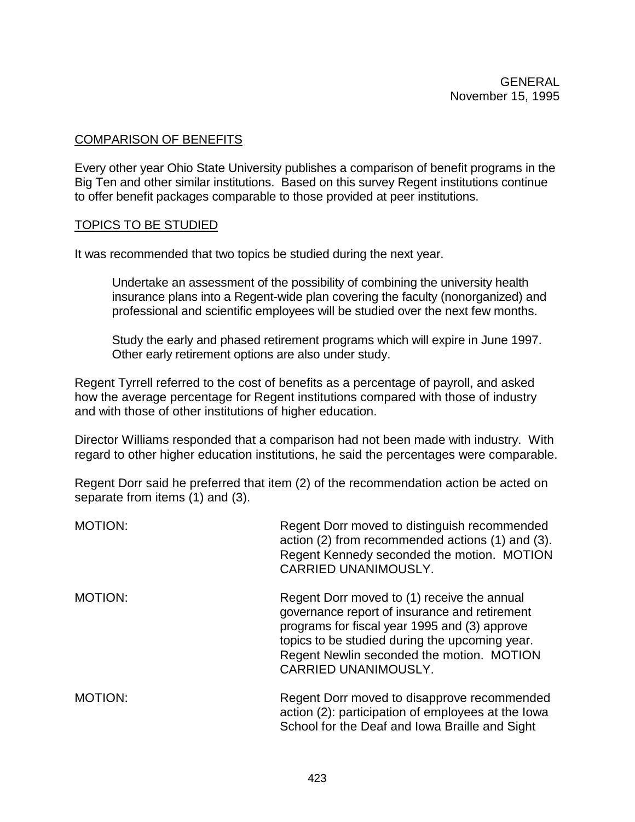## COMPARISON OF BENEFITS

Every other year Ohio State University publishes a comparison of benefit programs in the Big Ten and other similar institutions. Based on this survey Regent institutions continue to offer benefit packages comparable to those provided at peer institutions.

### TOPICS TO BE STUDIED

It was recommended that two topics be studied during the next year.

Undertake an assessment of the possibility of combining the university health insurance plans into a Regent-wide plan covering the faculty (nonorganized) and professional and scientific employees will be studied over the next few months.

Study the early and phased retirement programs which will expire in June 1997. Other early retirement options are also under study.

Regent Tyrrell referred to the cost of benefits as a percentage of payroll, and asked how the average percentage for Regent institutions compared with those of industry and with those of other institutions of higher education.

Director Williams responded that a comparison had not been made with industry. With regard to other higher education institutions, he said the percentages were comparable.

Regent Dorr said he preferred that item (2) of the recommendation action be acted on separate from items (1) and (3).

| <b>MOTION:</b> | Regent Dorr moved to distinguish recommended<br>action (2) from recommended actions (1) and (3).<br>Regent Kennedy seconded the motion. MOTION<br><b>CARRIED UNANIMOUSLY.</b>                                                                                        |
|----------------|----------------------------------------------------------------------------------------------------------------------------------------------------------------------------------------------------------------------------------------------------------------------|
| MOTION:        | Regent Dorr moved to (1) receive the annual<br>governance report of insurance and retirement<br>programs for fiscal year 1995 and (3) approve<br>topics to be studied during the upcoming year.<br>Regent Newlin seconded the motion. MOTION<br>CARRIED UNANIMOUSLY. |
| <b>MOTION:</b> | Regent Dorr moved to disapprove recommended<br>action (2): participation of employees at the lowa<br>School for the Deaf and Iowa Braille and Sight                                                                                                                  |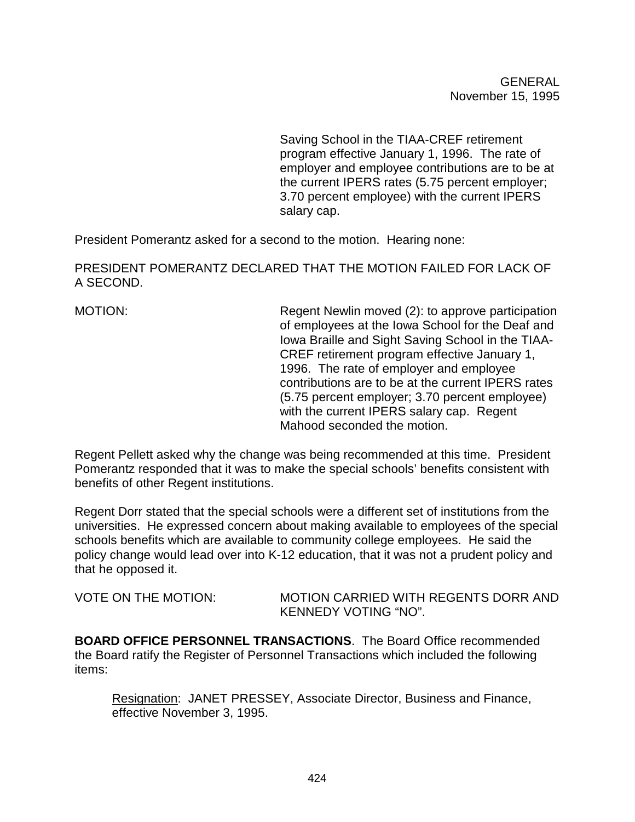Saving School in the TIAA-CREF retirement program effective January 1, 1996. The rate of employer and employee contributions are to be at the current IPERS rates (5.75 percent employer; 3.70 percent employee) with the current IPERS salary cap.

President Pomerantz asked for a second to the motion. Hearing none:

PRESIDENT POMERANTZ DECLARED THAT THE MOTION FAILED FOR LACK OF A SECOND.

MOTION: Regent Newlin moved (2): to approve participation of employees at the Iowa School for the Deaf and Iowa Braille and Sight Saving School in the TIAA-CREF retirement program effective January 1, 1996. The rate of employer and employee contributions are to be at the current IPERS rates (5.75 percent employer; 3.70 percent employee) with the current IPERS salary cap. Regent Mahood seconded the motion.

Regent Pellett asked why the change was being recommended at this time. President Pomerantz responded that it was to make the special schools' benefits consistent with benefits of other Regent institutions.

Regent Dorr stated that the special schools were a different set of institutions from the universities. He expressed concern about making available to employees of the special schools benefits which are available to community college employees. He said the policy change would lead over into K-12 education, that it was not a prudent policy and that he opposed it.

| <b>VOTE ON THE MOTION:</b> | MOTION CARRIED WITH REGENTS DORR AND |
|----------------------------|--------------------------------------|
|                            | KENNEDY VOTING "NO".                 |

**BOARD OFFICE PERSONNEL TRANSACTIONS**. The Board Office recommended the Board ratify the Register of Personnel Transactions which included the following items:

Resignation: JANET PRESSEY, Associate Director, Business and Finance, effective November 3, 1995.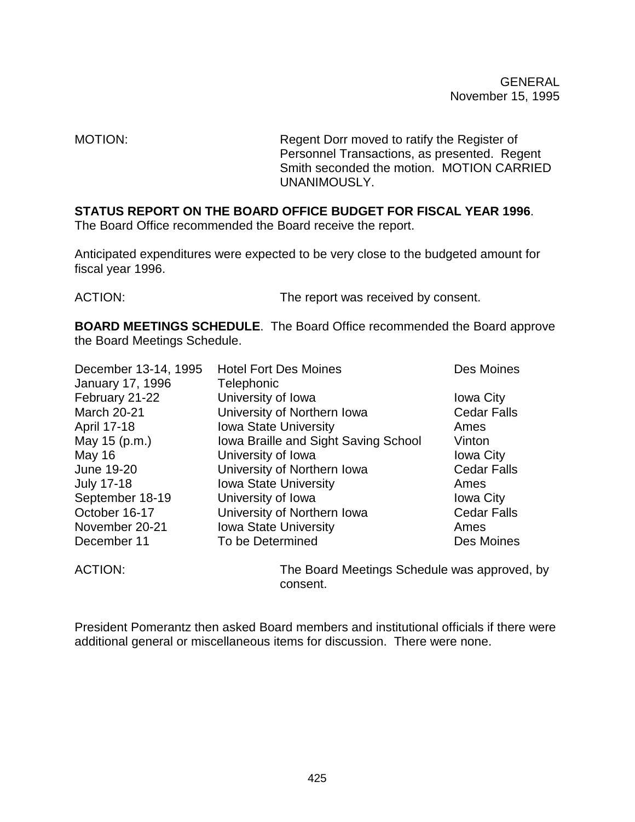MOTION: Regent Dorr moved to ratify the Register of Personnel Transactions, as presented. Regent Smith seconded the motion. MOTION CARRIED UNANIMOUSLY.

# **STATUS REPORT ON THE BOARD OFFICE BUDGET FOR FISCAL YEAR 1996**.

The Board Office recommended the Board receive the report.

Anticipated expenditures were expected to be very close to the budgeted amount for fiscal year 1996.

ACTION: The report was received by consent.

**BOARD MEETINGS SCHEDULE**. The Board Office recommended the Board approve the Board Meetings Schedule.

| December 13-14, 1995 | <b>Hotel Fort Des Moines</b>         | Des Moines         |
|----------------------|--------------------------------------|--------------------|
| January 17, 1996     | Telephonic                           |                    |
| February 21-22       | University of Iowa                   | <b>Iowa City</b>   |
| <b>March 20-21</b>   | University of Northern Iowa          | <b>Cedar Falls</b> |
| April 17-18          | <b>Iowa State University</b>         | Ames               |
| May 15 (p.m.)        | Iowa Braille and Sight Saving School | Vinton             |
| <b>May 16</b>        | University of Iowa                   | <b>Iowa City</b>   |
| June 19-20           | University of Northern Iowa          | <b>Cedar Falls</b> |
| <b>July 17-18</b>    | <b>Iowa State University</b>         | Ames               |
| September 18-19      | University of Iowa                   | <b>Iowa City</b>   |
| October 16-17        | University of Northern Iowa          | <b>Cedar Falls</b> |
| November 20-21       | <b>Iowa State University</b>         | Ames               |
| December 11          | To be Determined                     | Des Moines         |

ACTION: The Board Meetings Schedule was approved, by consent.

President Pomerantz then asked Board members and institutional officials if there were additional general or miscellaneous items for discussion. There were none.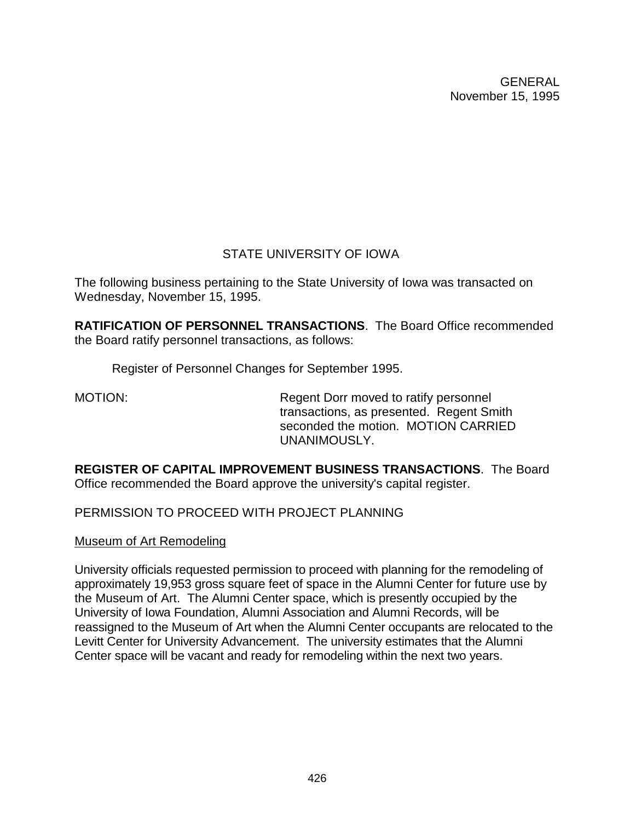# STATE UNIVERSITY OF IOWA

The following business pertaining to the State University of Iowa was transacted on Wednesday, November 15, 1995.

**RATIFICATION OF PERSONNEL TRANSACTIONS**. The Board Office recommended the Board ratify personnel transactions, as follows:

Register of Personnel Changes for September 1995.

MOTION: Regent Dorr moved to ratify personnel transactions, as presented. Regent Smith seconded the motion. MOTION CARRIED UNANIMOUSLY.

**REGISTER OF CAPITAL IMPROVEMENT BUSINESS TRANSACTIONS**. The Board Office recommended the Board approve the university's capital register.

PERMISSION TO PROCEED WITH PROJECT PLANNING

Museum of Art Remodeling

University officials requested permission to proceed with planning for the remodeling of approximately 19,953 gross square feet of space in the Alumni Center for future use by the Museum of Art. The Alumni Center space, which is presently occupied by the University of Iowa Foundation, Alumni Association and Alumni Records, will be reassigned to the Museum of Art when the Alumni Center occupants are relocated to the Levitt Center for University Advancement. The university estimates that the Alumni Center space will be vacant and ready for remodeling within the next two years.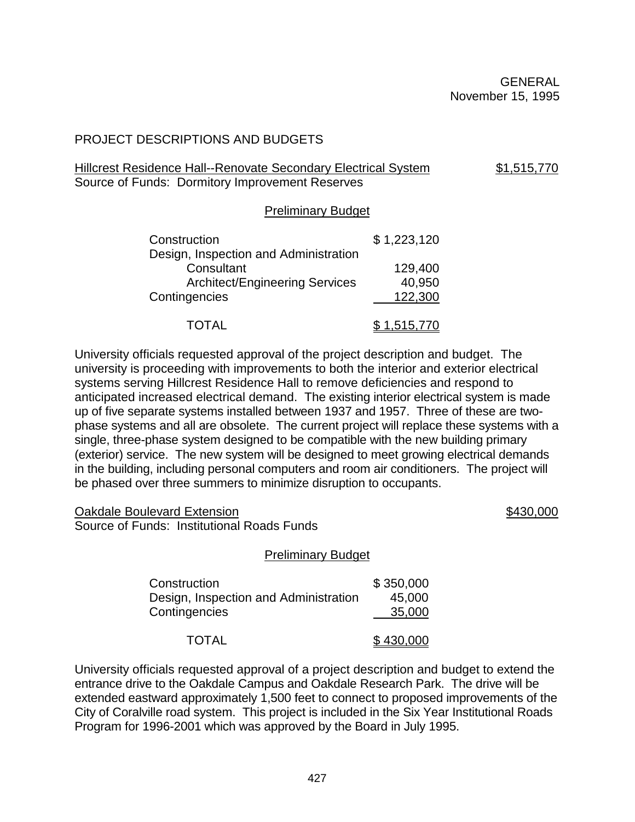# PROJECT DESCRIPTIONS AND BUDGETS

# Hillcrest Residence Hall--Renovate Secondary Electrical System \$1,515,770 Source of Funds: Dormitory Improvement Reserves

# Preliminary Budget

| Construction                          | \$1,223,120 |
|---------------------------------------|-------------|
| Design, Inspection and Administration |             |
| Consultant                            | 129,400     |
| <b>Architect/Engineering Services</b> | 40,950      |
| Contingencies                         | 122,300     |
| TOTAL                                 | \$1,515,770 |

University officials requested approval of the project description and budget. The university is proceeding with improvements to both the interior and exterior electrical systems serving Hillcrest Residence Hall to remove deficiencies and respond to anticipated increased electrical demand. The existing interior electrical system is made up of five separate systems installed between 1937 and 1957. Three of these are twophase systems and all are obsolete. The current project will replace these systems with a single, three-phase system designed to be compatible with the new building primary (exterior) service. The new system will be designed to meet growing electrical demands in the building, including personal computers and room air conditioners. The project will be phased over three summers to minimize disruption to occupants.

Oakdale Boulevard Extension \$430,000 Source of Funds: Institutional Roads Funds

# Preliminary Budget

| Construction                          | \$350,000 |
|---------------------------------------|-----------|
| Design, Inspection and Administration | 45,000    |
| Contingencies                         | 35,000    |
| <b>TOTAL</b>                          | \$430,000 |

University officials requested approval of a project description and budget to extend the entrance drive to the Oakdale Campus and Oakdale Research Park. The drive will be extended eastward approximately 1,500 feet to connect to proposed improvements of the City of Coralville road system. This project is included in the Six Year Institutional Roads Program for 1996-2001 which was approved by the Board in July 1995.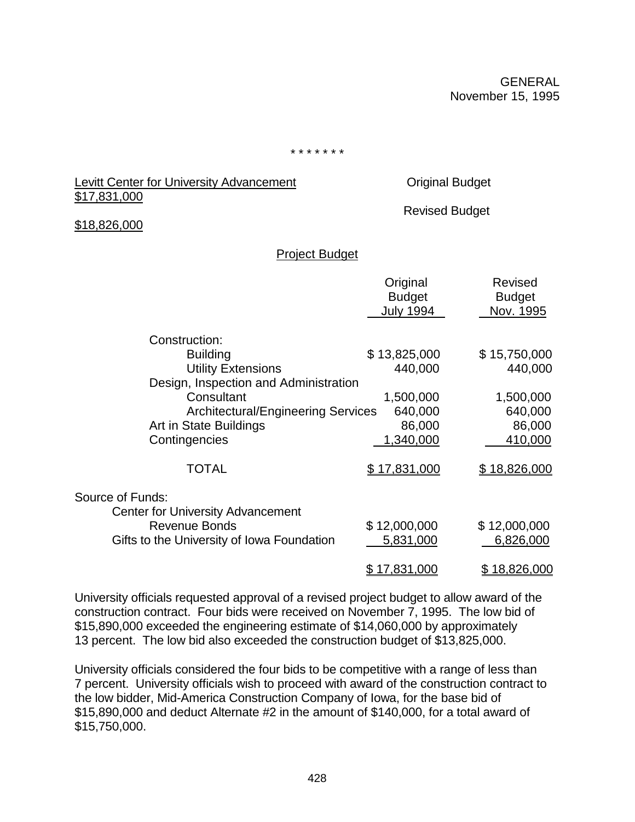\* \* \* \* \* \* \*

## Levitt Center for University Advancement Christian Coriginal Budget \$17,831,000

Revised Budget

### \$18,826,000

### Project Budget

|                                            | Original<br><b>Budget</b><br><b>July 1994</b> | <b>Revised</b><br><b>Budget</b><br>Nov. 1995 |
|--------------------------------------------|-----------------------------------------------|----------------------------------------------|
| Construction:                              |                                               |                                              |
| <b>Building</b>                            | \$13,825,000                                  | \$15,750,000                                 |
| <b>Utility Extensions</b>                  | 440,000                                       | 440,000                                      |
| Design, Inspection and Administration      |                                               |                                              |
| Consultant                                 | 1,500,000                                     | 1,500,000                                    |
| <b>Architectural/Engineering Services</b>  | 640,000                                       | 640,000                                      |
| Art in State Buildings                     | 86,000                                        | 86,000                                       |
| Contingencies                              | 1,340,000                                     | 410,000                                      |
| <b>TOTAL</b>                               | \$17,831,000                                  | \$18,826,000                                 |
| Source of Funds:                           |                                               |                                              |
| <b>Center for University Advancement</b>   |                                               |                                              |
| <b>Revenue Bonds</b>                       | \$12,000,000                                  | \$12,000,000                                 |
| Gifts to the University of Iowa Foundation | 5,831,000                                     | 6,826,000                                    |
|                                            | <u>\$17,831,000</u>                           | <u>\$18,826,000</u>                          |

University officials requested approval of a revised project budget to allow award of the construction contract. Four bids were received on November 7, 1995. The low bid of \$15,890,000 exceeded the engineering estimate of \$14,060,000 by approximately 13 percent. The low bid also exceeded the construction budget of \$13,825,000.

University officials considered the four bids to be competitive with a range of less than 7 percent. University officials wish to proceed with award of the construction contract to the low bidder, Mid-America Construction Company of Iowa, for the base bid of \$15,890,000 and deduct Alternate #2 in the amount of \$140,000, for a total award of \$15,750,000.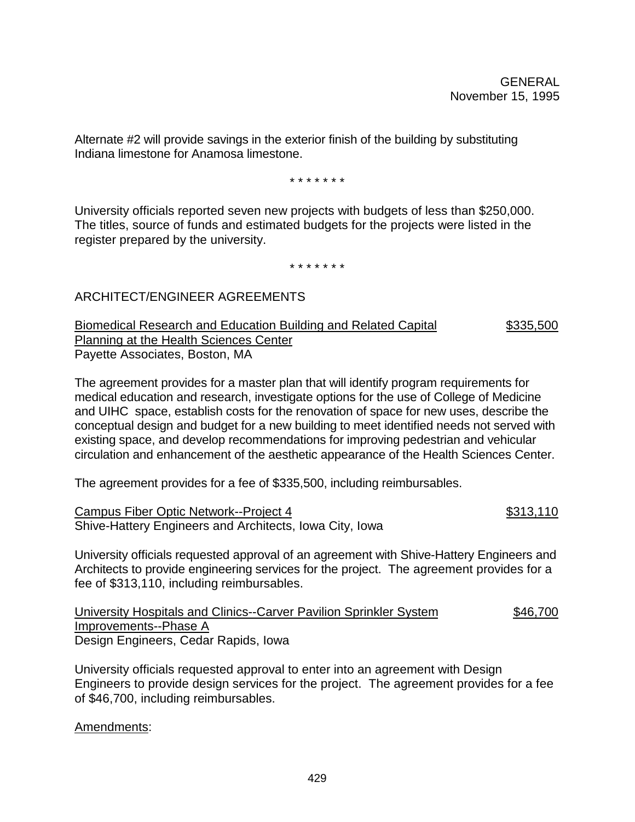Alternate #2 will provide savings in the exterior finish of the building by substituting Indiana limestone for Anamosa limestone.

\* \* \* \* \* \* \*

University officials reported seven new projects with budgets of less than \$250,000. The titles, source of funds and estimated budgets for the projects were listed in the register prepared by the university.

\* \* \* \* \* \* \*

# ARCHITECT/ENGINEER AGREEMENTS

Biomedical Research and Education Building and Related Capital  $$335,500$ Planning at the Health Sciences Center Payette Associates, Boston, MA

The agreement provides for a master plan that will identify program requirements for medical education and research, investigate options for the use of College of Medicine and UIHC space, establish costs for the renovation of space for new uses, describe the conceptual design and budget for a new building to meet identified needs not served with existing space, and develop recommendations for improving pedestrian and vehicular circulation and enhancement of the aesthetic appearance of the Health Sciences Center.

The agreement provides for a fee of \$335,500, including reimbursables.

Campus Fiber Optic Network--Project 4  $$313,110$ Shive-Hattery Engineers and Architects, Iowa City, Iowa

University officials requested approval of an agreement with Shive-Hattery Engineers and Architects to provide engineering services for the project. The agreement provides for a fee of \$313,110, including reimbursables.

University Hospitals and Clinics--Carver Pavilion Sprinkler System \$46,700 Improvements--Phase A Design Engineers, Cedar Rapids, Iowa

University officials requested approval to enter into an agreement with Design Engineers to provide design services for the project. The agreement provides for a fee of \$46,700, including reimbursables.

Amendments: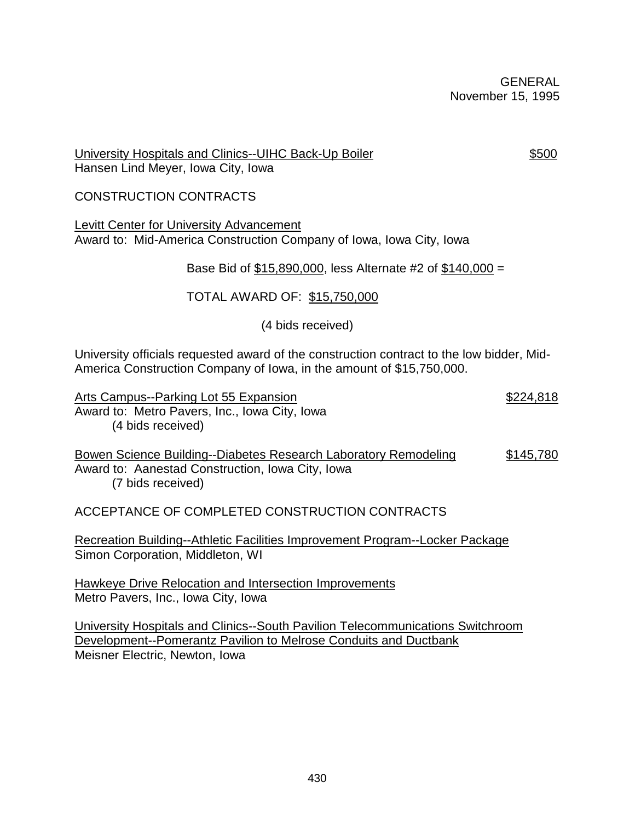### University Hospitals and Clinics--UIHC Back-Up Boiler **\$500** Hansen Lind Meyer, Iowa City, Iowa

# CONSTRUCTION CONTRACTS

Levitt Center for University Advancement Award to: Mid-America Construction Company of Iowa, Iowa City, Iowa

Base Bid of \$15,890,000, less Alternate #2 of \$140,000 =

# TOTAL AWARD OF: \$15,750,000

(4 bids received)

University officials requested award of the construction contract to the low bidder, Mid-America Construction Company of Iowa, in the amount of \$15,750,000.

Arts Campus--Parking Lot 55 Expansion **\$224,818** \$224,818 Award to: Metro Pavers, Inc., Iowa City, Iowa (4 bids received) Bowen Science Building--Diabetes Research Laboratory Remodeling \$145,780 Award to: Aanestad Construction, Iowa City, Iowa (7 bids received)

ACCEPTANCE OF COMPLETED CONSTRUCTION CONTRACTS

Recreation Building--Athletic Facilities Improvement Program--Locker Package Simon Corporation, Middleton, WI

Hawkeye Drive Relocation and Intersection Improvements Metro Pavers, Inc., Iowa City, Iowa

University Hospitals and Clinics--South Pavilion Telecommunications Switchroom Development--Pomerantz Pavilion to Melrose Conduits and Ductbank Meisner Electric, Newton, Iowa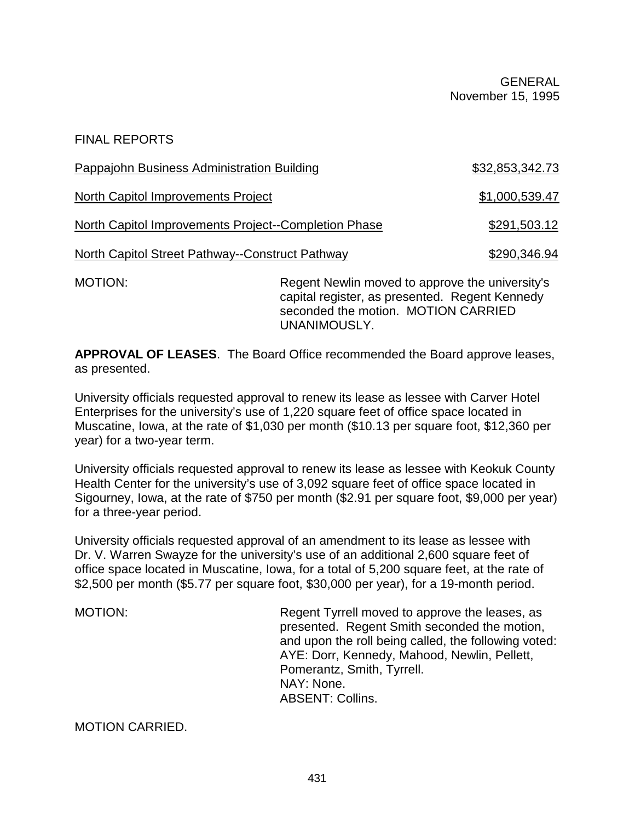FINAL REPORTS

| <b>Pappajohn Business Administration Building</b>    |                                                                                                   | \$32,853,342.73 |
|------------------------------------------------------|---------------------------------------------------------------------------------------------------|-----------------|
| North Capitol Improvements Project                   |                                                                                                   | \$1,000,539.47  |
| North Capitol Improvements Project--Completion Phase |                                                                                                   | \$291,503.12    |
| North Capitol Street Pathway--Construct Pathway      |                                                                                                   | \$290,346.94    |
| <b>MOTION:</b>                                       | Regent Newlin moved to approve the university's<br>capital register, as presented. Regent Kennedy |                 |

**APPROVAL OF LEASES**. The Board Office recommended the Board approve leases, as presented.

UNANIMOUSLY.

University officials requested approval to renew its lease as lessee with Carver Hotel Enterprises for the university's use of 1,220 square feet of office space located in Muscatine, Iowa, at the rate of \$1,030 per month (\$10.13 per square foot, \$12,360 per year) for a two-year term.

University officials requested approval to renew its lease as lessee with Keokuk County Health Center for the university's use of 3,092 square feet of office space located in Sigourney, Iowa, at the rate of \$750 per month (\$2.91 per square foot, \$9,000 per year) for a three-year period.

University officials requested approval of an amendment to its lease as lessee with Dr. V. Warren Swayze for the university's use of an additional 2,600 square feet of office space located in Muscatine, Iowa, for a total of 5,200 square feet, at the rate of \$2,500 per month (\$5.77 per square foot, \$30,000 per year), for a 19-month period.

MOTION: MOTION: Regent Tyrrell moved to approve the leases, as presented. Regent Smith seconded the motion, and upon the roll being called, the following voted: AYE: Dorr, Kennedy, Mahood, Newlin, Pellett, Pomerantz, Smith, Tyrrell. NAY: None. ABSENT: Collins.

seconded the motion. MOTION CARRIED

MOTION CARRIED.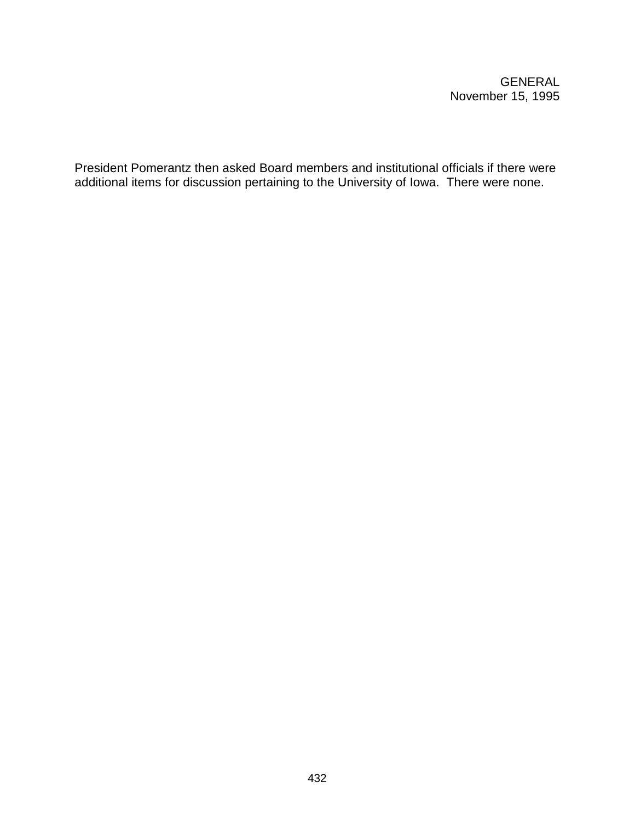President Pomerantz then asked Board members and institutional officials if there were additional items for discussion pertaining to the University of Iowa. There were none.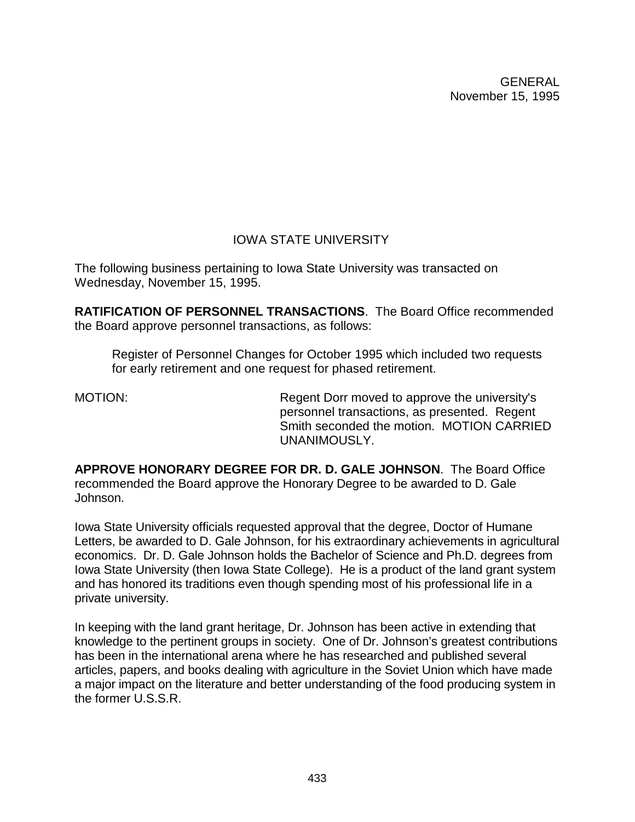# IOWA STATE UNIVERSITY

The following business pertaining to Iowa State University was transacted on Wednesday, November 15, 1995.

**RATIFICATION OF PERSONNEL TRANSACTIONS**. The Board Office recommended the Board approve personnel transactions, as follows:

Register of Personnel Changes for October 1995 which included two requests for early retirement and one request for phased retirement.

MOTION: Regent Dorr moved to approve the university's personnel transactions, as presented. Regent Smith seconded the motion. MOTION CARRIED UNANIMOUSLY.

**APPROVE HONORARY DEGREE FOR DR. D. GALE JOHNSON**. The Board Office recommended the Board approve the Honorary Degree to be awarded to D. Gale Johnson.

Iowa State University officials requested approval that the degree, Doctor of Humane Letters, be awarded to D. Gale Johnson, for his extraordinary achievements in agricultural economics. Dr. D. Gale Johnson holds the Bachelor of Science and Ph.D. degrees from Iowa State University (then Iowa State College). He is a product of the land grant system and has honored its traditions even though spending most of his professional life in a private university.

In keeping with the land grant heritage, Dr. Johnson has been active in extending that knowledge to the pertinent groups in society. One of Dr. Johnson's greatest contributions has been in the international arena where he has researched and published several articles, papers, and books dealing with agriculture in the Soviet Union which have made a major impact on the literature and better understanding of the food producing system in the former U.S.S.R.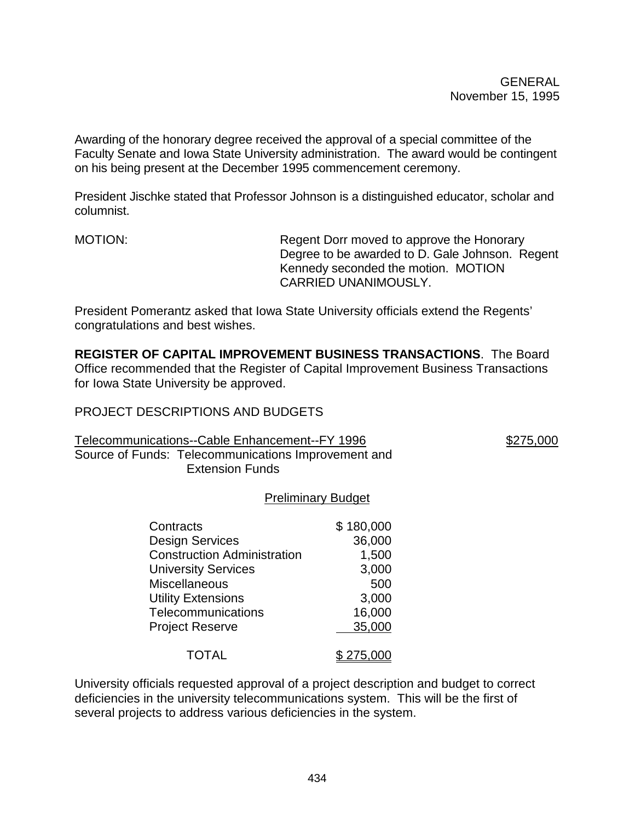Awarding of the honorary degree received the approval of a special committee of the Faculty Senate and Iowa State University administration. The award would be contingent on his being present at the December 1995 commencement ceremony.

President Jischke stated that Professor Johnson is a distinguished educator, scholar and columnist.

MOTION: Regent Dorr moved to approve the Honorary Degree to be awarded to D. Gale Johnson. Regent Kennedy seconded the motion. MOTION CARRIED UNANIMOUSLY.

President Pomerantz asked that Iowa State University officials extend the Regents' congratulations and best wishes.

**REGISTER OF CAPITAL IMPROVEMENT BUSINESS TRANSACTIONS**. The Board Office recommended that the Register of Capital Improvement Business Transactions for Iowa State University be approved.

# PROJECT DESCRIPTIONS AND BUDGETS

Telecommunications--Cable Enhancement--FY 1996 **\$275,000** \$275,000

Source of Funds: Telecommunications Improvement and Extension Funds

# Preliminary Budget

| Contracts                          | \$180,000 |
|------------------------------------|-----------|
| Design Services                    | 36,000    |
| <b>Construction Administration</b> | 1,500     |
| <b>University Services</b>         | 3,000     |
| <b>Miscellaneous</b>               | 500       |
| <b>Utility Extensions</b>          | 3,000     |
| <b>Telecommunications</b>          | 16,000    |
| <b>Project Reserve</b>             | 35,000    |
| <b>TOTAL</b>                       | \$275,000 |

University officials requested approval of a project description and budget to correct deficiencies in the university telecommunications system. This will be the first of several projects to address various deficiencies in the system.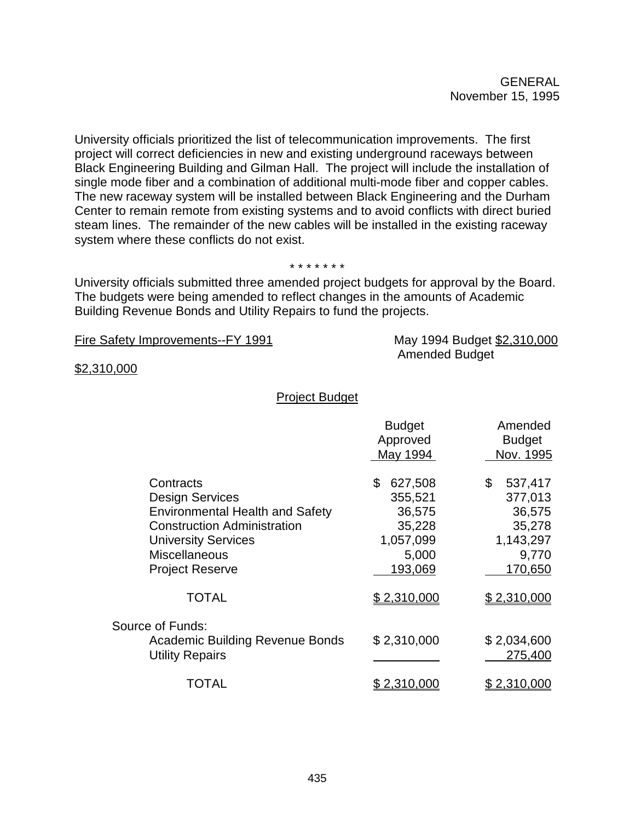University officials prioritized the list of telecommunication improvements. The first project will correct deficiencies in new and existing underground raceways between Black Engineering Building and Gilman Hall. The project will include the installation of single mode fiber and a combination of additional multi-mode fiber and copper cables. The new raceway system will be installed between Black Engineering and the Durham Center to remain remote from existing systems and to avoid conflicts with direct buried steam lines. The remainder of the new cables will be installed in the existing raceway system where these conflicts do not exist.

#### \* \* \* \* \* \* \*

University officials submitted three amended project budgets for approval by the Board. The budgets were being amended to reflect changes in the amounts of Academic Building Revenue Bonds and Utility Repairs to fund the projects.

Fire Safety Improvements--FY 1991 May 1994 Budget \$2,310,000

Amended Budget

\$2,310,000

### Project Budget

|                                                                                                                                                                                                     | <b>Budget</b><br>Approved<br>May 1994                                         | Amended<br><b>Budget</b><br>Nov. 1995                                         |
|-----------------------------------------------------------------------------------------------------------------------------------------------------------------------------------------------------|-------------------------------------------------------------------------------|-------------------------------------------------------------------------------|
| Contracts<br><b>Design Services</b><br><b>Environmental Health and Safety</b><br><b>Construction Administration</b><br><b>University Services</b><br><b>Miscellaneous</b><br><b>Project Reserve</b> | 627,508<br>\$<br>355,521<br>36,575<br>35,228<br>1,057,099<br>5,000<br>193,069 | \$<br>537,417<br>377,013<br>36,575<br>35,278<br>1,143,297<br>9,770<br>170,650 |
| <b>TOTAL</b>                                                                                                                                                                                        | \$2,310,000                                                                   | \$2.310,000                                                                   |
| Source of Funds:<br><b>Academic Building Revenue Bonds</b><br><b>Utility Repairs</b>                                                                                                                | \$2,310,000                                                                   | \$2,034,600<br>275,400                                                        |
| TOTAL                                                                                                                                                                                               | \$ 2 <u>,310,000</u>                                                          | <u>\$2,310,000</u>                                                            |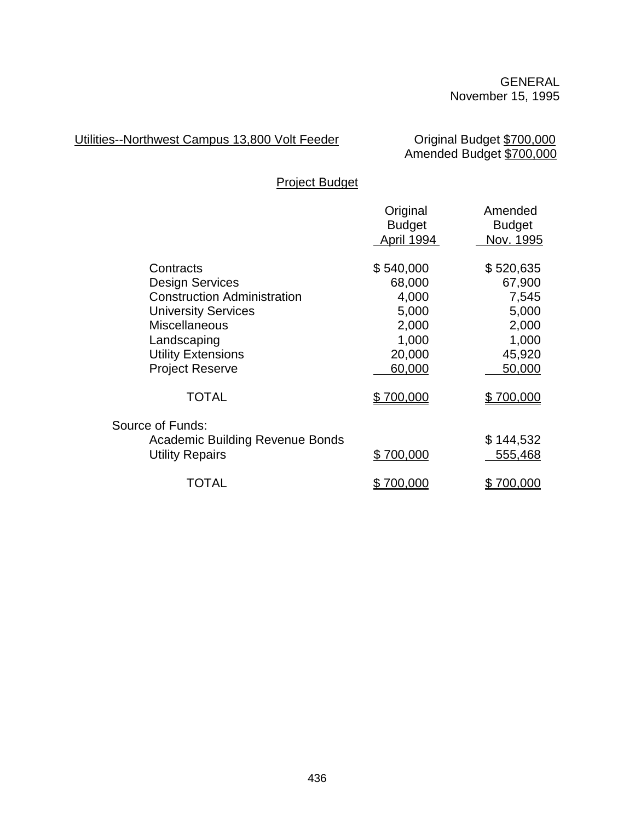# Utilities--Northwest Campus 13,800 Volt Feeder

Original Budget \$700,000<br>Amended Budget \$700,000

Project Budget

|                                        | Original                    | Amended                    |
|----------------------------------------|-----------------------------|----------------------------|
|                                        | <b>Budget</b><br>April 1994 | <b>Budget</b><br>Nov. 1995 |
|                                        |                             |                            |
| Contracts                              | \$540,000                   | \$520,635                  |
| <b>Design Services</b>                 | 68,000                      | 67,900                     |
| <b>Construction Administration</b>     | 4,000                       | 7,545                      |
| <b>University Services</b>             | 5,000                       | 5,000                      |
| <b>Miscellaneous</b>                   | 2,000                       | 2,000                      |
| Landscaping                            | 1,000                       | 1,000                      |
| <b>Utility Extensions</b>              | 20,000                      | 45,920                     |
| <b>Project Reserve</b>                 | 60,000                      | 50,000                     |
| TOTAL                                  | \$700,000                   | \$700,000                  |
| Source of Funds:                       |                             |                            |
| <b>Academic Building Revenue Bonds</b> |                             | \$144,532                  |
| <b>Utility Repairs</b>                 | \$700,000                   | 555,468                    |
| TOTAL                                  | 700,000                     | 700,000                    |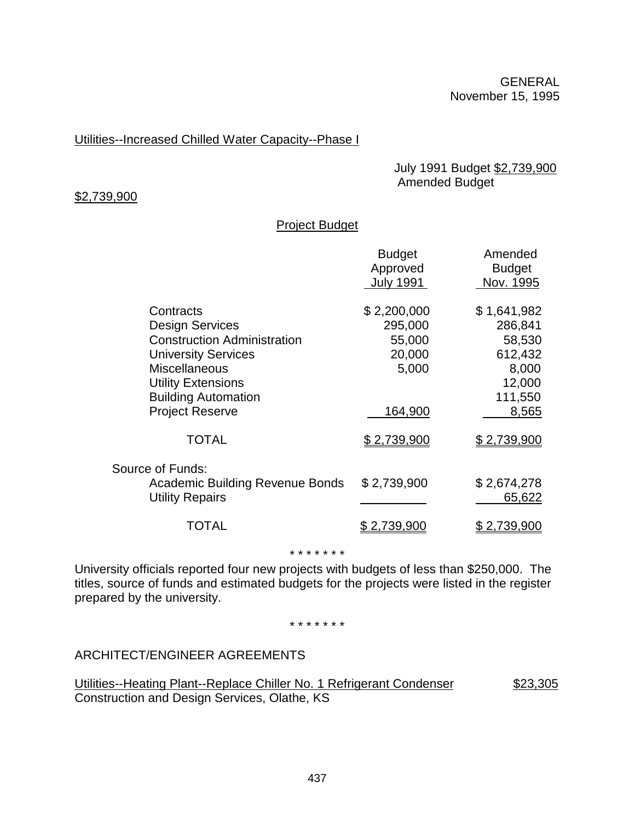# Utilities--Increased Chilled Water Capacity--Phase I

 July 1991 Budget \$2,739,900 Amended Budget

#### \$2,739,900

## Project Budget

| <b>Budget</b><br>Approved<br><b>July 1991</b> | Amended<br><b>Budget</b><br>Nov. 1995 |
|-----------------------------------------------|---------------------------------------|
| \$2,200,000                                   | \$1,641,982                           |
| 295,000                                       | 286,841                               |
| 55,000                                        | 58,530                                |
| 20,000                                        | 612,432                               |
| 5,000                                         | 8,000                                 |
|                                               | 12,000                                |
|                                               | 111,550                               |
| 164,900                                       | 8,565                                 |
| \$2,739,900                                   | \$2,739,900                           |
|                                               |                                       |
|                                               | \$2,674,278                           |
|                                               | 65,622                                |
| <u>2,739,900</u>                              | <u>\$2,739,900</u>                    |
|                                               | \$2,739,900                           |

\* \* \* \* \* \* \*

University officials reported four new projects with budgets of less than \$250,000. The titles, source of funds and estimated budgets for the projects were listed in the register prepared by the university.

\* \* \* \* \* \* \*

ARCHITECT/ENGINEER AGREEMENTS

Utilities--Heating Plant--Replace Chiller No. 1 Refrigerant Condenser \$23,305 Construction and Design Services, Olathe, KS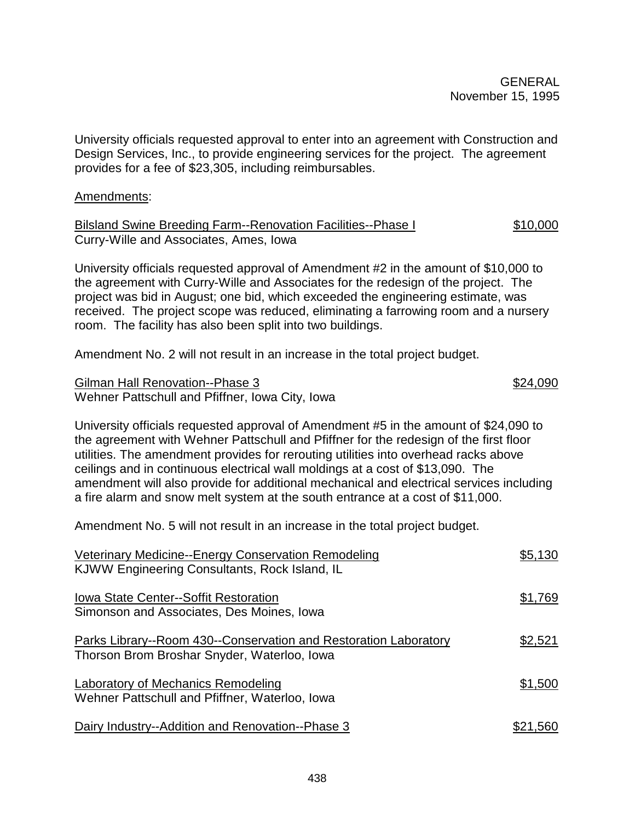University officials requested approval to enter into an agreement with Construction and Design Services, Inc., to provide engineering services for the project. The agreement provides for a fee of \$23,305, including reimbursables.

## Amendments:

Bilsland Swine Breeding Farm--Renovation Facilities--Phase I  $$10,000$ Curry-Wille and Associates, Ames, Iowa

University officials requested approval of Amendment #2 in the amount of \$10,000 to the agreement with Curry-Wille and Associates for the redesign of the project. The project was bid in August; one bid, which exceeded the engineering estimate, was received. The project scope was reduced, eliminating a farrowing room and a nursery room. The facility has also been split into two buildings.

Amendment No. 2 will not result in an increase in the total project budget.

Gilman Hall Renovation--Phase 3 \$24,090 Wehner Pattschull and Pfiffner, Iowa City, Iowa

University officials requested approval of Amendment #5 in the amount of \$24,090 to the agreement with Wehner Pattschull and Pfiffner for the redesign of the first floor utilities. The amendment provides for rerouting utilities into overhead racks above ceilings and in continuous electrical wall moldings at a cost of \$13,090. The amendment will also provide for additional mechanical and electrical services including a fire alarm and snow melt system at the south entrance at a cost of \$11,000.

Amendment No. 5 will not result in an increase in the total project budget.

| Veterinary Medicine--Energy Conservation Remodeling<br>KJWW Engineering Consultants, Rock Island, IL            | \$5,130  |
|-----------------------------------------------------------------------------------------------------------------|----------|
| Iowa State Center--Soffit Restoration<br>Simonson and Associates, Des Moines, Iowa                              | \$1,769  |
| Parks Library--Room 430--Conservation and Restoration Laboratory<br>Thorson Brom Broshar Snyder, Waterloo, Iowa | \$2,521  |
| Laboratory of Mechanics Remodeling<br>Wehner Pattschull and Pfiffner, Waterloo, Iowa                            | \$1,500  |
| Dairy Industry--Addition and Renovation--Phase 3                                                                | \$21.560 |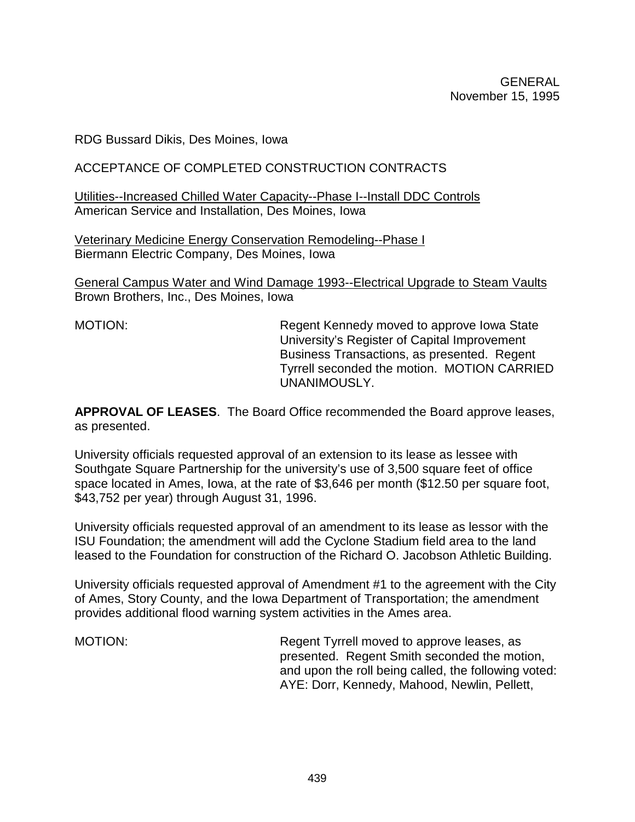RDG Bussard Dikis, Des Moines, Iowa

# ACCEPTANCE OF COMPLETED CONSTRUCTION CONTRACTS

Utilities--Increased Chilled Water Capacity--Phase I--Install DDC Controls American Service and Installation, Des Moines, Iowa

Veterinary Medicine Energy Conservation Remodeling--Phase I Biermann Electric Company, Des Moines, Iowa

General Campus Water and Wind Damage 1993--Electrical Upgrade to Steam Vaults Brown Brothers, Inc., Des Moines, Iowa

MOTION: MOTION: Regent Kennedy moved to approve Iowa State University's Register of Capital Improvement Business Transactions, as presented. Regent Tyrrell seconded the motion. MOTION CARRIED UNANIMOUSLY.

**APPROVAL OF LEASES**. The Board Office recommended the Board approve leases, as presented.

University officials requested approval of an extension to its lease as lessee with Southgate Square Partnership for the university's use of 3,500 square feet of office space located in Ames, Iowa, at the rate of \$3,646 per month (\$12.50 per square foot, \$43,752 per year) through August 31, 1996.

University officials requested approval of an amendment to its lease as lessor with the ISU Foundation; the amendment will add the Cyclone Stadium field area to the land leased to the Foundation for construction of the Richard O. Jacobson Athletic Building.

University officials requested approval of Amendment #1 to the agreement with the City of Ames, Story County, and the Iowa Department of Transportation; the amendment provides additional flood warning system activities in the Ames area.

MOTION: Regent Tyrrell moved to approve leases, as presented. Regent Smith seconded the motion, and upon the roll being called, the following voted: AYE: Dorr, Kennedy, Mahood, Newlin, Pellett,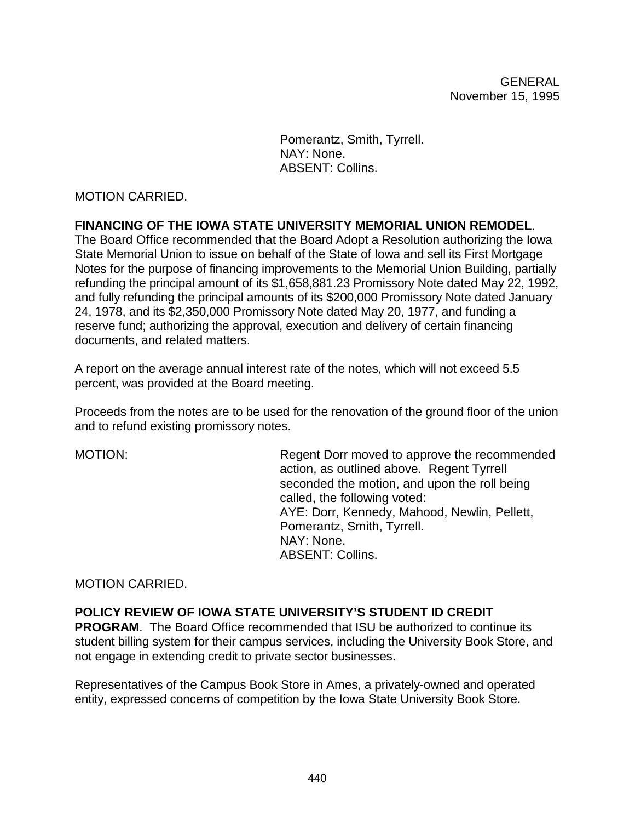Pomerantz, Smith, Tyrrell. NAY: None. ABSENT: Collins.

## MOTION CARRIED.

### **FINANCING OF THE IOWA STATE UNIVERSITY MEMORIAL UNION REMODEL**.

The Board Office recommended that the Board Adopt a Resolution authorizing the Iowa State Memorial Union to issue on behalf of the State of Iowa and sell its First Mortgage Notes for the purpose of financing improvements to the Memorial Union Building, partially refunding the principal amount of its \$1,658,881.23 Promissory Note dated May 22, 1992, and fully refunding the principal amounts of its \$200,000 Promissory Note dated January 24, 1978, and its \$2,350,000 Promissory Note dated May 20, 1977, and funding a reserve fund; authorizing the approval, execution and delivery of certain financing documents, and related matters.

A report on the average annual interest rate of the notes, which will not exceed 5.5 percent, was provided at the Board meeting.

Proceeds from the notes are to be used for the renovation of the ground floor of the union and to refund existing promissory notes.

MOTION: Regent Dorr moved to approve the recommended action, as outlined above. Regent Tyrrell seconded the motion, and upon the roll being called, the following voted: AYE: Dorr, Kennedy, Mahood, Newlin, Pellett, Pomerantz, Smith, Tyrrell. NAY: None. ABSENT: Collins.

### MOTION CARRIED.

### **POLICY REVIEW OF IOWA STATE UNIVERSITY'S STUDENT ID CREDIT**

**PROGRAM**. The Board Office recommended that ISU be authorized to continue its student billing system for their campus services, including the University Book Store, and not engage in extending credit to private sector businesses.

Representatives of the Campus Book Store in Ames, a privately-owned and operated entity, expressed concerns of competition by the Iowa State University Book Store.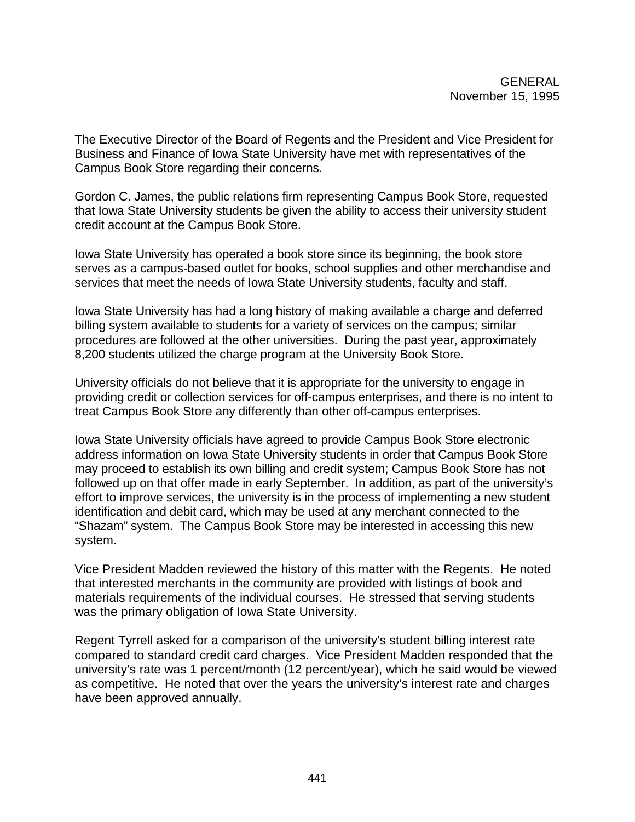The Executive Director of the Board of Regents and the President and Vice President for Business and Finance of Iowa State University have met with representatives of the Campus Book Store regarding their concerns.

Gordon C. James, the public relations firm representing Campus Book Store, requested that Iowa State University students be given the ability to access their university student credit account at the Campus Book Store.

Iowa State University has operated a book store since its beginning, the book store serves as a campus-based outlet for books, school supplies and other merchandise and services that meet the needs of Iowa State University students, faculty and staff.

Iowa State University has had a long history of making available a charge and deferred billing system available to students for a variety of services on the campus; similar procedures are followed at the other universities. During the past year, approximately 8,200 students utilized the charge program at the University Book Store.

University officials do not believe that it is appropriate for the university to engage in providing credit or collection services for off-campus enterprises, and there is no intent to treat Campus Book Store any differently than other off-campus enterprises.

Iowa State University officials have agreed to provide Campus Book Store electronic address information on Iowa State University students in order that Campus Book Store may proceed to establish its own billing and credit system; Campus Book Store has not followed up on that offer made in early September. In addition, as part of the university's effort to improve services, the university is in the process of implementing a new student identification and debit card, which may be used at any merchant connected to the "Shazam" system. The Campus Book Store may be interested in accessing this new system.

Vice President Madden reviewed the history of this matter with the Regents. He noted that interested merchants in the community are provided with listings of book and materials requirements of the individual courses. He stressed that serving students was the primary obligation of Iowa State University.

Regent Tyrrell asked for a comparison of the university's student billing interest rate compared to standard credit card charges. Vice President Madden responded that the university's rate was 1 percent/month (12 percent/year), which he said would be viewed as competitive. He noted that over the years the university's interest rate and charges have been approved annually.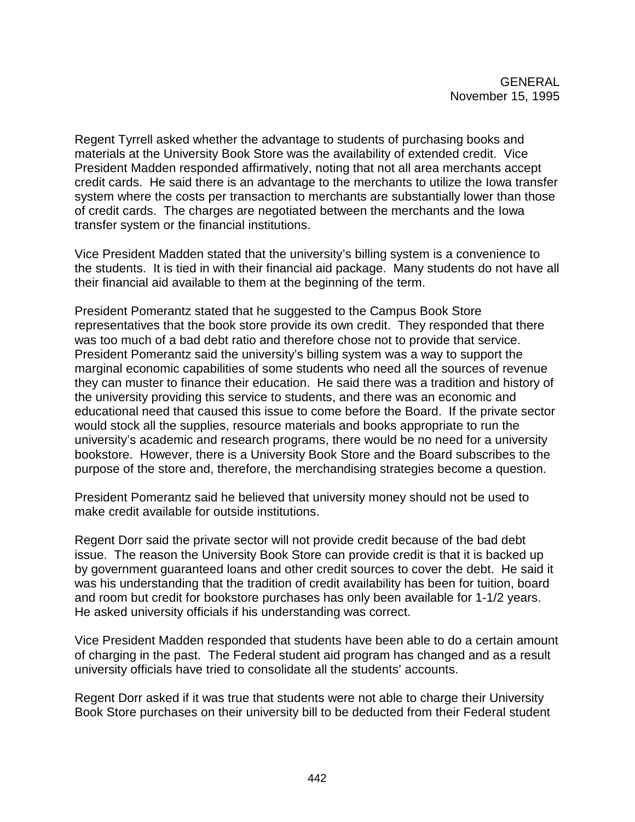Regent Tyrrell asked whether the advantage to students of purchasing books and materials at the University Book Store was the availability of extended credit. Vice President Madden responded affirmatively, noting that not all area merchants accept credit cards. He said there is an advantage to the merchants to utilize the Iowa transfer system where the costs per transaction to merchants are substantially lower than those of credit cards. The charges are negotiated between the merchants and the Iowa transfer system or the financial institutions.

Vice President Madden stated that the university's billing system is a convenience to the students. It is tied in with their financial aid package. Many students do not have all their financial aid available to them at the beginning of the term.

President Pomerantz stated that he suggested to the Campus Book Store representatives that the book store provide its own credit. They responded that there was too much of a bad debt ratio and therefore chose not to provide that service. President Pomerantz said the university's billing system was a way to support the marginal economic capabilities of some students who need all the sources of revenue they can muster to finance their education. He said there was a tradition and history of the university providing this service to students, and there was an economic and educational need that caused this issue to come before the Board. If the private sector would stock all the supplies, resource materials and books appropriate to run the university's academic and research programs, there would be no need for a university bookstore. However, there is a University Book Store and the Board subscribes to the purpose of the store and, therefore, the merchandising strategies become a question.

President Pomerantz said he believed that university money should not be used to make credit available for outside institutions.

Regent Dorr said the private sector will not provide credit because of the bad debt issue. The reason the University Book Store can provide credit is that it is backed up by government guaranteed loans and other credit sources to cover the debt. He said it was his understanding that the tradition of credit availability has been for tuition, board and room but credit for bookstore purchases has only been available for 1-1/2 years. He asked university officials if his understanding was correct.

Vice President Madden responded that students have been able to do a certain amount of charging in the past. The Federal student aid program has changed and as a result university officials have tried to consolidate all the students' accounts.

Regent Dorr asked if it was true that students were not able to charge their University Book Store purchases on their university bill to be deducted from their Federal student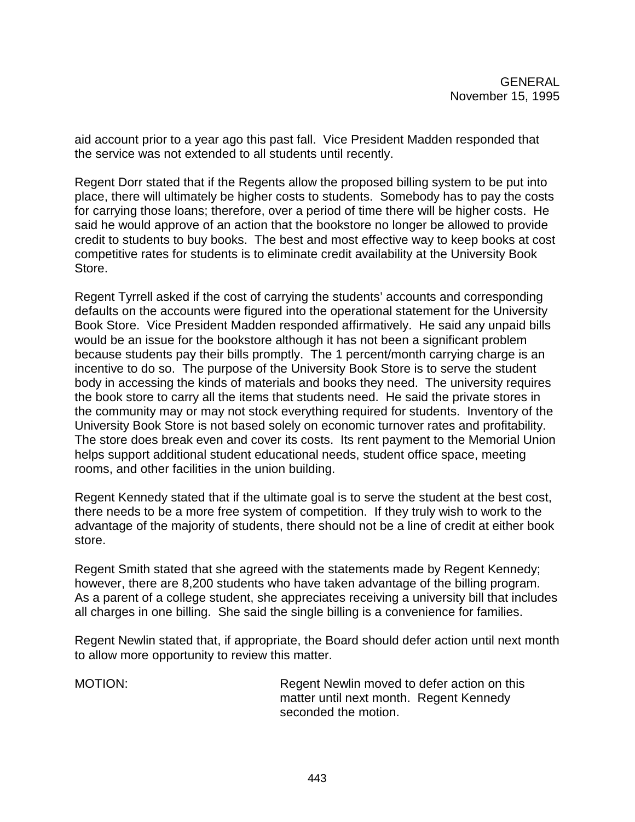aid account prior to a year ago this past fall. Vice President Madden responded that the service was not extended to all students until recently.

Regent Dorr stated that if the Regents allow the proposed billing system to be put into place, there will ultimately be higher costs to students. Somebody has to pay the costs for carrying those loans; therefore, over a period of time there will be higher costs. He said he would approve of an action that the bookstore no longer be allowed to provide credit to students to buy books. The best and most effective way to keep books at cost competitive rates for students is to eliminate credit availability at the University Book Store.

Regent Tyrrell asked if the cost of carrying the students' accounts and corresponding defaults on the accounts were figured into the operational statement for the University Book Store. Vice President Madden responded affirmatively. He said any unpaid bills would be an issue for the bookstore although it has not been a significant problem because students pay their bills promptly. The 1 percent/month carrying charge is an incentive to do so. The purpose of the University Book Store is to serve the student body in accessing the kinds of materials and books they need. The university requires the book store to carry all the items that students need. He said the private stores in the community may or may not stock everything required for students. Inventory of the University Book Store is not based solely on economic turnover rates and profitability. The store does break even and cover its costs. Its rent payment to the Memorial Union helps support additional student educational needs, student office space, meeting rooms, and other facilities in the union building.

Regent Kennedy stated that if the ultimate goal is to serve the student at the best cost, there needs to be a more free system of competition. If they truly wish to work to the advantage of the majority of students, there should not be a line of credit at either book store.

Regent Smith stated that she agreed with the statements made by Regent Kennedy; however, there are 8,200 students who have taken advantage of the billing program. As a parent of a college student, she appreciates receiving a university bill that includes all charges in one billing. She said the single billing is a convenience for families.

Regent Newlin stated that, if appropriate, the Board should defer action until next month to allow more opportunity to review this matter.

MOTION: Regent Newlin moved to defer action on this matter until next month. Regent Kennedy seconded the motion.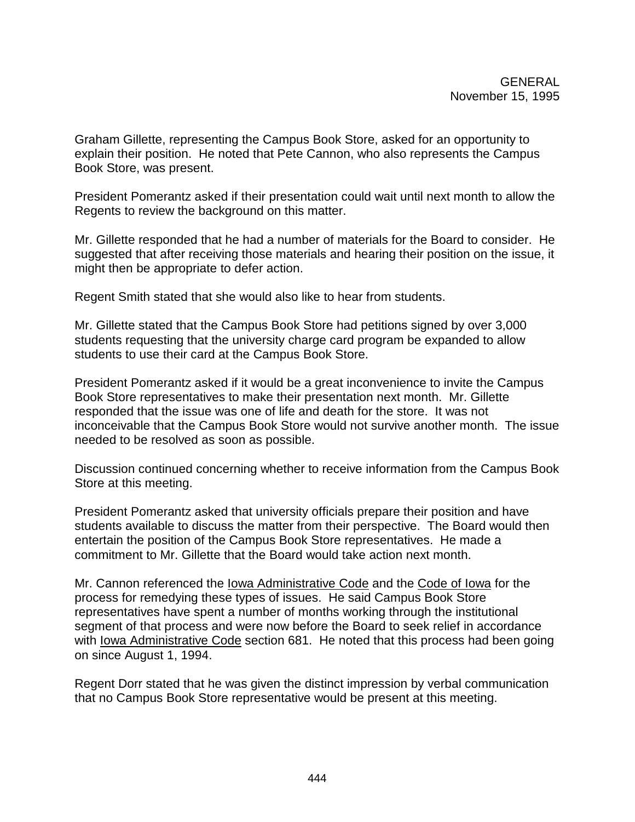Graham Gillette, representing the Campus Book Store, asked for an opportunity to explain their position. He noted that Pete Cannon, who also represents the Campus Book Store, was present.

President Pomerantz asked if their presentation could wait until next month to allow the Regents to review the background on this matter.

Mr. Gillette responded that he had a number of materials for the Board to consider. He suggested that after receiving those materials and hearing their position on the issue, it might then be appropriate to defer action.

Regent Smith stated that she would also like to hear from students.

Mr. Gillette stated that the Campus Book Store had petitions signed by over 3,000 students requesting that the university charge card program be expanded to allow students to use their card at the Campus Book Store.

President Pomerantz asked if it would be a great inconvenience to invite the Campus Book Store representatives to make their presentation next month. Mr. Gillette responded that the issue was one of life and death for the store. It was not inconceivable that the Campus Book Store would not survive another month. The issue needed to be resolved as soon as possible.

Discussion continued concerning whether to receive information from the Campus Book Store at this meeting.

President Pomerantz asked that university officials prepare their position and have students available to discuss the matter from their perspective. The Board would then entertain the position of the Campus Book Store representatives. He made a commitment to Mr. Gillette that the Board would take action next month.

Mr. Cannon referenced the Iowa Administrative Code and the Code of Iowa for the process for remedying these types of issues. He said Campus Book Store representatives have spent a number of months working through the institutional segment of that process and were now before the Board to seek relief in accordance with Iowa Administrative Code section 681. He noted that this process had been going on since August 1, 1994.

Regent Dorr stated that he was given the distinct impression by verbal communication that no Campus Book Store representative would be present at this meeting.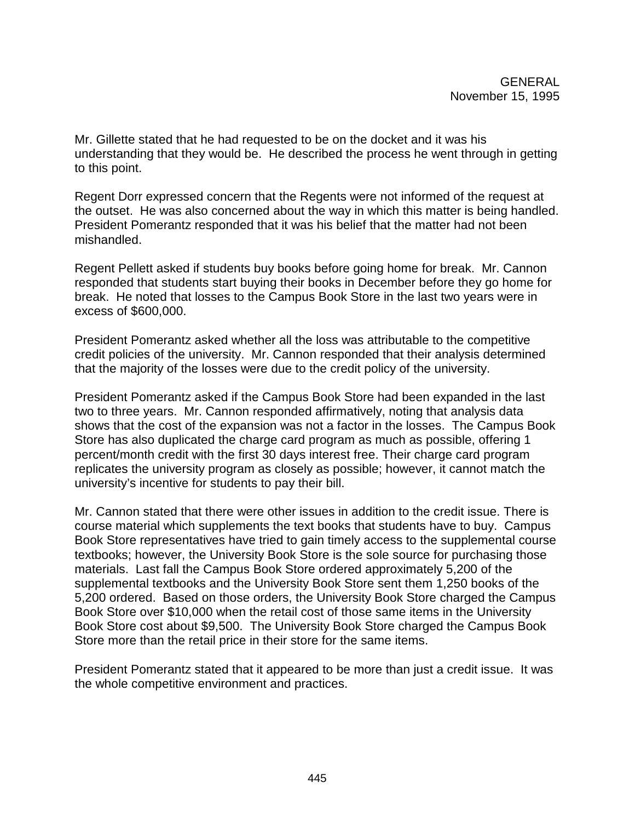Mr. Gillette stated that he had requested to be on the docket and it was his understanding that they would be. He described the process he went through in getting to this point.

Regent Dorr expressed concern that the Regents were not informed of the request at the outset. He was also concerned about the way in which this matter is being handled. President Pomerantz responded that it was his belief that the matter had not been mishandled.

Regent Pellett asked if students buy books before going home for break. Mr. Cannon responded that students start buying their books in December before they go home for break. He noted that losses to the Campus Book Store in the last two years were in excess of \$600,000.

President Pomerantz asked whether all the loss was attributable to the competitive credit policies of the university. Mr. Cannon responded that their analysis determined that the majority of the losses were due to the credit policy of the university.

President Pomerantz asked if the Campus Book Store had been expanded in the last two to three years. Mr. Cannon responded affirmatively, noting that analysis data shows that the cost of the expansion was not a factor in the losses. The Campus Book Store has also duplicated the charge card program as much as possible, offering 1 percent/month credit with the first 30 days interest free. Their charge card program replicates the university program as closely as possible; however, it cannot match the university's incentive for students to pay their bill.

Mr. Cannon stated that there were other issues in addition to the credit issue. There is course material which supplements the text books that students have to buy. Campus Book Store representatives have tried to gain timely access to the supplemental course textbooks; however, the University Book Store is the sole source for purchasing those materials. Last fall the Campus Book Store ordered approximately 5,200 of the supplemental textbooks and the University Book Store sent them 1,250 books of the 5,200 ordered. Based on those orders, the University Book Store charged the Campus Book Store over \$10,000 when the retail cost of those same items in the University Book Store cost about \$9,500. The University Book Store charged the Campus Book Store more than the retail price in their store for the same items.

President Pomerantz stated that it appeared to be more than just a credit issue. It was the whole competitive environment and practices.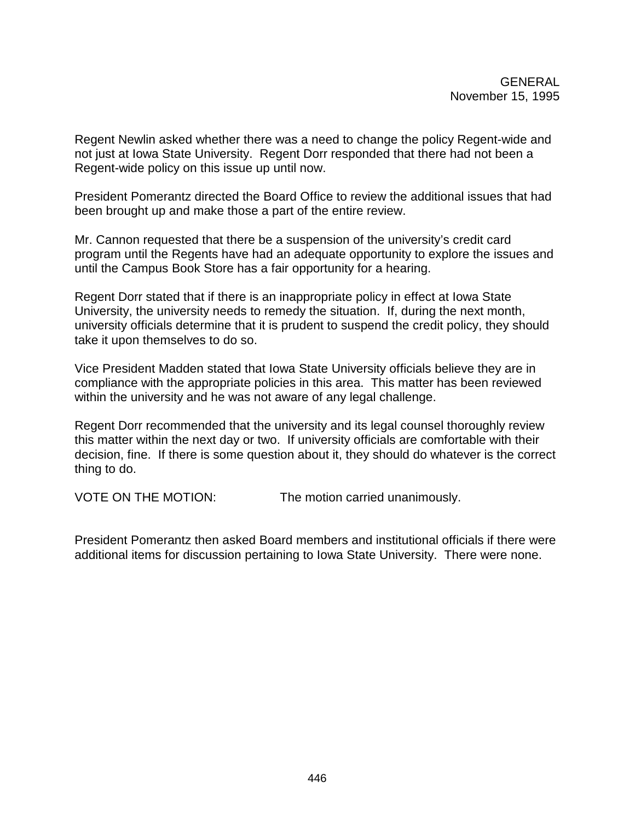Regent Newlin asked whether there was a need to change the policy Regent-wide and not just at Iowa State University. Regent Dorr responded that there had not been a Regent-wide policy on this issue up until now.

President Pomerantz directed the Board Office to review the additional issues that had been brought up and make those a part of the entire review.

Mr. Cannon requested that there be a suspension of the university's credit card program until the Regents have had an adequate opportunity to explore the issues and until the Campus Book Store has a fair opportunity for a hearing.

Regent Dorr stated that if there is an inappropriate policy in effect at Iowa State University, the university needs to remedy the situation. If, during the next month, university officials determine that it is prudent to suspend the credit policy, they should take it upon themselves to do so.

Vice President Madden stated that Iowa State University officials believe they are in compliance with the appropriate policies in this area. This matter has been reviewed within the university and he was not aware of any legal challenge.

Regent Dorr recommended that the university and its legal counsel thoroughly review this matter within the next day or two. If university officials are comfortable with their decision, fine. If there is some question about it, they should do whatever is the correct thing to do.

VOTE ON THE MOTION: The motion carried unanimously.

President Pomerantz then asked Board members and institutional officials if there were additional items for discussion pertaining to Iowa State University. There were none.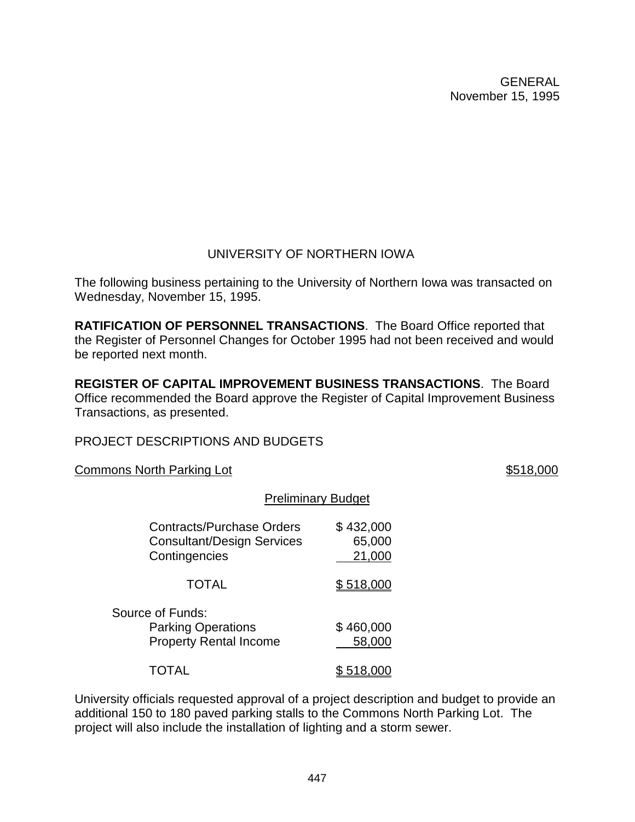# UNIVERSITY OF NORTHERN IOWA

The following business pertaining to the University of Northern Iowa was transacted on Wednesday, November 15, 1995.

**RATIFICATION OF PERSONNEL TRANSACTIONS**. The Board Office reported that the Register of Personnel Changes for October 1995 had not been received and would be reported next month.

**REGISTER OF CAPITAL IMPROVEMENT BUSINESS TRANSACTIONS**. The Board Office recommended the Board approve the Register of Capital Improvement Business Transactions, as presented.

PROJECT DESCRIPTIONS AND BUDGETS

Commons North Parking Lot **\$518,000** 

# Preliminary Budget

| <b>Contracts/Purchase Orders</b><br><b>Consultant/Design Services</b><br>Contingencies | \$432,000<br>65,000<br>21,000 |
|----------------------------------------------------------------------------------------|-------------------------------|
| <b>TOTAL</b>                                                                           | \$518,0                       |
| Source of Funds:<br><b>Parking Operations</b><br><b>Property Rental Income</b>         | \$460,000<br>58,000           |
|                                                                                        |                               |

University officials requested approval of a project description and budget to provide an additional 150 to 180 paved parking stalls to the Commons North Parking Lot. The project will also include the installation of lighting and a storm sewer.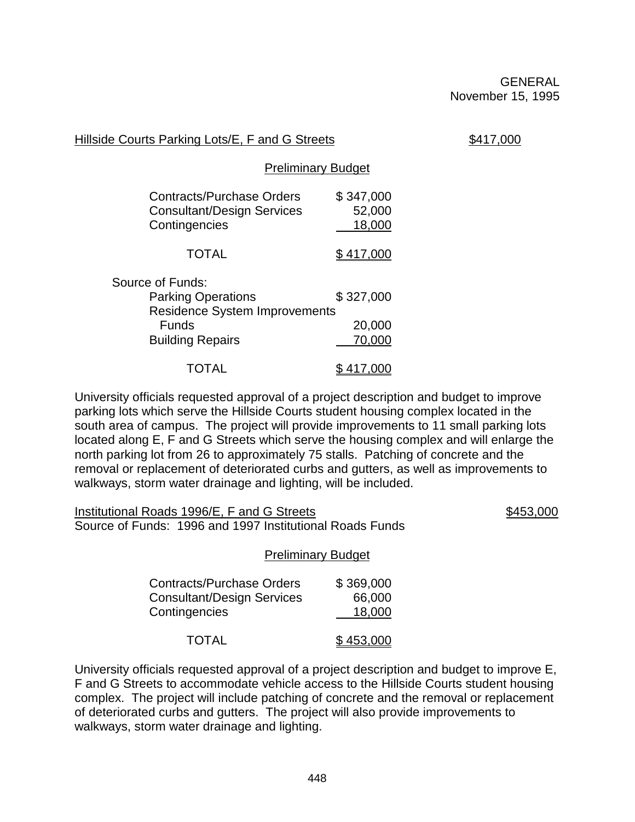| Hillside Courts Parking Lots/E, F and G Streets |
|-------------------------------------------------|
|-------------------------------------------------|

 $$417,000$ 

Preliminary Budget

| <b>Contracts/Purchase Orders</b>     | \$347,000 |
|--------------------------------------|-----------|
| <b>Consultant/Design Services</b>    | 52,000    |
| Contingencies                        | 18,000    |
| <b>TOTAL</b>                         | \$417,000 |
| Source of Funds:                     |           |
| <b>Parking Operations</b>            | \$327,000 |
| <b>Residence System Improvements</b> |           |
| Funds                                | 20,000    |
| <b>Building Repairs</b>              | 70,000    |
| <b>TOTAL</b>                         | 417,000   |

University officials requested approval of a project description and budget to improve parking lots which serve the Hillside Courts student housing complex located in the south area of campus. The project will provide improvements to 11 small parking lots located along E, F and G Streets which serve the housing complex and will enlarge the north parking lot from 26 to approximately 75 stalls. Patching of concrete and the removal or replacement of deteriorated curbs and gutters, as well as improvements to walkways, storm water drainage and lighting, will be included.

Institutional Roads 1996/E, F and G Streets \$453,000 Source of Funds: 1996 and 1997 Institutional Roads Funds

### Preliminary Budget

| <b>Contracts/Purchase Orders</b>  | \$369,000 |
|-----------------------------------|-----------|
| <b>Consultant/Design Services</b> | 66,000    |
| Contingencies                     | 18,000    |
| <b>TOTAL</b>                      | \$453,000 |

University officials requested approval of a project description and budget to improve E, F and G Streets to accommodate vehicle access to the Hillside Courts student housing complex. The project will include patching of concrete and the removal or replacement of deteriorated curbs and gutters. The project will also provide improvements to walkways, storm water drainage and lighting.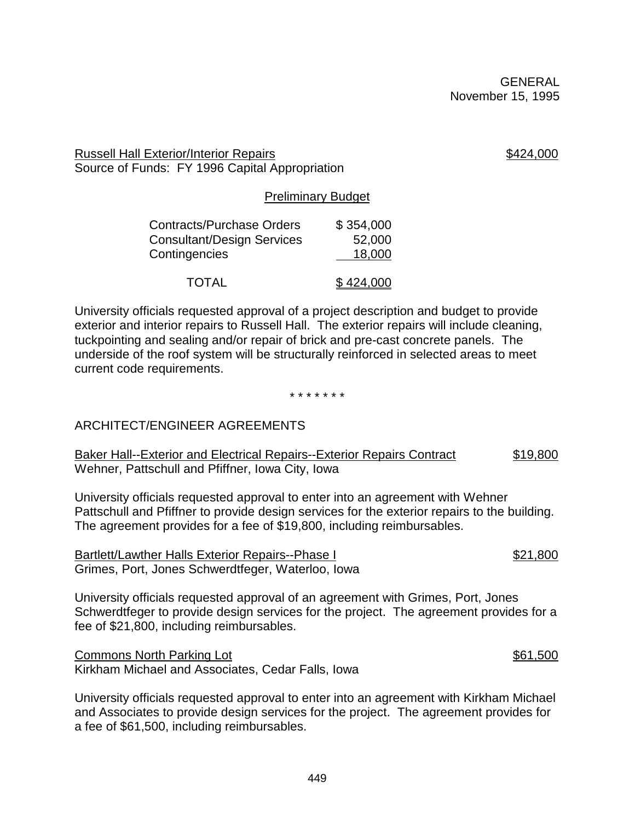Russell Hall Exterior/Interior Repairs **\$424,000** Source of Funds: FY 1996 Capital Appropriation

Preliminary Budget

| <b>Contracts/Purchase Orders</b>  | \$354,000 |
|-----------------------------------|-----------|
| <b>Consultant/Design Services</b> | 52,000    |
| Contingencies                     | 18,000    |
|                                   |           |
| <b>TOTAL</b>                      | \$424,000 |

University officials requested approval of a project description and budget to provide exterior and interior repairs to Russell Hall. The exterior repairs will include cleaning, tuckpointing and sealing and/or repair of brick and pre-cast concrete panels. The underside of the roof system will be structurally reinforced in selected areas to meet current code requirements.

\* \* \* \* \* \* \*

# ARCHITECT/ENGINEER AGREEMENTS

Baker Hall--Exterior and Electrical Repairs--Exterior Repairs Contract \$19,800 Wehner, Pattschull and Pfiffner, Iowa City, Iowa

University officials requested approval to enter into an agreement with Wehner Pattschull and Pfiffner to provide design services for the exterior repairs to the building. The agreement provides for a fee of \$19,800, including reimbursables.

Bartlett/Lawther Halls Exterior Repairs--Phase I  $$21,800$ Grimes, Port, Jones Schwerdtfeger, Waterloo, Iowa

University officials requested approval of an agreement with Grimes, Port, Jones Schwerdtfeger to provide design services for the project. The agreement provides for a fee of \$21,800, including reimbursables.

Commons North Parking Lot \$61,500 Kirkham Michael and Associates, Cedar Falls, Iowa

University officials requested approval to enter into an agreement with Kirkham Michael and Associates to provide design services for the project. The agreement provides for a fee of \$61,500, including reimbursables.

449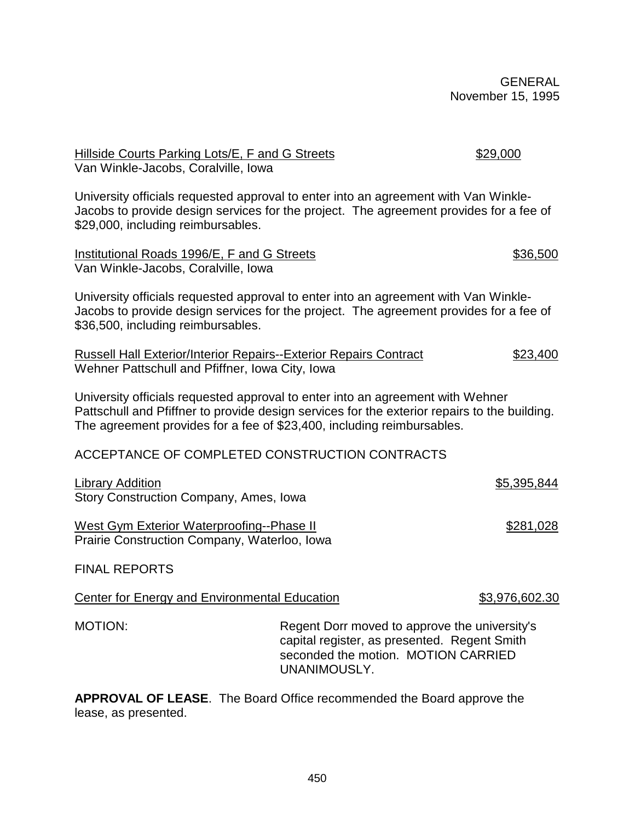University officials requested approval to enter into an agreement with Van Winkle-Jacobs to provide design services for the project. The agreement provides for a fee of \$29,000, including reimbursables. Institutional Roads 1996/E, F and G Streets **\$36,500** \$36,500 Van Winkle-Jacobs, Coralville, Iowa University officials requested approval to enter into an agreement with Van Winkle-

Jacobs to provide design services for the project. The agreement provides for a fee of \$36,500, including reimbursables.

Russell Hall Exterior/Interior Repairs--Exterior Repairs Contract \$23,400 Wehner Pattschull and Pfiffner, Iowa City, Iowa

University officials requested approval to enter into an agreement with Wehner Pattschull and Pfiffner to provide design services for the exterior repairs to the building. The agreement provides for a fee of \$23,400, including reimbursables.

ACCEPTANCE OF COMPLETED CONSTRUCTION CONTRACTS

Library Addition \$5,395,844 Story Construction Company, Ames, Iowa

Van Winkle-Jacobs, Coralville, Iowa

West Gym Exterior Waterproofing--Phase II  $$281,028$ Prairie Construction Company, Waterloo, Iowa

FINAL REPORTS

Center for Energy and Environmental Education  $$3,976,602.30$ 

MOTION: Regent Dorr moved to approve the university's capital register, as presented. Regent Smith seconded the motion. MOTION CARRIED UNANIMOUSLY.

**APPROVAL OF LEASE**. The Board Office recommended the Board approve the lease, as presented.

450

# Hillside Courts Parking Lots/E, F and G Streets \$29,000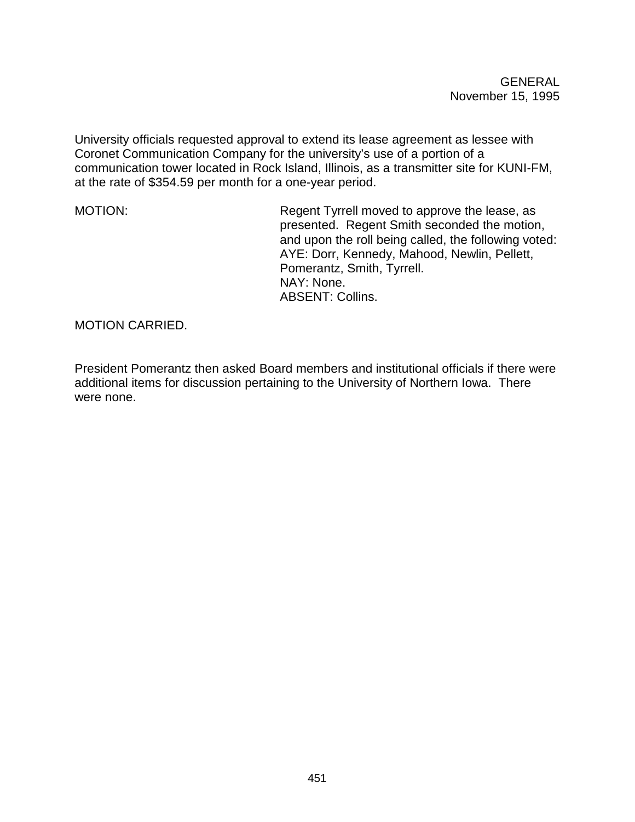University officials requested approval to extend its lease agreement as lessee with Coronet Communication Company for the university's use of a portion of a communication tower located in Rock Island, Illinois, as a transmitter site for KUNI-FM, at the rate of \$354.59 per month for a one-year period.

MOTION: Regent Tyrrell moved to approve the lease, as presented. Regent Smith seconded the motion, and upon the roll being called, the following voted: AYE: Dorr, Kennedy, Mahood, Newlin, Pellett, Pomerantz, Smith, Tyrrell. NAY: None. ABSENT: Collins.

MOTION CARRIED.

President Pomerantz then asked Board members and institutional officials if there were additional items for discussion pertaining to the University of Northern Iowa. There were none.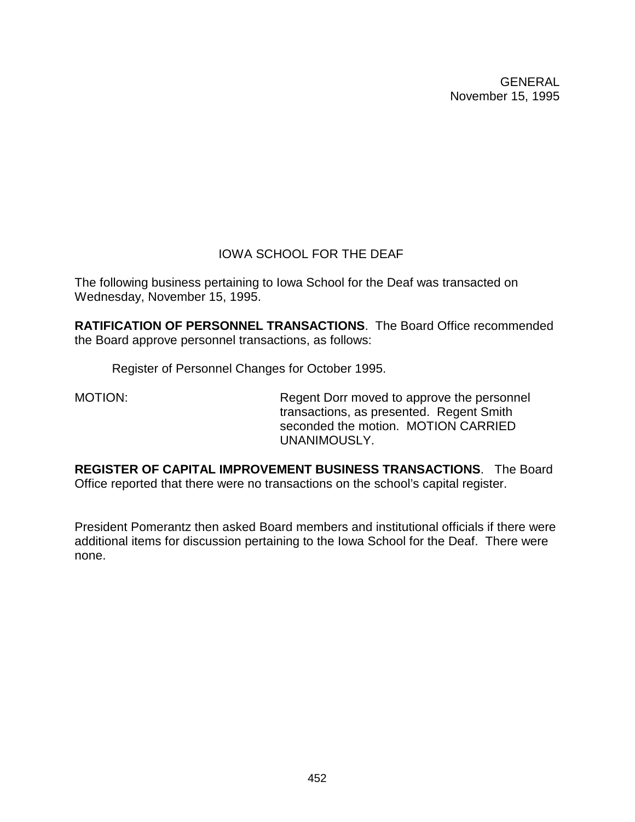# IOWA SCHOOL FOR THE DEAF

The following business pertaining to Iowa School for the Deaf was transacted on Wednesday, November 15, 1995.

**RATIFICATION OF PERSONNEL TRANSACTIONS**. The Board Office recommended the Board approve personnel transactions, as follows:

Register of Personnel Changes for October 1995.

MOTION: Regent Dorr moved to approve the personnel transactions, as presented. Regent Smith seconded the motion. MOTION CARRIED UNANIMOUSLY.

**REGISTER OF CAPITAL IMPROVEMENT BUSINESS TRANSACTIONS**. The Board Office reported that there were no transactions on the school's capital register.

President Pomerantz then asked Board members and institutional officials if there were additional items for discussion pertaining to the Iowa School for the Deaf. There were none.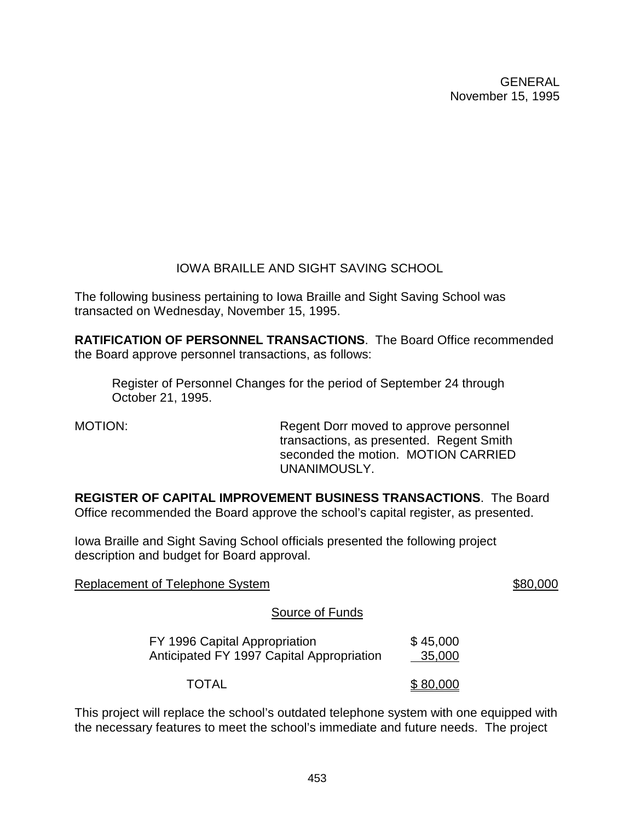# IOWA BRAILLE AND SIGHT SAVING SCHOOL

The following business pertaining to Iowa Braille and Sight Saving School was transacted on Wednesday, November 15, 1995.

**RATIFICATION OF PERSONNEL TRANSACTIONS**. The Board Office recommended the Board approve personnel transactions, as follows:

Register of Personnel Changes for the period of September 24 through October 21, 1995.

MOTION: Regent Dorr moved to approve personnel transactions, as presented. Regent Smith seconded the motion. MOTION CARRIED UNANIMOUSLY.

**REGISTER OF CAPITAL IMPROVEMENT BUSINESS TRANSACTIONS**. The Board Office recommended the Board approve the school's capital register, as presented.

Iowa Braille and Sight Saving School officials presented the following project description and budget for Board approval.

Replacement of Telephone System  $\sim$  80,000

# Source of Funds

| FY 1996 Capital Appropriation<br>Anticipated FY 1997 Capital Appropriation | \$45,000<br>35,000 |
|----------------------------------------------------------------------------|--------------------|
|                                                                            |                    |
| <b>TOTAL</b>                                                               | \$80,000           |

This project will replace the school's outdated telephone system with one equipped with the necessary features to meet the school's immediate and future needs. The project